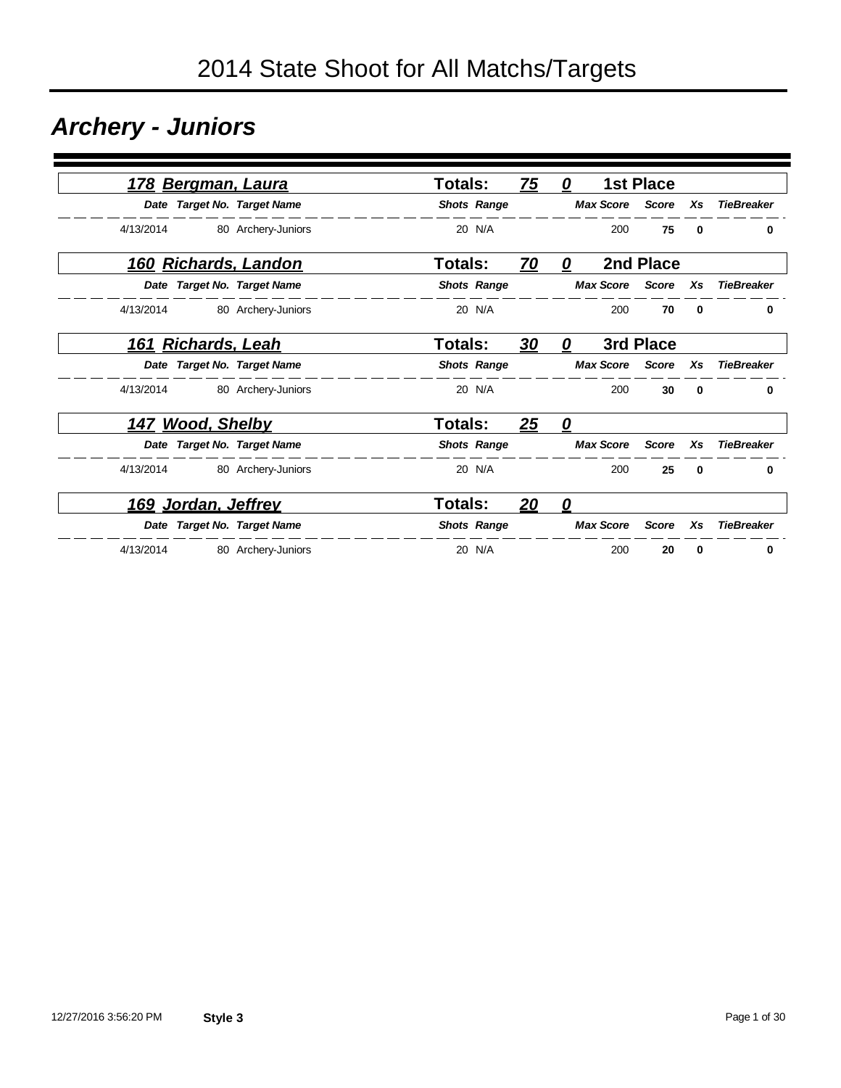### *Archery - Juniors*

| <u>178 Bergman, Laura</u>            |                    | <b>Totals:</b> |                    | <u>75</u> | 0                 |                  | <b>1st Place</b> |          |                   |
|--------------------------------------|--------------------|----------------|--------------------|-----------|-------------------|------------------|------------------|----------|-------------------|
| Date Target No. Target Name          |                    |                | <b>Shots Range</b> |           |                   | <b>Max Score</b> | <b>Score</b>     | Xs       | <b>TieBreaker</b> |
| 4/13/2014                            | 80 Archery-Juniors |                | 20 N/A             |           |                   | 200              | 75               | $\bf{0}$ | 0                 |
| 160 Richards, Landon                 |                    | Totals:        |                    | <u>70</u> | 0                 |                  | 2nd Place        |          |                   |
| Date Target No. Target Name          |                    |                | <b>Shots Range</b> |           |                   | <b>Max Score</b> | <b>Score</b>     | Xs       | <b>TieBreaker</b> |
| 4/13/2014                            | 80 Archery-Juniors |                | 20 N/A             |           |                   | 200              | 70               | $\bf{0}$ | 0                 |
| <b>Richards, Leah</b><br><u> 161</u> |                    | <b>Totals:</b> |                    | <u>30</u> | 0                 |                  | 3rd Place        |          |                   |
| Date Target No. Target Name          |                    |                | <b>Shots Range</b> |           |                   | <b>Max Score</b> | <b>Score</b>     | Xs       | <b>TieBreaker</b> |
| 4/13/2014                            | 80 Archery-Juniors |                | 20 N/A             |           |                   | 200              | 30               | 0        | 0                 |
| <u>147 Wood, Shelby</u>              |                    | <b>Totals:</b> |                    | 25        | $\mathbf{\Omega}$ |                  |                  |          |                   |
| Date Target No. Target Name          |                    |                | <b>Shots Range</b> |           |                   | <b>Max Score</b> | <b>Score</b>     | Xs       | <b>TieBreaker</b> |
| 4/13/2014                            | 80 Archery-Juniors |                | 20 N/A             |           |                   | 200              | 25               | $\bf{0}$ | 0                 |
| 169 Jordan, Jeffrey                  |                    | <b>Totals:</b> |                    | 20        | 0                 |                  |                  |          |                   |
| Date Target No. Target Name          |                    |                | <b>Shots Range</b> |           |                   | <b>Max Score</b> | Score            | Xs       | <b>TieBreaker</b> |
| 4/13/2014                            | 80 Archery-Juniors |                | 20 N/A             |           |                   | 200              | 20               | 0        | 0                 |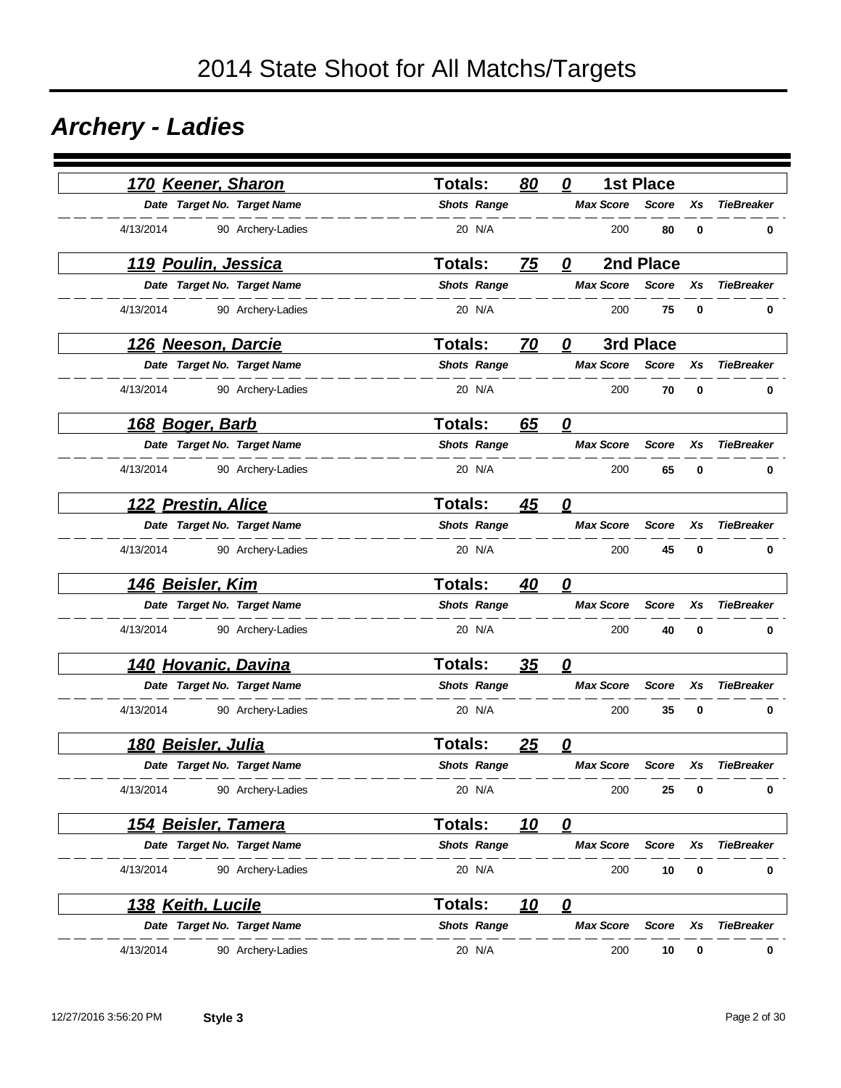### *Archery - Ladies*

| 170 Keener, Sharon         |                             | <b>Totals:</b>     | 80         | 0                       | <b>1st Place</b> |    |                   |
|----------------------------|-----------------------------|--------------------|------------|-------------------------|------------------|----|-------------------|
|                            | Date Target No. Target Name | <b>Shots Range</b> |            | <b>Max Score</b>        | <b>Score</b>     | Xs | <b>TieBreaker</b> |
| 4/13/2014                  | 90 Archery-Ladies           | 20 N/A             |            | 200                     | 80               | 0  | 0                 |
| 119 Poulin, Jessica        |                             | Totals:            | 75         | 0                       | 2nd Place        |    |                   |
|                            | Date Target No. Target Name | <b>Shots Range</b> |            | <b>Max Score</b>        | <b>Score</b>     | Xs | <b>TieBreaker</b> |
| 4/13/2014                  | 90 Archery-Ladies           | 20 N/A             |            | 200                     | 75               | 0  | 0                 |
| <u> 126 Neeson, Darcie</u> |                             | <b>Totals:</b>     | 70         | 0                       | 3rd Place        |    |                   |
|                            | Date Target No. Target Name | <b>Shots Range</b> |            | <b>Max Score</b>        | <b>Score</b>     | Xs | <b>TieBreaker</b> |
| 4/13/2014                  | 90 Archery-Ladies           | 20 N/A             |            | 200                     | 70               | 0  | 0                 |
| <u>168 Boger, Barb</u>     |                             | <b>Totals:</b>     | 65         | $\mathbf{Q}$            |                  |    |                   |
|                            | Date Target No. Target Name | <b>Shots Range</b> |            | <b>Max Score</b>        | <b>Score</b>     | Xs | <b>TieBreaker</b> |
| 4/13/2014                  | 90 Archery-Ladies           | 20 N/A             |            | 200                     | 65               | 0  | 0                 |
| 122 Prestin, Alice         |                             | <b>Totals:</b>     | 45         | $\overline{\mathbf{0}}$ |                  |    |                   |
|                            | Date Target No. Target Name | <b>Shots Range</b> |            | <b>Max Score</b>        | <b>Score</b>     | Xs | <b>TieBreaker</b> |
| 4/13/2014                  | 90 Archery-Ladies           | 20 N/A             |            | 200                     | 45               | 0  | 0                 |
| 146 Beisler, Kim           |                             | <b>Totals:</b>     | 40         | 0                       |                  |    |                   |
|                            | Date Target No. Target Name | <b>Shots Range</b> |            | <b>Max Score</b>        | <b>Score</b>     | Xs | <b>TieBreaker</b> |
| 4/13/2014                  | 90 Archery-Ladies           | 20 N/A             |            | 200                     | 40               | 0  | 0                 |
|                            | 140 Hovanic, Davina         | <b>Totals:</b>     | 35         | 0                       |                  |    |                   |
|                            | Date Target No. Target Name | <b>Shots Range</b> |            | <b>Max Score</b>        | <b>Score</b>     | Xs | <b>TieBreaker</b> |
| 4/13/2014                  | 90 Archery-Ladies           | 20 N/A             |            | 200                     | 35               | 0  | 0                 |
| <u>180 Beisler, Julia</u>  |                             | <b>Totals:</b>     | 25         | 0                       |                  |    |                   |
|                            | Date Target No. Target Name | <b>Shots Range</b> |            | <b>Max Score</b>        | <b>Score</b>     | Xs | <b>TieBreaker</b> |
| 4/13/2014                  | 90 Archery-Ladies           | 20 N/A             |            | 200                     | 25               | 0  | 0                 |
|                            | <u>154 Beisler, Tamera</u>  | Totals:            | <u> 10</u> | $\mathbf{\Omega}$       |                  |    |                   |
|                            | Date Target No. Target Name | <b>Shots Range</b> |            | <b>Max Score</b>        | <b>Score</b>     | Xs | <b>TieBreaker</b> |
| 4/13/2014                  | 90 Archery-Ladies           | 20 N/A             |            | 200                     | 10               | 0  | 0                 |
| 138 Keith, Lucile          |                             | Totals:            | <u>10</u>  | $\overline{\mathbf{0}}$ |                  |    |                   |
|                            | Date Target No. Target Name | <b>Shots Range</b> |            | <b>Max Score</b>        | Score            | Xs | <b>TieBreaker</b> |
| 4/13/2014                  | 90 Archery-Ladies           | 20 N/A             |            | 200                     | 10               | 0  | 0                 |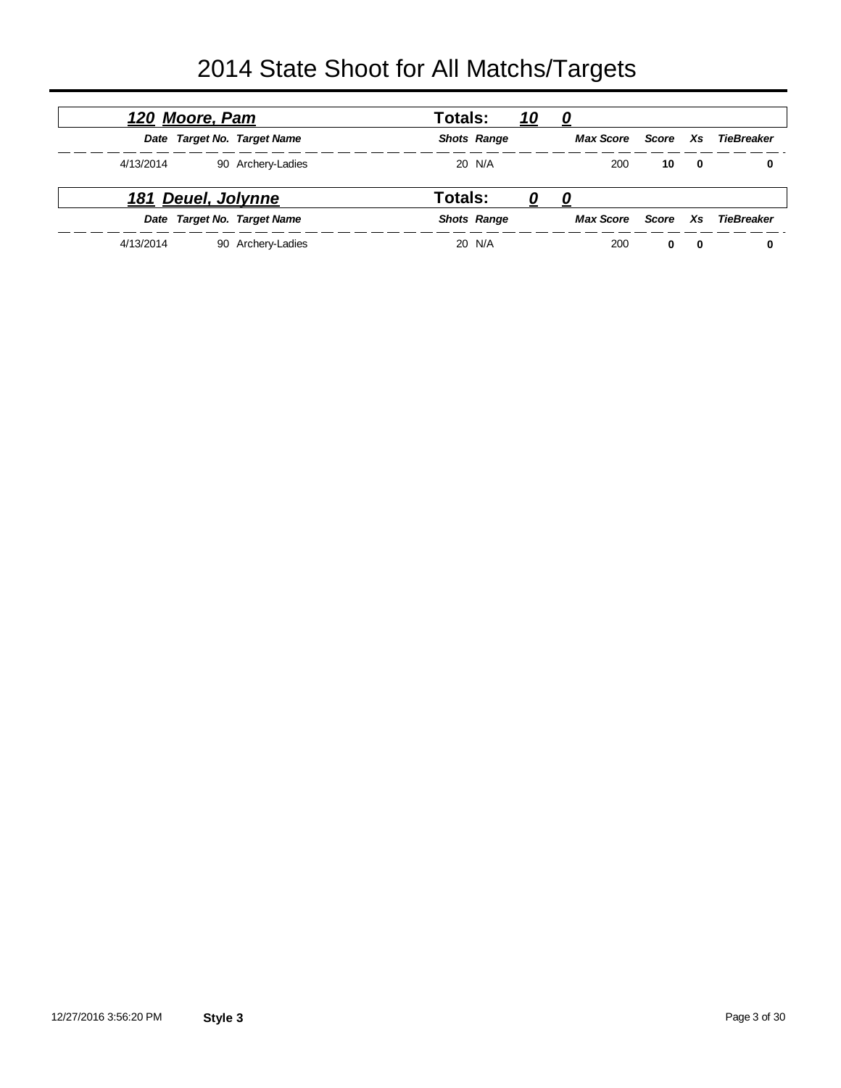|           | 120 Moore, Pam     |                             | Totals: |                    | <u> 10</u> | 0                |       |             |            |  |
|-----------|--------------------|-----------------------------|---------|--------------------|------------|------------------|-------|-------------|------------|--|
|           |                    | Date Target No. Target Name |         | <b>Shots Range</b> |            | <b>Max Score</b> | Score | Xs.         | TieBreaker |  |
| 4/13/2014 |                    | 90 Archery-Ladies           |         | 20 N/A             |            | 200              | 10    | $\mathbf 0$ | 0          |  |
|           | 181 Deuel, Jolynne |                             | Totals: |                    | U          | 0                |       |             |            |  |
|           |                    | Date Target No. Target Name |         | <b>Shots Range</b> |            | <b>Max Score</b> | Score | Xs.         | TieBreaker |  |
| 4/13/2014 |                    | 90 Archery-Ladies           |         | 20 N/A             |            | 200              | 0     | 0           |            |  |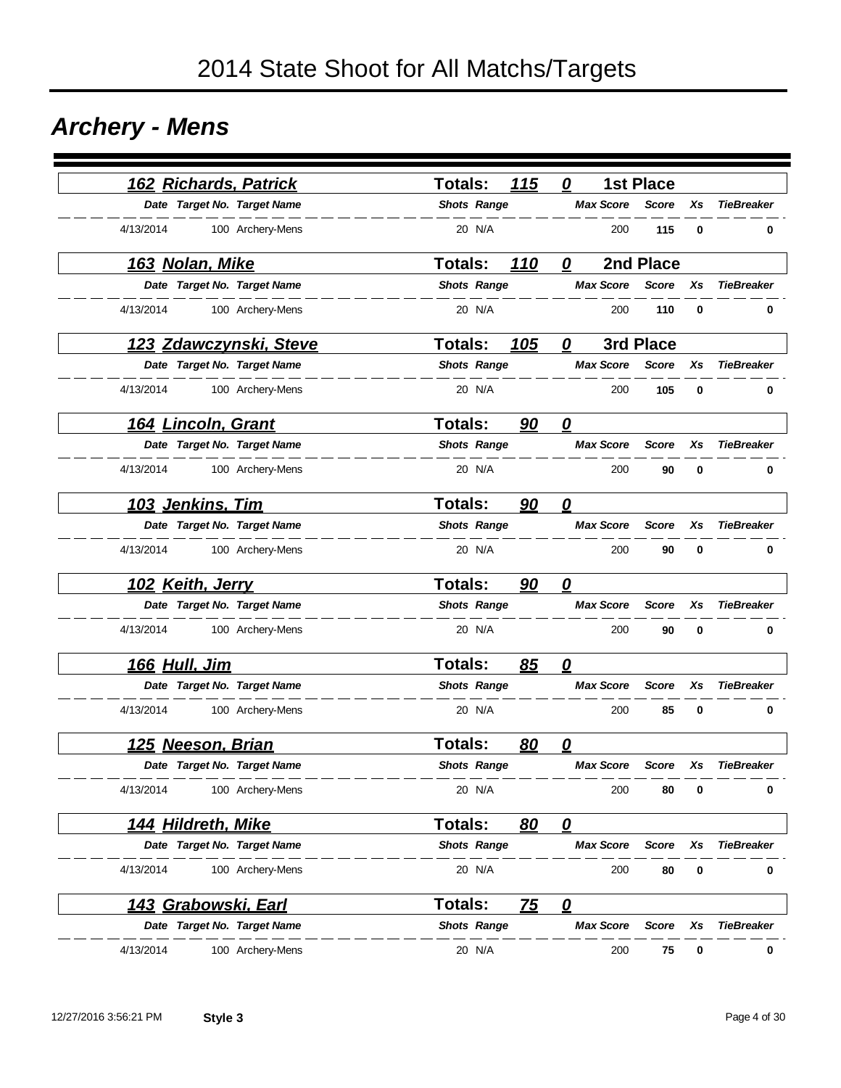### *Archery - Mens*

| 162 Richards, Patrick         | 115<br>Totals:               | <b>1st Place</b><br>0             |                    |                   |
|-------------------------------|------------------------------|-----------------------------------|--------------------|-------------------|
| Date Target No. Target Name   | <b>Shots Range</b>           | <b>Max Score</b>                  | <b>Score</b><br>Xs | <b>TieBreaker</b> |
| 4/13/2014<br>100 Archery-Mens | 20 N/A                       | 200                               | 115<br>0           | 0                 |
| <u>163 Nolan, Mike</u>        | <b>Totals:</b><br>110        | 2nd Place<br>0                    |                    |                   |
| Date Target No. Target Name   | <b>Shots Range</b>           | <b>Max Score</b>                  | <b>Score</b><br>Xs | <b>TieBreaker</b> |
| 4/13/2014<br>100 Archery-Mens | 20 N/A                       | 200                               | 110<br>0           | 0                 |
| 123 Zdawczynski, Steve        | <b>Totals:</b><br><u>105</u> | 3rd Place<br>0                    |                    |                   |
| Date Target No. Target Name   | <b>Shots Range</b>           | <b>Max Score</b>                  | <b>Score</b><br>Xs | <b>TieBreaker</b> |
| 4/13/2014<br>100 Archery-Mens | 20 N/A                       | 200                               | 105<br>0           | 0                 |
| <u>164 Lincoln, Grant</u>     | <b>Totals:</b><br>90         | $\boldsymbol{\varrho}$            |                    |                   |
| Date Target No. Target Name   | <b>Shots Range</b>           | <b>Max Score</b>                  | <b>Score</b><br>Xs | <b>TieBreaker</b> |
| 4/13/2014<br>100 Archery-Mens | 20 N/A                       | 200                               | 90<br>0            | 0                 |
| 103 Jenkins, Tim              | <b>Totals:</b><br>90         | 0                                 |                    |                   |
| Date Target No. Target Name   | <b>Shots Range</b>           | <b>Max Score</b>                  | <b>Score</b><br>Xs | <b>TieBreaker</b> |
| 4/13/2014<br>100 Archery-Mens | 20 N/A                       | 200                               | 90<br>0            | 0                 |
| 102 Keith, Jerry              | <b>Totals:</b><br>90         | $\overline{\mathbf{0}}$           |                    |                   |
| Date Target No. Target Name   | <b>Shots Range</b>           | <b>Max Score</b>                  | <b>Score</b><br>Xs | <b>TieBreaker</b> |
| 4/13/2014<br>100 Archery-Mens | 20 N/A                       | 200                               | 90<br>0            | 0                 |
| <u>166 Hull, Jim</u>          | <b>Totals:</b><br>85         | $\overline{\mathbf{0}}$           |                    |                   |
| Date Target No. Target Name   | <b>Shots Range</b>           | <b>Max Score</b>                  | <b>Score</b><br>Xs | <b>TieBreaker</b> |
| 4/13/2014<br>100 Archery-Mens | 20 N/A                       | 200                               | 85<br>0            | 0                 |
| 125 Neeson, Brian             | <b>Totals:</b><br>80         | 0                                 |                    |                   |
| Date Target No. Target Name   | <b>Shots Range</b>           | <b>Max Score</b>                  | <b>Score</b><br>Xs | <b>TieBreaker</b> |
| 4/13/2014<br>100 Archery-Mens | 20 N/A                       | 200                               | 80<br>0            | 0                 |
| 144 Hildreth, Mike            | Totals:<br>80                | $\mathbf{\Omega}$                 |                    |                   |
| Date Target No. Target Name   | <b>Shots Range</b>           | <b>Max Score</b>                  | <b>Score</b><br>Xs | <b>TieBreaker</b> |
| 100 Archery-Mens<br>4/13/2014 | 20 N/A                       | 200                               | 80<br>0            | 0                 |
| <u>143 Grabowski, Earl</u>    | Totals:<br><u>75</u>         | $\overline{\boldsymbol{\varrho}}$ |                    |                   |
| Date Target No. Target Name   | <b>Shots Range</b>           | <b>Max Score</b>                  | Score<br>Xs        | <b>TieBreaker</b> |
| 100 Archery-Mens<br>4/13/2014 | 20 N/A                       | 200                               | 75<br>0            | 0                 |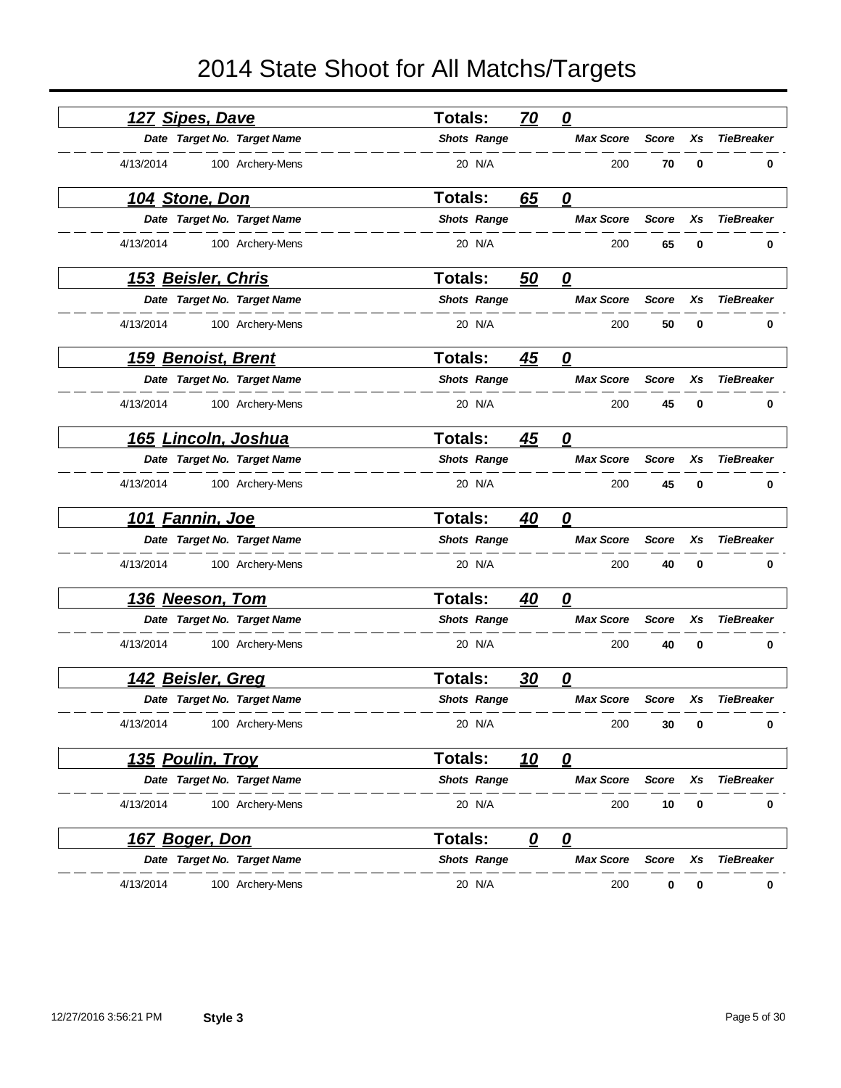|           | <u>127 Sipes, Dave</u>    |                             | Totals:            | 70         | $\boldsymbol{\varrho}$  |              |             |                   |
|-----------|---------------------------|-----------------------------|--------------------|------------|-------------------------|--------------|-------------|-------------------|
|           |                           | Date Target No. Target Name | <b>Shots Range</b> |            | <b>Max Score</b>        | <b>Score</b> | Xs          | <b>TieBreaker</b> |
| 4/13/2014 |                           | 100 Archery-Mens            | 20 N/A             |            | 200                     | 70           | 0           | 0                 |
|           | 104 Stone, Don            |                             | Totals:            | 65         | $\mathbf{\Omega}$       |              |             |                   |
|           |                           | Date Target No. Target Name | <b>Shots Range</b> |            | <b>Max Score</b>        | <b>Score</b> | Xs          | <b>TieBreaker</b> |
| 4/13/2014 |                           | 100 Archery-Mens            | 20 N/A             |            | 200                     | 65           | 0           | 0                 |
|           | <u>153 Beisler, Chris</u> |                             | <b>Totals:</b>     | 50         | $\overline{\mathbf{0}}$ |              |             |                   |
|           |                           | Date Target No. Target Name | <b>Shots Range</b> |            | <b>Max Score</b>        | <b>Score</b> | Xs          | <b>TieBreaker</b> |
| 4/13/2014 |                           | 100 Archery-Mens            | 20 N/A             |            | 200                     | 50           | 0           | 0                 |
|           | <b>159 Benoist, Brent</b> |                             | <b>Totals:</b>     | 45         | 0                       |              |             |                   |
|           |                           | Date Target No. Target Name | <b>Shots Range</b> |            | <b>Max Score</b>        | <b>Score</b> | Xs          | <b>TieBreaker</b> |
| 4/13/2014 |                           | 100 Archery-Mens            | 20 N/A             |            | 200                     | 45           | 0           | 0                 |
|           | 165 Lincoln, Joshua       |                             | <b>Totals:</b>     | 45         | 0                       |              |             |                   |
|           |                           | Date Target No. Target Name | <b>Shots Range</b> |            | <b>Max Score</b>        | <b>Score</b> | Xs          | <b>TieBreaker</b> |
| 4/13/2014 |                           | 100 Archery-Mens            | 20 N/A             |            | 200                     | 45           | 0           | 0                 |
|           | 101 Fannin, Joe           |                             | Totals:            | 40         | 0                       |              |             |                   |
|           |                           | Date Target No. Target Name | <b>Shots Range</b> |            | <b>Max Score</b>        | <b>Score</b> | Xs          | <b>TieBreaker</b> |
| 4/13/2014 |                           | 100 Archery-Mens            | 20 N/A             |            | 200                     | 40           | $\mathbf 0$ | 0                 |
|           | 136 Neeson, Tom           |                             | <b>Totals:</b>     | 40         | 0                       |              |             |                   |
|           |                           | Date Target No. Target Name | <b>Shots Range</b> |            | <b>Max Score</b>        | <b>Score</b> | Xs          | <b>TieBreaker</b> |
| 4/13/2014 |                           | 100 Archery-Mens            | 20 N/A             |            | 200                     | 40           | 0           | 0                 |
|           | 142 Beisler, Greg         |                             | <b>Totals:</b>     | 30         | 0                       |              |             |                   |
|           |                           | Date Target No. Target Name | <b>Shots Range</b> |            | <b>Max Score</b>        | <b>Score</b> | Xs          | <b>TieBreaker</b> |
| 4/13/2014 |                           | 100 Archery-Mens            | 20 N/A             |            | 200                     | 30           | 0           | 0                 |
|           | <u>135 Poulin, Trov</u>   |                             | <b>Totals:</b>     | <u> 10</u> | $\overline{\mathbf{0}}$ |              |             |                   |
|           |                           | Date Target No. Target Name | <b>Shots Range</b> |            | <b>Max Score</b>        | <b>Score</b> | Xs          | <b>TieBreaker</b> |
| 4/13/2014 |                           | 100 Archery-Mens            | 20 N/A             |            | 200                     | 10           | 0           | 0                 |
|           | <u>167 Boger, Don</u>     |                             | <b>Totals:</b>     | 0          | $\boldsymbol{\varrho}$  |              |             |                   |
|           |                           | Date Target No. Target Name | <b>Shots Range</b> |            | <b>Max Score</b>        | <b>Score</b> | Χs          | <b>TieBreaker</b> |
| 4/13/2014 |                           | 100 Archery-Mens            | 20 N/A             |            | 200                     | 0            | 0           | 0                 |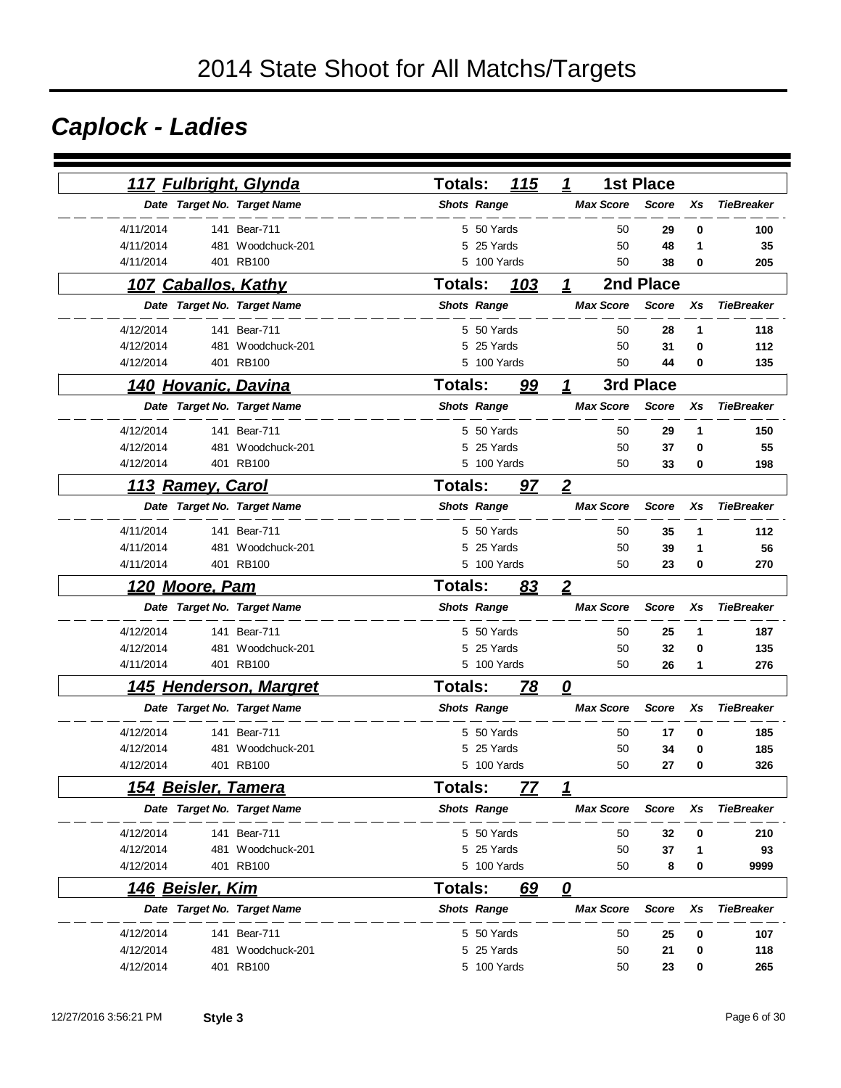# *Caplock - Ladies*

|           |                         | 117 Fulbright, Glynda       | <b>Totals:</b>     |            | 115         | 1              |                  | <b>1st Place</b> |    |                   |
|-----------|-------------------------|-----------------------------|--------------------|------------|-------------|----------------|------------------|------------------|----|-------------------|
|           |                         | Date Target No. Target Name | <b>Shots Range</b> |            |             |                | <b>Max Score</b> | <b>Score</b>     | Xs | <b>TieBreaker</b> |
| 4/11/2014 |                         | 141 Bear-711                |                    | 5 50 Yards |             |                | 50               | 29               | 0  | 100               |
| 4/11/2014 | 481                     | Woodchuck-201               | 5                  | 25 Yards   |             |                | 50               | 48               | 1  | 35                |
| 4/11/2014 |                         | 401 RB100                   | 5                  |            | 100 Yards   |                | 50               | 38               | 0  | 205               |
|           | 107 Caballos, Kathy     |                             | Totals:            |            | 103         | 1              |                  | 2nd Place        |    |                   |
|           |                         | Date Target No. Target Name | <b>Shots Range</b> |            |             |                | <b>Max Score</b> | <b>Score</b>     | Xs | <b>TieBreaker</b> |
| 4/12/2014 |                         | 141 Bear-711                |                    | 5 50 Yards |             |                | 50               | 28               | 1  | 118               |
| 4/12/2014 |                         | 481 Woodchuck-201           | 5                  | 25 Yards   |             |                | 50               | 31               | 0  | 112               |
| 4/12/2014 |                         | 401 RB100                   |                    |            | 5 100 Yards |                | 50               | 44               | 0  | 135               |
|           |                         | 140 Hovanic, Davina         | <b>Totals:</b>     |            | 99          | 1              |                  | 3rd Place        |    |                   |
|           |                         | Date Target No. Target Name | <b>Shots Range</b> |            |             |                | <b>Max Score</b> | <b>Score</b>     | Xs | <b>TieBreaker</b> |
| 4/12/2014 |                         | 141 Bear-711                |                    | 5 50 Yards |             |                | 50               | 29               | 1  | 150               |
| 4/12/2014 | 481                     | Woodchuck-201               |                    | 5 25 Yards |             |                | 50               | 37               | 0  | 55                |
| 4/12/2014 |                         | 401 RB100                   |                    |            | 5 100 Yards |                | 50               | 33               | 0  | 198               |
|           | 113 Ramey, Carol        |                             | <b>Totals:</b>     |            | 97          | $\overline{2}$ |                  |                  |    |                   |
|           |                         | Date Target No. Target Name | <b>Shots Range</b> |            |             |                | <b>Max Score</b> | <b>Score</b>     | Xs | <b>TieBreaker</b> |
| 4/11/2014 |                         | 141 Bear-711                |                    | 5 50 Yards |             |                | 50               | 35               | 1  | 112               |
| 4/11/2014 | 481                     | Woodchuck-201               |                    | 5 25 Yards |             |                | 50               | 39               | 1  | 56                |
| 4/11/2014 |                         | 401 RB100                   |                    |            | 5 100 Yards |                | 50               | 23               | 0  | 270               |
|           | <u>120 Moore, Pam</u>   |                             | <b>Totals:</b>     |            | 83          | $\overline{2}$ |                  |                  |    |                   |
|           |                         | Date Target No. Target Name | <b>Shots Range</b> |            |             |                | <b>Max Score</b> | <b>Score</b>     | Xs | <b>TieBreaker</b> |
| 4/12/2014 |                         | 141 Bear-711                |                    | 5 50 Yards |             |                | 50               | 25               | 1  | 187               |
| 4/12/2014 | 481                     | Woodchuck-201               |                    | 5 25 Yards |             |                | 50               | 32               | 0  | 135               |
| 4/11/2014 |                         | 401 RB100                   |                    |            | 5 100 Yards |                | 50               | 26               | 1  | 276               |
|           |                         | 145 Henderson, Margret      | <b>Totals:</b>     |            | 78          | 0              |                  |                  |    |                   |
|           |                         | Date Target No. Target Name | <b>Shots Range</b> |            |             |                | <b>Max Score</b> | <b>Score</b>     | Xs | <b>TieBreaker</b> |
| 4/12/2014 |                         | 141 Bear-711                |                    | 5 50 Yards |             |                | 50               | 17               | 0  | 185               |
| 4/12/2014 | 481                     | Woodchuck-201               | 5                  | 25 Yards   |             |                | 50               | 34               | 0  | 185               |
| 4/12/2014 |                         | 401 RB100                   |                    |            | 5 100 Yards |                | 50               | 27               | 0  | 326               |
|           | 154 Beisler, Tamera     |                             | Totals:            |            | <u>77</u>   | 1              |                  |                  |    |                   |
|           |                         | Date Target No. Target Name | <b>Shots Range</b> |            |             |                | <b>Max Score</b> | <b>Score</b>     | Xs | <b>TieBreaker</b> |
| 4/12/2014 |                         | 141 Bear-711                |                    | 5 50 Yards |             |                | 50               | 32               | 0  | 210               |
| 4/12/2014 |                         | 481 Woodchuck-201           |                    | 5 25 Yards |             |                | 50               | 37               | 1  | 93                |
| 4/12/2014 |                         | 401 RB100                   |                    |            | 5 100 Yards |                | 50               | 8                | 0  | 9999              |
|           | <u>146 Beisler, Kim</u> |                             | Totals:            |            | 69          | 0              |                  |                  |    |                   |
|           |                         | Date Target No. Target Name | <b>Shots Range</b> |            |             |                | <b>Max Score</b> | <b>Score</b>     | Xs | <b>TieBreaker</b> |
| 4/12/2014 |                         | 141 Bear-711                |                    | 5 50 Yards |             |                | 50               | 25               | 0  | 107               |
| 4/12/2014 | 481                     | Woodchuck-201               |                    | 5 25 Yards |             |                | 50               | 21               | 0  | 118               |
| 4/12/2014 |                         | 401 RB100                   |                    |            | 5 100 Yards |                | 50               | 23               | 0  | 265               |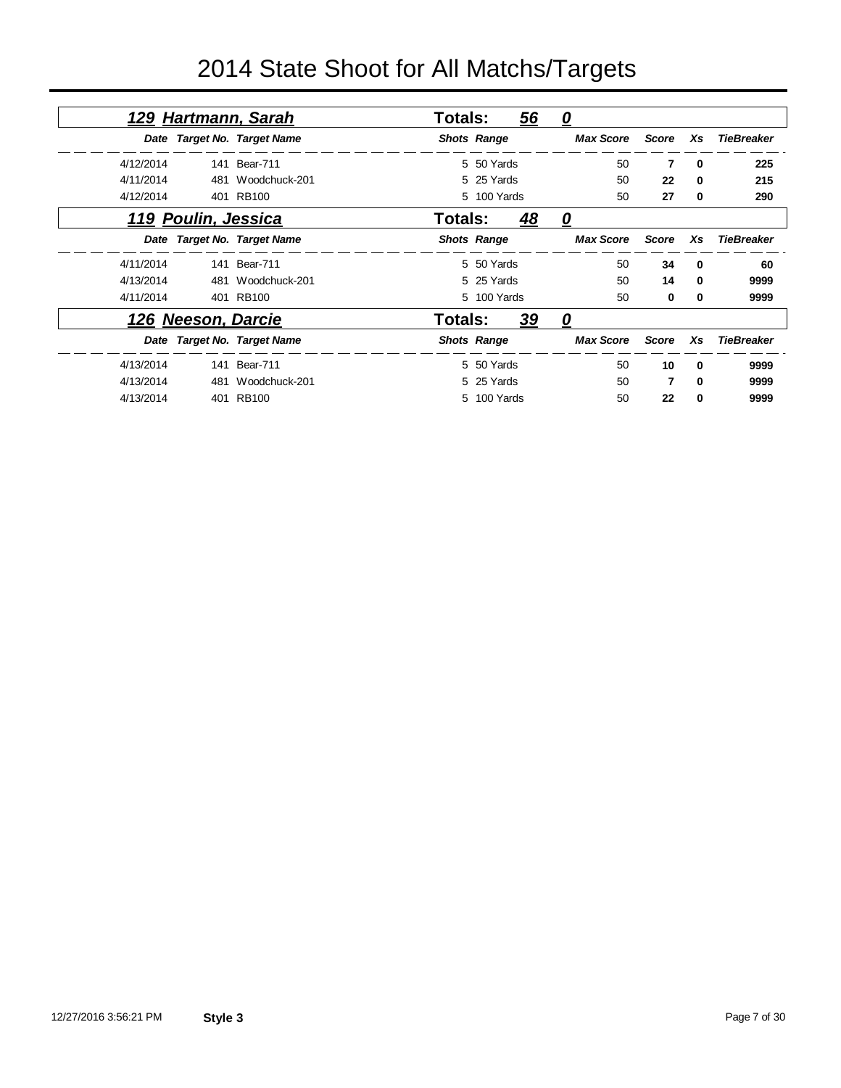|           |                     | <u>129 Hartmann, Sarah</u>  | Totals: |                    | 56 | <u>0</u>         |              |          |                   |
|-----------|---------------------|-----------------------------|---------|--------------------|----|------------------|--------------|----------|-------------------|
|           |                     | Date Target No. Target Name |         | <b>Shots Range</b> |    | <b>Max Score</b> | Score        | Xs       | <b>TieBreaker</b> |
| 4/12/2014 |                     | 141 Bear-711                |         | 5 50 Yards         |    | 50               | 7            | 0        | 225               |
| 4/11/2014 | 481                 | Woodchuck-201               |         | 5 25 Yards         |    | 50               | 22           | 0        | 215               |
| 4/12/2014 |                     | 401 RB100                   |         | 5 100 Yards        |    | 50               | 27           | 0        | 290               |
|           | 119 Poulin, Jessica |                             | Totals: |                    | 48 | 0                |              |          |                   |
|           |                     | Date Target No. Target Name |         | <b>Shots Range</b> |    | <b>Max Score</b> | <b>Score</b> | Xs       | <b>TieBreaker</b> |
| 4/11/2014 |                     | 141 Bear-711                |         | 5 50 Yards         |    | 50               | 34           | 0        | 60                |
| 4/13/2014 | 481                 | Woodchuck-201               |         | 5 25 Yards         |    | 50               | 14           | $\Omega$ | 9999              |
| 4/11/2014 |                     | 401 RB100                   |         | 5 100 Yards        |    | 50               | 0            | 0        | 9999              |
|           | 126 Neeson, Darcie  |                             | Totals: |                    | 39 | <u>0</u>         |              |          |                   |
|           |                     | Date Target No. Target Name |         | <b>Shots Range</b> |    | <b>Max Score</b> | <b>Score</b> | Xs       | <b>TieBreaker</b> |
| 4/13/2014 |                     | 141 Bear-711                |         | 5 50 Yards         |    | 50               | 10           | $\Omega$ | 9999              |
| 4/13/2014 | 481                 | Woodchuck-201               |         | 5 25 Yards         |    | 50               | 7            | $\Omega$ | 9999              |
| 4/13/2014 |                     | 401 RB100                   |         | 5 100 Yards        |    | 50               | 22           | 0        | 9999              |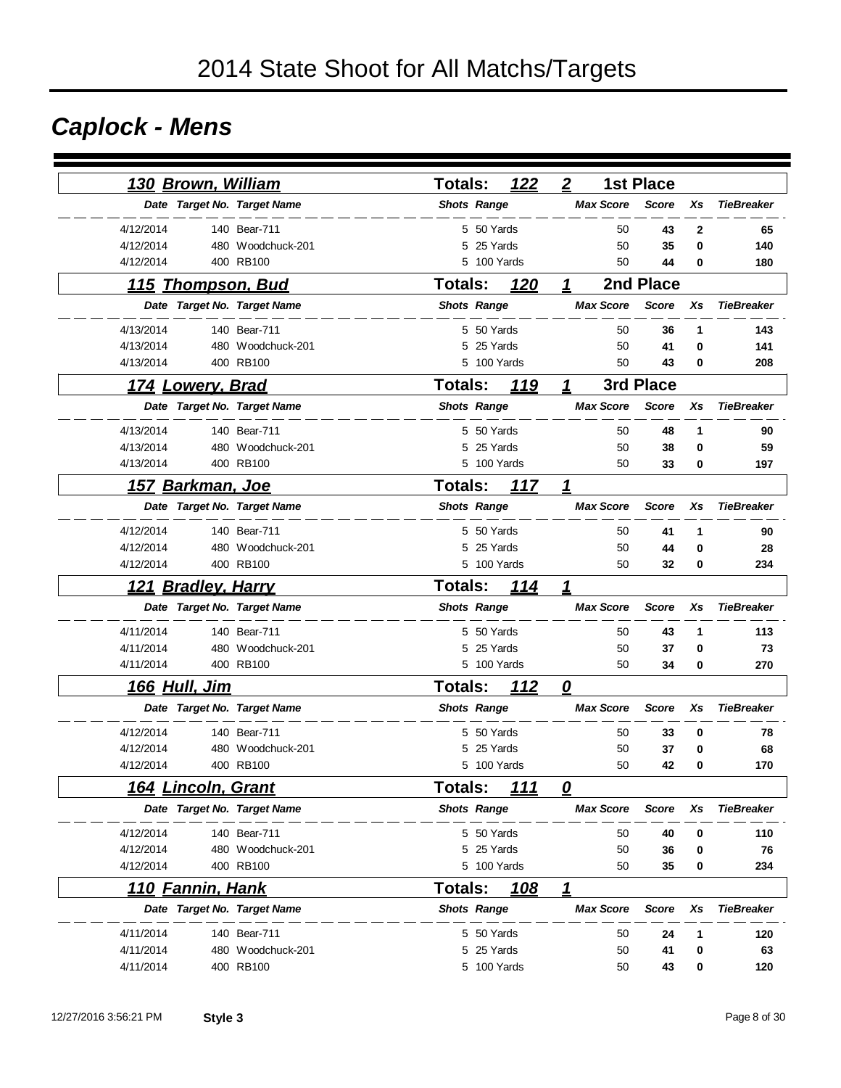# *Caplock - Mens*

| 130 Brown, William                   |                   | <b>Totals:</b>     | 122<br>$\boldsymbol{2}$        | <b>1st Place</b>   |                   |
|--------------------------------------|-------------------|--------------------|--------------------------------|--------------------|-------------------|
| Date Target No. Target Name          |                   | <b>Shots Range</b> | <b>Max Score</b>               | <b>Score</b><br>Xs | <b>TieBreaker</b> |
| 4/12/2014                            | 140 Bear-711      | 5 50 Yards         | 50                             | 43<br>2            | 65                |
| 4/12/2014                            | 480 Woodchuck-201 | 5 25 Yards         | 50                             | 35<br>0            | 140               |
| 4/12/2014                            | 400 RB100         | 5 100 Yards        | 50                             | 44<br>0            | 180               |
| <u>115 Thompson, Bud</u>             |                   | <b>Totals:</b>     | 120<br>$\mathbf 1$             | 2nd Place          |                   |
| Date Target No. Target Name          |                   | <b>Shots Range</b> | <b>Max Score</b>               | <b>Score</b><br>Xs | <b>TieBreaker</b> |
| 4/13/2014                            | 140 Bear-711      | 5 50 Yards         | 50                             | 36<br>1            | 143               |
| 4/13/2014                            | 480 Woodchuck-201 | 25 Yards<br>5      | 50                             | 41<br>0            | 141               |
| 4/13/2014                            | 400 RB100         | 5 100 Yards        | 50                             | 43<br>0            | 208               |
| 174 Lowery, Brad                     |                   | <b>Totals:</b>     | 119<br>1                       | 3rd Place          |                   |
| Date Target No. Target Name          |                   | <b>Shots Range</b> | <b>Max Score</b>               | <b>Score</b><br>Xs | <b>TieBreaker</b> |
| 4/13/2014                            | 140 Bear-711      | 5 50 Yards         | 50                             | 48<br>1            | 90                |
| 4/13/2014                            | 480 Woodchuck-201 | 25 Yards<br>5      | 50                             | 38<br>0            | 59                |
| 4/13/2014                            | 400 RB100         | 5 100 Yards        | 50                             | 33<br>0            | 197               |
| <u>157 Barkman, Joe</u>              |                   | <b>Totals:</b>     | 117<br>1                       |                    |                   |
| Date Target No. Target Name          |                   | <b>Shots Range</b> | <b>Max Score</b>               | <b>Score</b><br>Xs | <b>TieBreaker</b> |
| 4/12/2014                            | 140 Bear-711      | 5 50 Yards         | 50                             | 41<br>1            | 90                |
| 4/12/2014                            | 480 Woodchuck-201 | 5 25 Yards         | 50                             | 44<br>0            | 28                |
| 4/12/2014                            | 400 RB100         | 5 100 Yards        | 50                             | 32<br>0            | 234               |
| <b>Bradley, Harry</b><br><u> 121</u> |                   | <b>Totals:</b>     | 114<br>1                       |                    |                   |
| Date Target No. Target Name          |                   | <b>Shots Range</b> | <b>Max Score</b>               | <b>Score</b><br>Xs | <b>TieBreaker</b> |
| 4/11/2014                            | 140 Bear-711      | 5 50 Yards         | 50                             | 43<br>1            | 113               |
| 4/11/2014                            | 480 Woodchuck-201 | 5 25 Yards         | 50                             | 37<br>0            | 73                |
| 4/11/2014                            | 400 RB100         | 5 100 Yards        | 50                             | 34<br>0            | 270               |
| <u>166 Hull, Jim</u>                 |                   | <b>Totals:</b>     | 112<br>$\overline{\mathbf{0}}$ |                    |                   |
| Date Target No. Target Name          |                   | <b>Shots Range</b> | <b>Max Score</b>               | <b>Score</b><br>Xs | <b>TieBreaker</b> |
| 4/12/2014                            | 140 Bear-711      | 5 50 Yards         | 50                             | 33<br>0            | 78                |
| 4/12/2014                            | 480 Woodchuck-201 | 25 Yards<br>5      | 50                             | 37<br>0            | 68                |
| 4/12/2014                            | 400 RB100         | 5 100 Yards        | 50                             | 42<br>0            | 170               |
| <u>164 Lincoln, Grant</u>            |                   | Totals:            | <u>111</u><br>0                |                    |                   |
| Date Target No. Target Name          |                   | <b>Shots Range</b> | <b>Max Score</b>               | <b>Score</b><br>Xs | <b>TieBreaker</b> |
| 4/12/2014                            | 140 Bear-711      | 5 50 Yards         | 50                             | 40<br>0            | 110               |
| 4/12/2014                            | 480 Woodchuck-201 | 5 25 Yards         | 50                             | 36<br>0            | 76                |
| 4/12/2014                            | 400 RB100         | 5 100 Yards        | 50                             | 35<br>0            | 234               |
| <u>110 Fannin, Hank</u>              |                   | <b>Totals:</b>     | 1<br>108                       |                    |                   |
| Date Target No. Target Name          |                   | <b>Shots Range</b> | <b>Max Score</b>               | <b>Score</b><br>Xs | <b>TieBreaker</b> |
| 4/11/2014                            | 140 Bear-711      | 5 50 Yards         | 50                             | 24<br>1            | 120               |
| 4/11/2014                            | 480 Woodchuck-201 | 25 Yards<br>5      | 50                             | 41<br>0            | 63                |
| 4/11/2014                            | 400 RB100         | 5 100 Yards        | 50                             | 43<br>0            | 120               |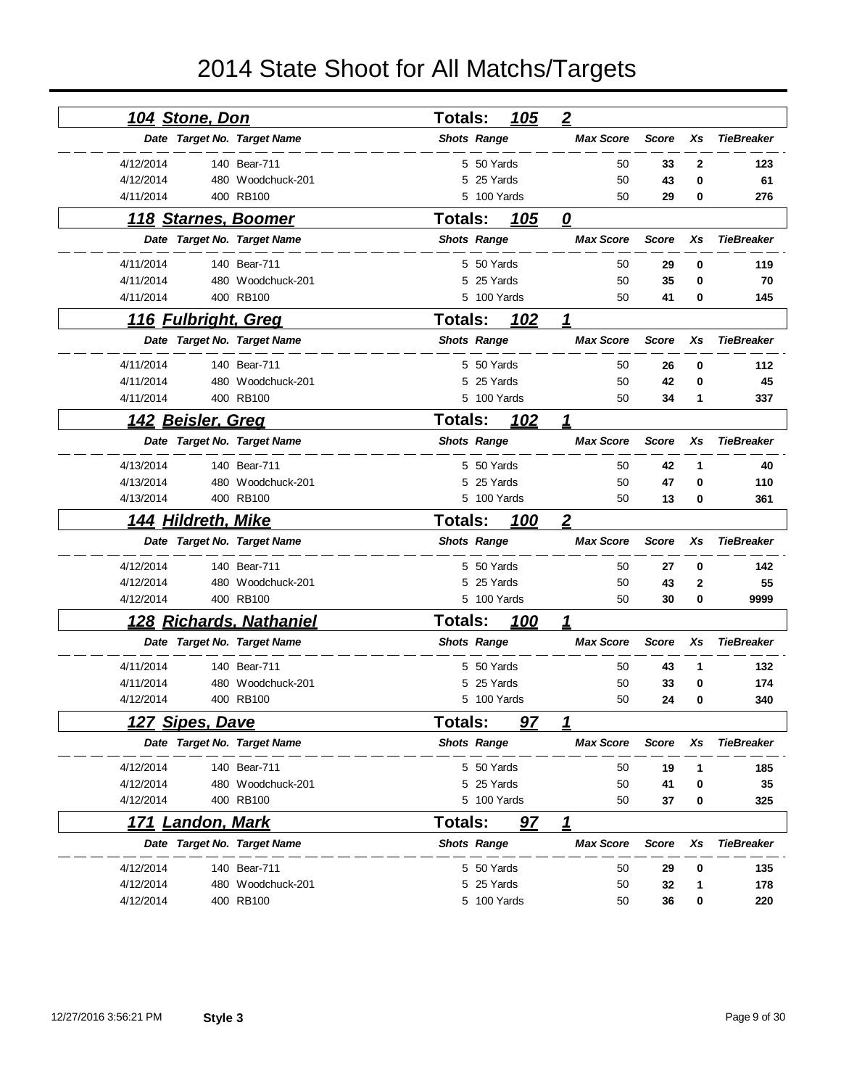| <u>104 Stone, Don</u>          |                   | <b>Totals:</b><br>105 | $\overline{2}$   |              |              |                   |
|--------------------------------|-------------------|-----------------------|------------------|--------------|--------------|-------------------|
| Date Target No. Target Name    |                   | <b>Shots Range</b>    | <b>Max Score</b> | <b>Score</b> | Xs           | <b>TieBreaker</b> |
| 4/12/2014                      | 140 Bear-711      | 5 50 Yards            | 50               | 33           | $\mathbf{2}$ | 123               |
| 4/12/2014                      | 480 Woodchuck-201 | 5 25 Yards            | 50               | 43           | 0            | 61                |
| 4/11/2014                      | 400 RB100         | 5 100 Yards           | 50               | 29           | 0            | 276               |
| 118 Starnes, Boomer            |                   | <b>Totals:</b><br>105 | 0                |              |              |                   |
| Date Target No. Target Name    |                   | <b>Shots Range</b>    | <b>Max Score</b> | <b>Score</b> | Xs           | <b>TieBreaker</b> |
| 4/11/2014                      | 140 Bear-711      | 5 50 Yards            | 50               | 29           | 0            | 119               |
| 4/11/2014                      | 480 Woodchuck-201 | 25 Yards<br>5         | 50               | 35           | 0            | 70                |
| 4/11/2014                      | 400 RB100         | 5 100 Yards           | 50               | 41           | 0            | 145               |
| <u>116 Fulbright, Greg</u>     |                   | <b>Totals:</b><br>102 | 1                |              |              |                   |
| Date Target No. Target Name    |                   | <b>Shots Range</b>    | <b>Max Score</b> | <b>Score</b> | Xs           | <b>TieBreaker</b> |
| 4/11/2014                      | 140 Bear-711      | 5 50 Yards            | 50               | 26           | 0            | 112               |
| 4/11/2014                      | 480 Woodchuck-201 | 5 25 Yards            | 50               | 42           | 0            | 45                |
| 4/11/2014                      | 400 RB100         | 5 100 Yards           | 50               | 34           | 1            | 337               |
| <u>142 Beisler, Greq</u>       |                   | <b>Totals:</b><br>102 | 1                |              |              |                   |
| Date Target No. Target Name    |                   | <b>Shots Range</b>    | <b>Max Score</b> | <b>Score</b> | Xs           | <b>TieBreaker</b> |
| 4/13/2014                      | 140 Bear-711      | 5 50 Yards            | 50               | 42           | 1            | 40                |
| 4/13/2014                      | 480 Woodchuck-201 | 25 Yards<br>5         | 50               | 47           | 0            | 110               |
| 4/13/2014                      | 400 RB100         | 5 100 Yards           | 50               | 13           | 0            | 361               |
| 144 Hildreth, Mike             |                   | 100<br>Totals:        | $\boldsymbol{2}$ |              |              |                   |
| Date Target No. Target Name    |                   | <b>Shots Range</b>    | <b>Max Score</b> | <b>Score</b> | Xs           | <b>TieBreaker</b> |
| 4/12/2014                      | 140 Bear-711      | 5 50 Yards            | 50               | 27           | 0            | 142               |
| 4/12/2014                      | 480 Woodchuck-201 | 25 Yards<br>5         | 50               | 43           | 2            | 55                |
| 4/12/2014                      | 400 RB100         | 5 100 Yards           | 50               | 30           | 0            | 9999              |
| <b>128 Richards, Nathaniel</b> |                   | <b>Totals:</b><br>100 | 1                |              |              |                   |
| Date Target No. Target Name    |                   | <b>Shots Range</b>    | <b>Max Score</b> | <b>Score</b> | Xs           | <b>TieBreaker</b> |
| 4/11/2014                      | 140 Bear-711      | 5 50 Yards            | 50               | 43           | 1            | 132               |
| 4/11/2014                      | 480 Woodchuck-201 | 25 Yards<br>5         | 50               | 33           | 0            | 174               |
| 4/12/2014                      | 400 RB100         | 5 100 Yards           | 50               | 24           | 0            | 340               |
| 127 Sipes, Dave                |                   | Totals:<br>97         | 1                |              |              |                   |
| Date Target No. Target Name    |                   | <b>Shots Range</b>    | <b>Max Score</b> | <b>Score</b> | Xs           | <b>TieBreaker</b> |
| 4/12/2014                      | 140 Bear-711      | 5 50 Yards            | 50               | 19           | 1            | 185               |
| 4/12/2014                      | 480 Woodchuck-201 | 5 25 Yards            | 50               | 41           | 0            | 35                |
| 4/12/2014                      | 400 RB100         | 5 100 Yards           | 50               | 37           | 0            | 325               |
| <b>Landon, Mark</b><br>171     |                   | Totals:<br><u>97</u>  | 1                |              |              |                   |
| Date Target No. Target Name    |                   | <b>Shots Range</b>    | <b>Max Score</b> | <b>Score</b> | Xs           | <b>TieBreaker</b> |
| 4/12/2014                      | 140 Bear-711      | 5 50 Yards            | 50               | 29           | 0            | 135               |
| 4/12/2014                      | 480 Woodchuck-201 | 5 25 Yards            | 50               | 32           | 1            | 178               |
| 4/12/2014                      | 400 RB100         | 5 100 Yards           | 50               | 36           | 0            | 220               |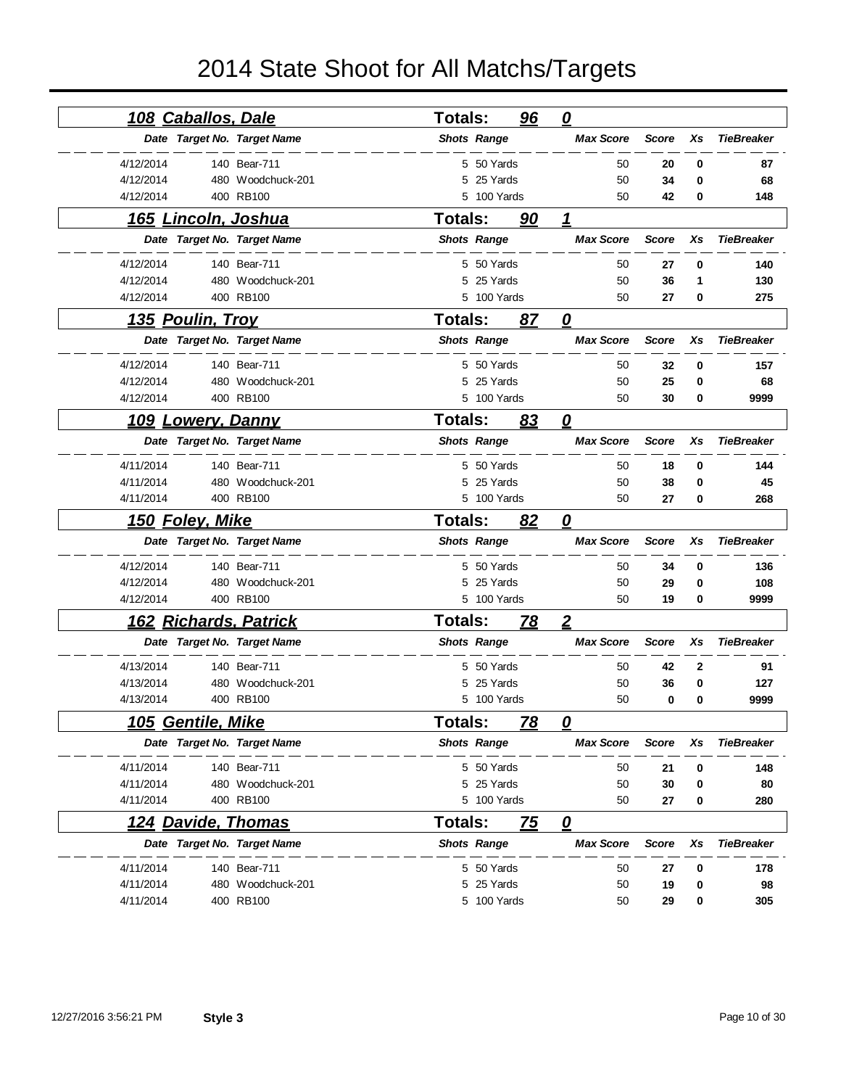| <u>108 Caballos, Dale</u> |                             | <b>Totals:</b> |                    | 96        | $\mathbf{\Omega}$       |              |              |                   |
|---------------------------|-----------------------------|----------------|--------------------|-----------|-------------------------|--------------|--------------|-------------------|
|                           | Date Target No. Target Name |                | <b>Shots Range</b> |           | <b>Max Score</b>        | <b>Score</b> | Xs           | <b>TieBreaker</b> |
| 4/12/2014                 | 140 Bear-711                |                | 5 50 Yards         |           | 50                      | 20           | 0            | 87                |
| 4/12/2014                 | 480 Woodchuck-201           |                | 5 25 Yards         |           | 50                      | 34           | 0            | 68                |
| 4/12/2014                 | 400 RB100                   |                | 5 100 Yards        |           | 50                      | 42           | 0            | 148               |
|                           | <u>165 Lincoln, Joshua</u>  | <b>Totals:</b> |                    | 90        | 1                       |              |              |                   |
|                           | Date Target No. Target Name |                | <b>Shots Range</b> |           | <b>Max Score</b>        | <b>Score</b> | Xs           | <b>TieBreaker</b> |
| 4/12/2014                 | 140 Bear-711                |                | 5 50 Yards         |           | 50                      | 27           | 0            | 140               |
| 4/12/2014                 | 480 Woodchuck-201           | 5              | 25 Yards           |           | 50                      | 36           | 1            | 130               |
| 4/12/2014                 | 400 RB100                   |                | 5 100 Yards        |           | 50                      | 27           | 0            | 275               |
| <u>135 Poulin, Troy</u>   |                             | <b>Totals:</b> |                    | 87        | 0                       |              |              |                   |
|                           | Date Target No. Target Name |                | <b>Shots Range</b> |           | <b>Max Score</b>        | <b>Score</b> | Xs           | <b>TieBreaker</b> |
| 4/12/2014                 | 140 Bear-711                |                | 5 50 Yards         |           | 50                      | 32           | 0            | 157               |
| 4/12/2014                 | 480 Woodchuck-201           | 5              | 25 Yards           |           | 50                      | 25           | 0            | 68                |
| 4/12/2014                 | 400 RB100                   |                | 5 100 Yards        |           | 50                      | 30           | 0            | 9999              |
| <u>109 Lowery, Danny</u>  |                             | <b>Totals:</b> |                    | 83        | 0                       |              |              |                   |
|                           | Date Target No. Target Name |                | <b>Shots Range</b> |           | <b>Max Score</b>        | <b>Score</b> | Xs           | <b>TieBreaker</b> |
| 4/11/2014                 | 140 Bear-711                |                | 5 50 Yards         |           | 50                      | 18           | 0            | 144               |
| 4/11/2014                 | 480 Woodchuck-201           |                | 5 25 Yards         |           | 50                      | 38           | 0            | 45                |
| 4/11/2014                 | 400 RB100                   |                | 5 100 Yards        |           | 50                      | 27           | 0            | 268               |
|                           |                             |                |                    |           |                         |              |              |                   |
| 150 Foley, Mike           |                             | Totals:        |                    | 82        | 0                       |              |              |                   |
|                           | Date Target No. Target Name |                | <b>Shots Range</b> |           | <b>Max Score</b>        | <b>Score</b> | Xs           | <b>TieBreaker</b> |
| 4/12/2014                 | 140 Bear-711                |                | 5 50 Yards         |           | 50                      | 34           | 0            | 136               |
| 4/12/2014                 | 480 Woodchuck-201           | 5              | 25 Yards           |           | 50                      | 29           | 0            | 108               |
| 4/12/2014                 | 400 RB100                   |                | 5 100 Yards        |           | 50                      | 19           | 0            | 9999              |
|                           | 162 Richards, Patrick       | Totals:        |                    | <u>78</u> | $\overline{2}$          |              |              |                   |
|                           | Date Target No. Target Name |                | <b>Shots Range</b> |           | <b>Max Score</b>        | <b>Score</b> | Xs           | <b>TieBreaker</b> |
| 4/13/2014                 | 140 Bear-711                |                | 5 50 Yards         |           | 50                      | 42           | $\mathbf{2}$ | 91                |
| 4/13/2014                 | 480 Woodchuck-201           |                | 25 Yards           |           | 50                      | 36           | 0            | 127               |
| 4/13/2014                 | 400 RB100                   |                | 5 100 Yards        |           | 50                      | 0            | 0            | 9999              |
| 105 Gentile, Mike         |                             | <b>Totals:</b> |                    | 78        | 0                       |              |              |                   |
|                           | Date Target No. Target Name |                | <b>Shots Range</b> |           | <b>Max Score</b>        | Score        | Xs           | <b>TieBreaker</b> |
| 4/11/2014                 | 140 Bear-711                |                | 5 50 Yards         |           | 50                      | 21           | 0            | 148               |
| 4/11/2014                 | 480 Woodchuck-201           |                | 5 25 Yards         |           | 50                      | 30           | 0            | 80                |
| 4/11/2014                 | 400 RB100                   |                | 5 100 Yards        |           | 50                      | 27           | 0            | 280               |
|                           | <u>124 Davide, Thomas</u>   | <b>Totals:</b> |                    | <u>75</u> | $\overline{\mathbf{0}}$ |              |              |                   |
|                           | Date Target No. Target Name |                | <b>Shots Range</b> |           | <b>Max Score</b>        | <b>Score</b> | Xs           | <b>TieBreaker</b> |
| 4/11/2014                 | 140 Bear-711                |                | 5 50 Yards         |           | 50                      | 27           | 0            | 178               |
| 4/11/2014                 | 480 Woodchuck-201           |                | 5 25 Yards         |           | 50                      | 19           | 0            | 98                |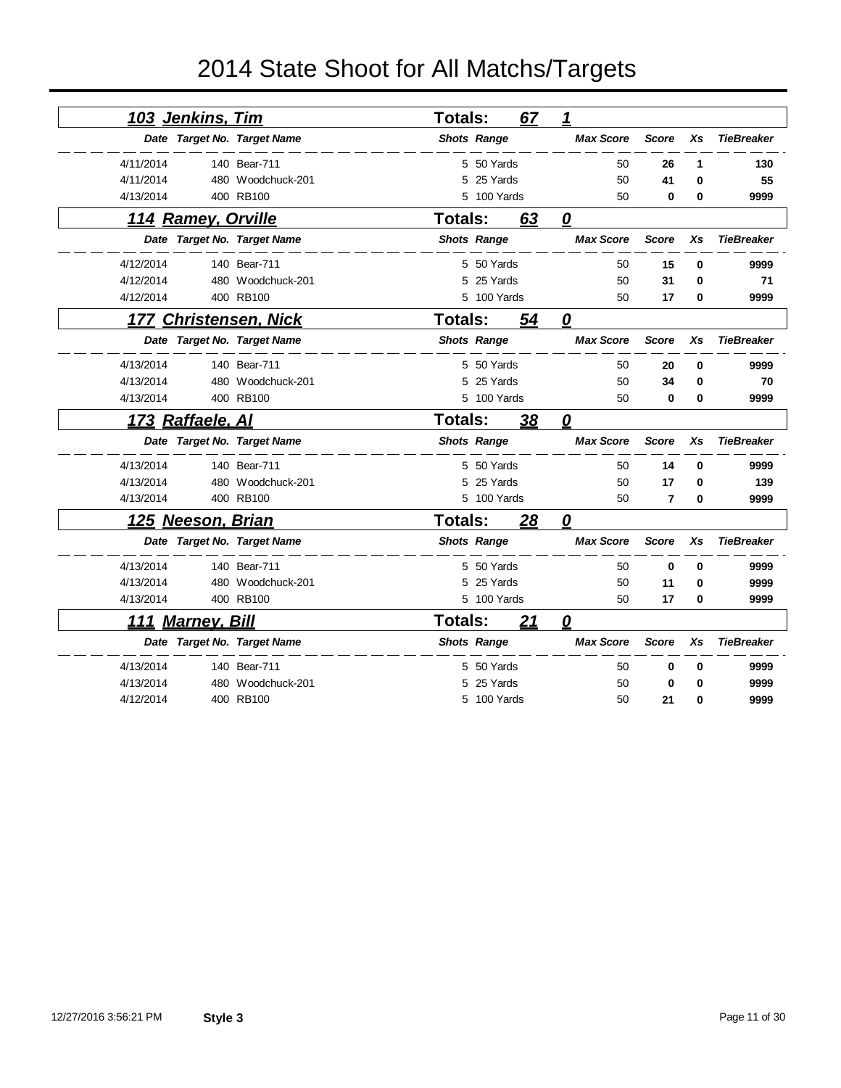|           | 103 Jenkins, Tim          |                             | Totals:        |                    | 67        | 1                 |                |          |                   |
|-----------|---------------------------|-----------------------------|----------------|--------------------|-----------|-------------------|----------------|----------|-------------------|
|           |                           | Date Target No. Target Name |                | <b>Shots Range</b> |           | <b>Max Score</b>  | <b>Score</b>   | Xs       | <b>TieBreaker</b> |
| 4/11/2014 |                           | 140 Bear-711                |                | 5 50 Yards         |           | 50                | 26             | 1        | 130               |
| 4/11/2014 |                           | 480 Woodchuck-201           | 5              | 25 Yards           |           | 50                | 41             | $\bf{0}$ | 55                |
| 4/13/2014 |                           | 400 RB100                   |                | 5 100 Yards        |           | 50                | 0              | $\bf{0}$ | 9999              |
|           | <u>114 Ramey, Orville</u> |                             | <b>Totals:</b> |                    | 63        | 0                 |                |          |                   |
|           |                           | Date Target No. Target Name |                | <b>Shots Range</b> |           | <b>Max Score</b>  | <b>Score</b>   | Xs       | <b>TieBreaker</b> |
| 4/12/2014 |                           | 140 Bear-711                |                | 5 50 Yards         |           | 50                | 15             | 0        | 9999              |
| 4/12/2014 |                           | 480 Woodchuck-201           | 5              | 25 Yards           |           | 50                | 31             | $\bf{0}$ | 71                |
| 4/12/2014 |                           | 400 RB100                   | 5              | 100 Yards          |           | 50                | 17             | 0        | 9999              |
| 177       |                           | <b>Christensen, Nick</b>    | <b>Totals:</b> |                    | 54        | 0                 |                |          |                   |
|           |                           | Date Target No. Target Name |                | <b>Shots Range</b> |           | <b>Max Score</b>  | <b>Score</b>   | Xs       | <b>TieBreaker</b> |
| 4/13/2014 |                           | 140 Bear-711                |                | 5 50 Yards         |           | 50                | 20             | 0        | 9999              |
| 4/13/2014 |                           | 480 Woodchuck-201           | 5              | 25 Yards           |           | 50                | 34             | 0        | 70                |
| 4/13/2014 |                           | 400 RB100                   |                | 5 100 Yards        |           | 50                | 0              | 0        | 9999              |
|           | <u>173 Raffaele, Al</u>   |                             | <b>Totals:</b> |                    | <u>38</u> | 0                 |                |          |                   |
|           |                           | Date Target No. Target Name |                | <b>Shots Range</b> |           | <b>Max Score</b>  | <b>Score</b>   | Xs       | <b>TieBreaker</b> |
| 4/13/2014 |                           | 140 Bear-711                |                | 5 50 Yards         |           | 50                | 14             | $\bf{0}$ | 9999              |
| 4/13/2014 |                           | 480 Woodchuck-201           | 5              | 25 Yards           |           | 50                | 17             | 0        | 139               |
| 4/13/2014 |                           | 400 RB100                   |                | 5 100 Yards        |           | 50                | $\overline{7}$ | $\bf{0}$ | 9999              |
|           | <u>125 Neeson, Brian</u>  |                             | <b>Totals:</b> |                    | 28        | <u>0</u>          |                |          |                   |
|           |                           | Date Target No. Target Name |                | <b>Shots Range</b> |           | <b>Max Score</b>  | <b>Score</b>   | Xs       | <b>TieBreaker</b> |
| 4/13/2014 |                           | 140 Bear-711                |                | 5 50 Yards         |           | 50                | $\mathbf 0$    | 0        | 9999              |
| 4/13/2014 |                           | 480 Woodchuck-201           | 5              | 25 Yards           |           | 50                | 11             | 0        | 9999              |
| 4/13/2014 |                           | 400 RB100                   |                | 5 100 Yards        |           | 50                | 17             | 0        | 9999              |
|           | <b>111 Marney, Bill</b>   |                             | <b>Totals:</b> |                    | 21        | $\mathbf{\Omega}$ |                |          |                   |
|           |                           | Date Target No. Target Name |                | <b>Shots Range</b> |           | <b>Max Score</b>  | <b>Score</b>   | Xs       | <b>TieBreaker</b> |
| 4/13/2014 |                           | 140 Bear-711                | 5              | 50 Yards           |           | 50                | $\bf{0}$       | 0        | 9999              |
| 4/13/2014 |                           | 480 Woodchuck-201           | 5              | 25 Yards           |           | 50                | 0              | 0        | 9999              |
| 4/12/2014 |                           | 400 RB100                   |                | 5 100 Yards        |           | 50                | 21             | 0        | 9999              |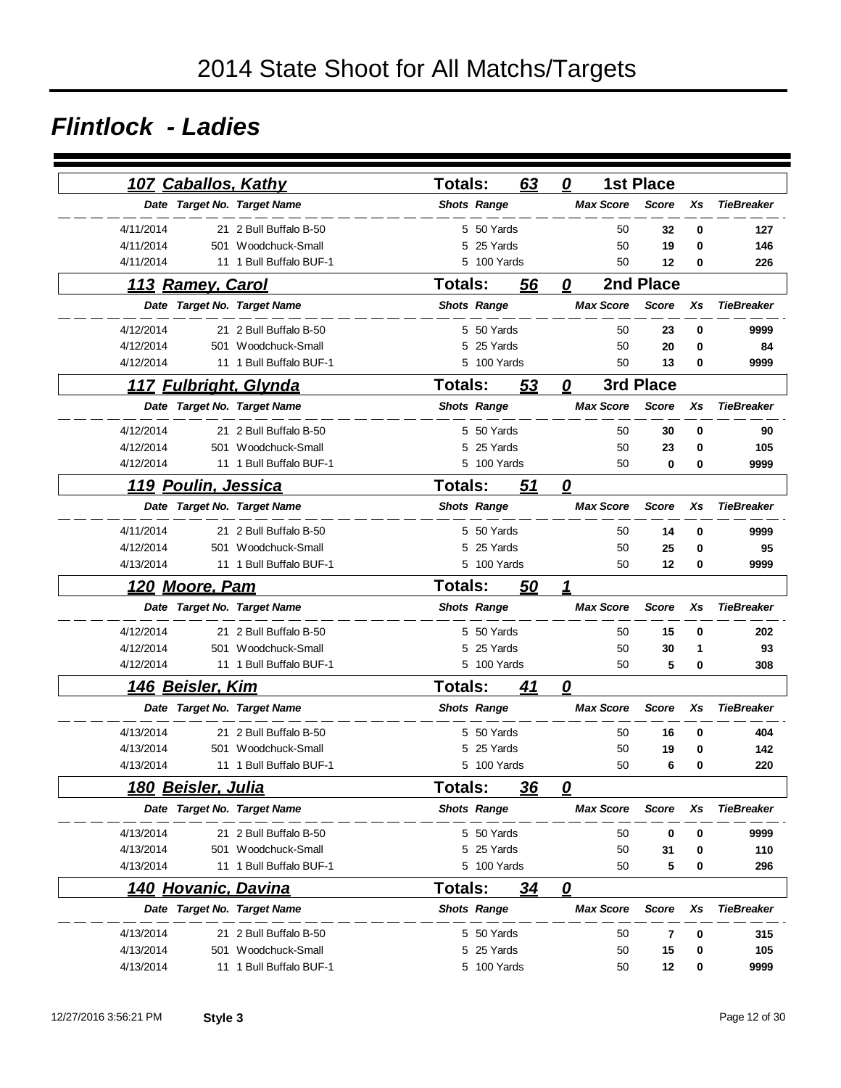#### *Flintlock - Ladies*

|           |                             | <u>107 Caballos, Kathy</u>   | <b>Totals:</b>     | 63          | 0                       |                  | <b>1st Place</b> |    |                   |
|-----------|-----------------------------|------------------------------|--------------------|-------------|-------------------------|------------------|------------------|----|-------------------|
|           |                             | Date Target No. Target Name  | <b>Shots Range</b> |             |                         | <b>Max Score</b> | <b>Score</b>     | Xs | <b>TieBreaker</b> |
| 4/11/2014 |                             | 21 2 Bull Buffalo B-50       |                    | 5 50 Yards  |                         | 50               | 32               | 0  | 127               |
| 4/11/2014 | 501                         | Woodchuck-Small              | 5                  | 25 Yards    |                         | 50               | 19               | 0  | 146               |
| 4/11/2014 | 11                          | 1 Bull Buffalo BUF-1         | 5                  | 100 Yards   |                         | 50               | 12               | 0  | 226               |
|           | 113 Ramey, Carol            |                              | <b>Totals:</b>     | 56          | 0                       |                  | 2nd Place        |    |                   |
|           |                             | Date Target No. Target Name  | <b>Shots Range</b> |             |                         | <b>Max Score</b> | <b>Score</b>     | Xs | <b>TieBreaker</b> |
| 4/12/2014 |                             | 21 2 Bull Buffalo B-50       |                    | 5 50 Yards  |                         | 50               | 23               | 0  | 9999              |
| 4/12/2014 | 501                         | Woodchuck-Small              | 5                  | 25 Yards    |                         | 50               | 20               | 0  | 84                |
| 4/12/2014 |                             | 11 1 Bull Buffalo BUF-1      | 5                  | 100 Yards   |                         | 50               | 13               | 0  | 9999              |
|           |                             | <u>117 Fulbright, Glynda</u> | <b>Totals:</b>     | <u>53</u>   | 0                       |                  | 3rd Place        |    |                   |
|           |                             | Date Target No. Target Name  | <b>Shots Range</b> |             |                         | <b>Max Score</b> | <b>Score</b>     | Xs | <b>TieBreaker</b> |
| 4/12/2014 |                             | 21 2 Bull Buffalo B-50       |                    | 5 50 Yards  |                         | 50               | 30               | 0  | 90                |
| 4/12/2014 | 501                         | Woodchuck-Small              | 5                  | 25 Yards    |                         | 50               | 23               | 0  | 105               |
| 4/12/2014 |                             | 11 1 Bull Buffalo BUF-1      |                    | 5 100 Yards |                         | 50               | 0                | 0  | 9999              |
|           | <u> 119 Poulin, Jessica</u> |                              | <b>Totals:</b>     | 51          | $\overline{\mathbf{0}}$ |                  |                  |    |                   |
|           |                             | Date Target No. Target Name  | <b>Shots Range</b> |             |                         | <b>Max Score</b> | <b>Score</b>     | Xs | <b>TieBreaker</b> |
| 4/11/2014 |                             | 21 2 Bull Buffalo B-50       |                    | 5 50 Yards  |                         | 50               | 14               | 0  | 9999              |
| 4/12/2014 |                             | 501 Woodchuck-Small          |                    | 5 25 Yards  |                         | 50               | 25               | 0  | 95                |
| 4/13/2014 |                             | 11 1 Bull Buffalo BUF-1      |                    | 5 100 Yards |                         | 50               | 12               | 0  | 9999              |
| 120       | <u>Moore, Pam</u>           |                              | <b>Totals:</b>     | 50          | 1                       |                  |                  |    |                   |
|           |                             | Date Target No. Target Name  | <b>Shots Range</b> |             |                         | <b>Max Score</b> | <b>Score</b>     | Xs | <b>TieBreaker</b> |
| 4/12/2014 |                             | 21 2 Bull Buffalo B-50       |                    | 5 50 Yards  |                         | 50               | 15               | 0  | 202               |
| 4/12/2014 | 501                         | Woodchuck-Small              | 5                  | 25 Yards    |                         | 50               | 30               | 1  | 93                |
| 4/12/2014 |                             | 11 1 Bull Buffalo BUF-1      |                    | 5 100 Yards |                         | 50               | 5                | 0  | 308               |
|           | 146 Beisler, Kim            |                              | <b>Totals:</b>     | 41          | 0                       |                  |                  |    |                   |
|           |                             | Date Target No. Target Name  | <b>Shots Range</b> |             |                         | <b>Max Score</b> | <b>Score</b>     | Xs | <b>TieBreaker</b> |
| 4/13/2014 |                             | 21 2 Bull Buffalo B-50       | 5.                 | 50 Yards    |                         | 50               | 16               | 0  | 404               |
| 4/13/2014 | 501                         | Woodchuck-Small              | 5                  | 25 Yards    |                         | 50               | 19               | 0  | 142               |
| 4/13/2014 |                             | 11 1 Bull Buffalo BUF-1      | 5                  | 100 Yards   |                         | 50               | 6                | 0  | 220               |
|           | 180 Beisler, Julia          |                              | <b>Totals:</b>     | 36          | 0                       |                  |                  |    |                   |
|           |                             | Date Target No. Target Name  | <b>Shots Range</b> |             |                         | <b>Max Score</b> | <b>Score</b>     | Xs | <b>TieBreaker</b> |
| 4/13/2014 |                             | 21 2 Bull Buffalo B-50       |                    | 5 50 Yards  |                         | 50               | 0                | 0  | 9999              |
| 4/13/2014 |                             | 501 Woodchuck-Small          | 5                  | 25 Yards    |                         | 50               | 31               | 0  | 110               |
| 4/13/2014 |                             | 11 1 Bull Buffalo BUF-1      |                    | 5 100 Yards |                         | 50               | 5                | 0  | 296               |
|           |                             | 140 Hovanic, Davina          | <b>Totals:</b>     | 34          | 0                       |                  |                  |    |                   |
|           |                             | Date Target No. Target Name  | <b>Shots Range</b> |             |                         | <b>Max Score</b> | <b>Score</b>     | Xs | <b>TieBreaker</b> |
| 4/13/2014 |                             | 21 2 Bull Buffalo B-50       |                    | 5 50 Yards  |                         | 50               | 7                | 0  | 315               |
| 4/13/2014 | 501                         | Woodchuck-Small              | 5                  | 25 Yards    |                         | 50               | 15               | 0  | 105               |
| 4/13/2014 |                             | 11 1 Bull Buffalo BUF-1      |                    | 5 100 Yards |                         | 50               | 12               | 0  | 9999              |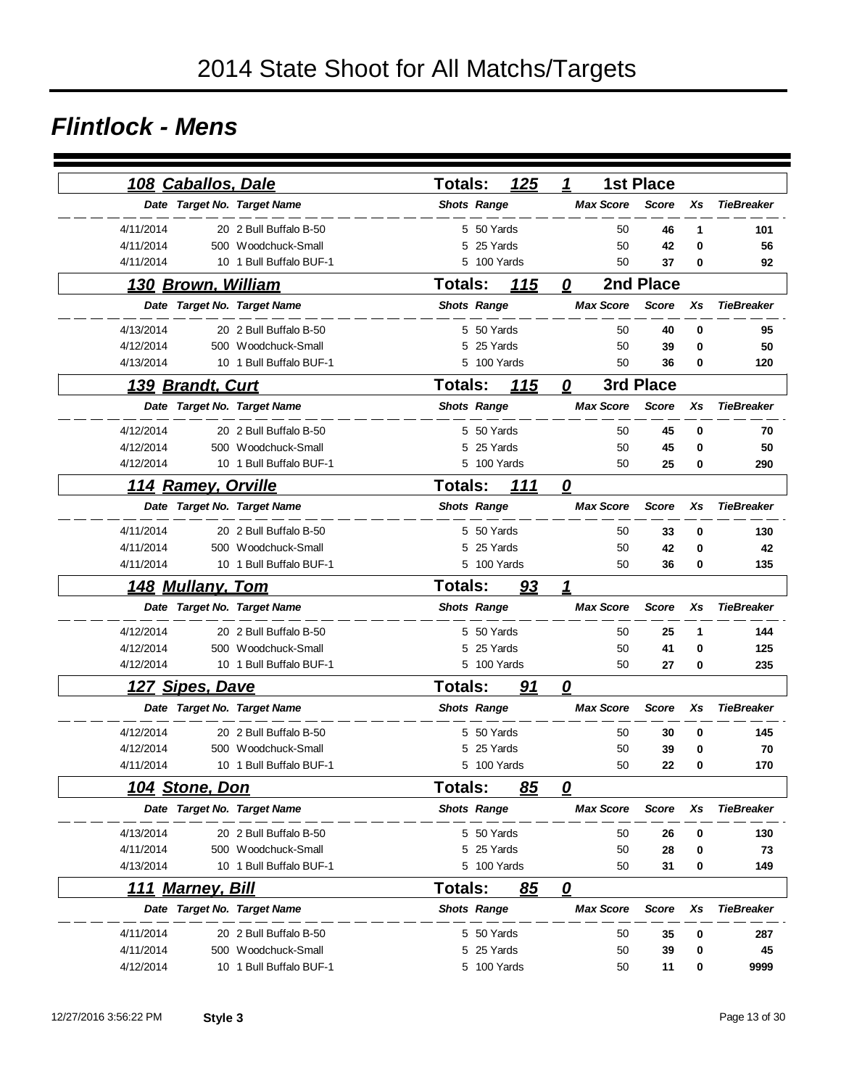#### *Flintlock - Mens*

| 108 Caballos, Dale          |                         | Totals:            | <u>125</u>  | 1                       |                  | <b>1st Place</b> |    |                   |
|-----------------------------|-------------------------|--------------------|-------------|-------------------------|------------------|------------------|----|-------------------|
| Date Target No. Target Name |                         | <b>Shots Range</b> |             |                         | <b>Max Score</b> | <b>Score</b>     | Xs | <b>TieBreaker</b> |
| 4/11/2014                   | 20 2 Bull Buffalo B-50  |                    | 5 50 Yards  |                         | 50               | 46               | 1  | 101               |
| 4/11/2014                   | 500 Woodchuck-Small     |                    | 5 25 Yards  |                         | 50               | 42               | 0  | 56                |
| 4/11/2014                   | 10 1 Bull Buffalo BUF-1 |                    | 5 100 Yards |                         | 50               | 37               | 0  | 92                |
| 130 Brown, William          |                         | <b>Totals:</b>     | 115         | 0                       |                  | 2nd Place        |    |                   |
| Date Target No. Target Name |                         | <b>Shots Range</b> |             |                         | <b>Max Score</b> | <b>Score</b>     | Xs | <b>TieBreaker</b> |
| 4/13/2014                   | 20 2 Bull Buffalo B-50  |                    | 5 50 Yards  |                         | 50               | 40               | 0  | 95                |
| 4/12/2014                   | 500 Woodchuck-Small     | 5                  | 25 Yards    |                         | 50               | 39               | 0  | 50                |
| 4/13/2014                   | 10 1 Bull Buffalo BUF-1 |                    | 5 100 Yards |                         | 50               | 36               | 0  | 120               |
| 139 Brandt, Curt            |                         | <b>Totals:</b>     | <u> 115</u> | 0                       |                  | 3rd Place        |    |                   |
| Date Target No. Target Name |                         | <b>Shots Range</b> |             |                         | <b>Max Score</b> | <b>Score</b>     | Xs | <b>TieBreaker</b> |
| 4/12/2014                   | 20 2 Bull Buffalo B-50  |                    | 5 50 Yards  |                         | 50               | 45               | 0  | 70                |
| 4/12/2014                   | 500 Woodchuck-Small     | 5                  | 25 Yards    |                         | 50               | 45               | 0  | 50                |
| 4/12/2014                   | 10 1 Bull Buffalo BUF-1 |                    | 5 100 Yards |                         | 50               | 25               | 0  | 290               |
| 114 Ramey, Orville          |                         | <b>Totals:</b>     | 111         | $\overline{\mathbf{0}}$ |                  |                  |    |                   |
| Date Target No. Target Name |                         | <b>Shots Range</b> |             |                         | <b>Max Score</b> | <b>Score</b>     | Xs | <b>TieBreaker</b> |
| 4/11/2014                   | 20 2 Bull Buffalo B-50  |                    | 5 50 Yards  |                         | 50               | 33               | 0  | 130               |
| 4/11/2014                   | 500 Woodchuck-Small     |                    | 5 25 Yards  |                         | 50               | 42               | 0  | 42                |
| 4/11/2014                   | 10 1 Bull Buffalo BUF-1 |                    | 5 100 Yards |                         | 50               | 36               | 0  | 135               |
| <u>148 Mullany, Tom</u>     |                         | <b>Totals:</b>     | 93          | 1                       |                  |                  |    |                   |
| Date Target No. Target Name |                         | <b>Shots Range</b> |             |                         | <b>Max Score</b> | <b>Score</b>     | Xs | <b>TieBreaker</b> |
| 4/12/2014                   | 20 2 Bull Buffalo B-50  |                    | 5 50 Yards  |                         | 50               | 25               | 1  | 144               |
| 4/12/2014                   | 500 Woodchuck-Small     |                    | 5 25 Yards  |                         | 50               | 41               | 0  | 125               |
| 4/12/2014                   | 10 1 Bull Buffalo BUF-1 |                    | 5 100 Yards |                         | 50               | 27               | 0  | 235               |
| 127 Sipes, Dave             |                         | <b>Totals:</b>     | 91          | 0                       |                  |                  |    |                   |
| Date Target No. Target Name |                         | <b>Shots Range</b> |             |                         | <b>Max Score</b> | <b>Score</b>     | Xs | <b>TieBreaker</b> |
| 4/12/2014                   | 20 2 Bull Buffalo B-50  |                    | 5 50 Yards  |                         | 50               | 30               | 0  | 145               |
| 4/12/2014                   | 500 Woodchuck-Small     | 5                  | 25 Yards    |                         | 50               | 39               | 0  | 70                |
| 4/11/2014                   | 10 1 Bull Buffalo BUF-1 |                    | 5 100 Yards |                         | 50               | 22               | 0  | 170               |
| <u>104 Stone, Don</u>       |                         | Totals:            | 85          | 0                       |                  |                  |    |                   |
| Date Target No. Target Name |                         | <b>Shots Range</b> |             |                         | <b>Max Score</b> | <b>Score</b>     | Xs | <b>TieBreaker</b> |
| 4/13/2014                   | 20 2 Bull Buffalo B-50  |                    | 5 50 Yards  |                         | 50               | 26               | 0  | 130               |
| 4/11/2014                   | 500 Woodchuck-Small     |                    | 5 25 Yards  |                         | 50               | 28               | 0  | 73                |
| 4/13/2014                   | 10 1 Bull Buffalo BUF-1 |                    | 5 100 Yards |                         | 50               | 31               | 0  | 149               |
| 111 Marney, Bill            |                         | <b>Totals:</b>     | 85          | $\overline{\mathbf{0}}$ |                  |                  |    |                   |
| Date Target No. Target Name |                         | <b>Shots Range</b> |             |                         | <b>Max Score</b> | <b>Score</b>     | Xs | <b>TieBreaker</b> |
| 4/11/2014                   | 20 2 Bull Buffalo B-50  |                    | 5 50 Yards  |                         | 50               | 35               | 0  | 287               |
| 4/11/2014                   | 500 Woodchuck-Small     | 5                  | 25 Yards    |                         | 50               | 39               | 0  | 45                |
| 4/12/2014                   | 10 1 Bull Buffalo BUF-1 |                    | 5 100 Yards |                         | 50               | 11               | 0  | 9999              |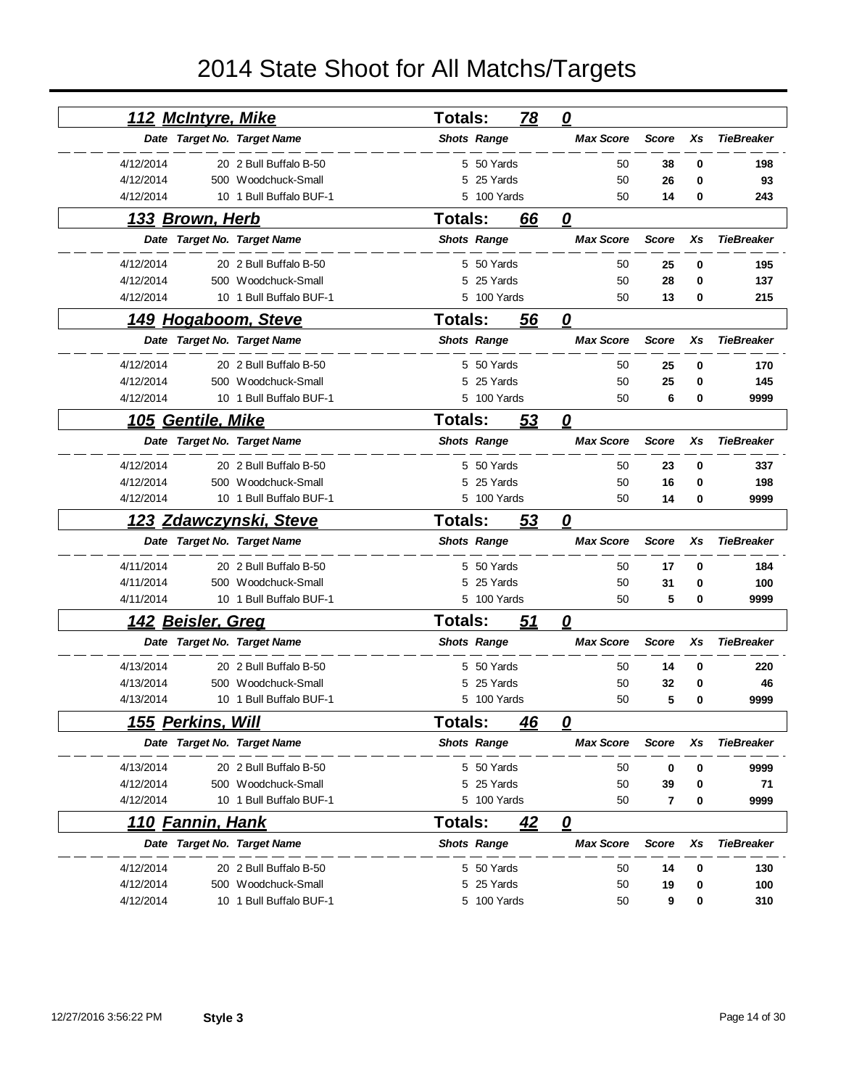| <u>112 McIntyre, Mike</u>     |                         | <b>Totals:</b> |                    | <u>78</u> | $\mathbf{\Omega}$       |              |    |                   |
|-------------------------------|-------------------------|----------------|--------------------|-----------|-------------------------|--------------|----|-------------------|
| Date Target No. Target Name   |                         |                | <b>Shots Range</b> |           | <b>Max Score</b>        | <b>Score</b> | Xs | <b>TieBreaker</b> |
| 4/12/2014                     | 20 2 Bull Buffalo B-50  |                | 5 50 Yards         |           | 50                      | 38           | 0  | 198               |
| 4/12/2014                     | 500 Woodchuck-Small     | 5              | 25 Yards           |           | 50                      | 26           | 0  | 93                |
| 4/12/2014                     | 10 1 Bull Buffalo BUF-1 |                | 5 100 Yards        |           | 50                      | 14           | 0  | 243               |
| <u>133 Brown, Herb</u>        |                         | <b>Totals:</b> |                    | 66        | 0                       |              |    |                   |
| Date Target No. Target Name   |                         |                | <b>Shots Range</b> |           | <b>Max Score</b>        | <b>Score</b> | Xs | <b>TieBreaker</b> |
| 4/12/2014                     | 20 2 Bull Buffalo B-50  |                | 5 50 Yards         |           | 50                      | 25           | 0  | 195               |
| 4/12/2014                     | 500 Woodchuck-Small     | 5              | 25 Yards           |           | 50                      | 28           | 0  | 137               |
| 4/12/2014                     | 10 1 Bull Buffalo BUF-1 | 5              | 100 Yards          |           | 50                      | 13           | 0  | 215               |
| <u>149 Hogaboom, Steve</u>    |                         | <b>Totals:</b> |                    | 56        | 0                       |              |    |                   |
| Date Target No. Target Name   |                         |                | <b>Shots Range</b> |           | <b>Max Score</b>        | <b>Score</b> | Xs | <b>TieBreaker</b> |
| 4/12/2014                     | 20 2 Bull Buffalo B-50  |                | 5 50 Yards         |           | 50                      | 25           | 0  | 170               |
| 4/12/2014                     | 500 Woodchuck-Small     | 5              | 25 Yards           |           | 50                      | 25           | 0  | 145               |
| 4/12/2014                     | 10 1 Bull Buffalo BUF-1 |                | 5 100 Yards        |           | 50                      | 6            | 0  | 9999              |
| <b>Gentile, Mike</b><br>105   |                         | <b>Totals:</b> |                    | 53        | 0                       |              |    |                   |
| Date Target No. Target Name   |                         |                | <b>Shots Range</b> |           | <b>Max Score</b>        | <b>Score</b> | Χs | <b>TieBreaker</b> |
| 4/12/2014                     | 20 2 Bull Buffalo B-50  |                | 5 50 Yards         |           | 50                      | 23           | 0  | 337               |
| 4/12/2014                     | 500 Woodchuck-Small     |                | 5 25 Yards         |           | 50                      | 16           | 0  | 198               |
| 4/12/2014                     | 10 1 Bull Buffalo BUF-1 |                | 5 100 Yards        |           | 50                      | 14           | 0  | 9999              |
| <u>123 Zdawczynski, Steve</u> |                         | <b>Totals:</b> |                    | 53        | 0                       |              |    |                   |
| Date Target No. Target Name   |                         |                | <b>Shots Range</b> |           | <b>Max Score</b>        | <b>Score</b> | Xs | <b>TieBreaker</b> |
| 4/11/2014                     | 20 2 Bull Buffalo B-50  |                | 5 50 Yards         |           | 50                      | 17           | 0  | 184               |
| 4/11/2014                     | 500 Woodchuck-Small     | 5              | 25 Yards           |           | 50                      | 31           | 0  | 100               |
| 4/11/2014                     | 10 1 Bull Buffalo BUF-1 |                | 5 100 Yards        |           | 50                      | 5            | 0  | 9999              |
| <u> 142 Beisler, Greq</u>     |                         | <b>Totals:</b> |                    | <u>51</u> | $\boldsymbol{\varrho}$  |              |    |                   |
| Date Target No. Target Name   |                         |                | <b>Shots Range</b> |           | <b>Max Score</b>        | <b>Score</b> | Xs | <b>TieBreaker</b> |
| 4/13/2014                     | 20 2 Bull Buffalo B-50  | 5              | 50 Yards           |           | 50                      | 14           | 0  | 220               |
| 4/13/2014<br>500              | Woodchuck-Small         |                | 25 Yards           |           | 50                      | 32           | 0  | 46                |
| 4/13/2014                     | 10 1 Bull Buffalo BUF-1 |                | 5 100 Yards        |           | 50                      | 5            | 0  | 9999              |
| <u>155 Perkins, Will</u>      |                         | <b>Totals:</b> |                    | 46        | 0                       |              |    |                   |
| Date Target No. Target Name   |                         |                | <b>Shots Range</b> |           | <b>Max Score</b>        | <b>Score</b> | Xs | <b>TieBreaker</b> |
| 4/13/2014                     | 20 2 Bull Buffalo B-50  |                | 5 50 Yards         |           | 50                      | 0            | 0  | 9999              |
| 4/12/2014                     | 500 Woodchuck-Small     |                | 5 25 Yards         |           | 50                      | 39           | 0  | 71                |
| 4/12/2014                     | 10 1 Bull Buffalo BUF-1 |                | 5 100 Yards        |           | 50                      | 7            | 0  | 9999              |
| <b>Fannin, Hank</b><br>110    |                         | <b>Totals:</b> |                    | 42        | $\overline{\mathbf{0}}$ |              |    |                   |
| Date Target No. Target Name   |                         |                | <b>Shots Range</b> |           | <b>Max Score</b>        | <b>Score</b> | Xs | <b>TieBreaker</b> |
| 4/12/2014                     | 20 2 Bull Buffalo B-50  |                | 5 50 Yards         |           | 50                      | 14           | 0  | 130               |
|                               |                         |                |                    |           |                         |              |    |                   |
| 4/12/2014                     | 500 Woodchuck-Small     | 5              | 25 Yards           |           | 50                      | 19           | 0  | 100               |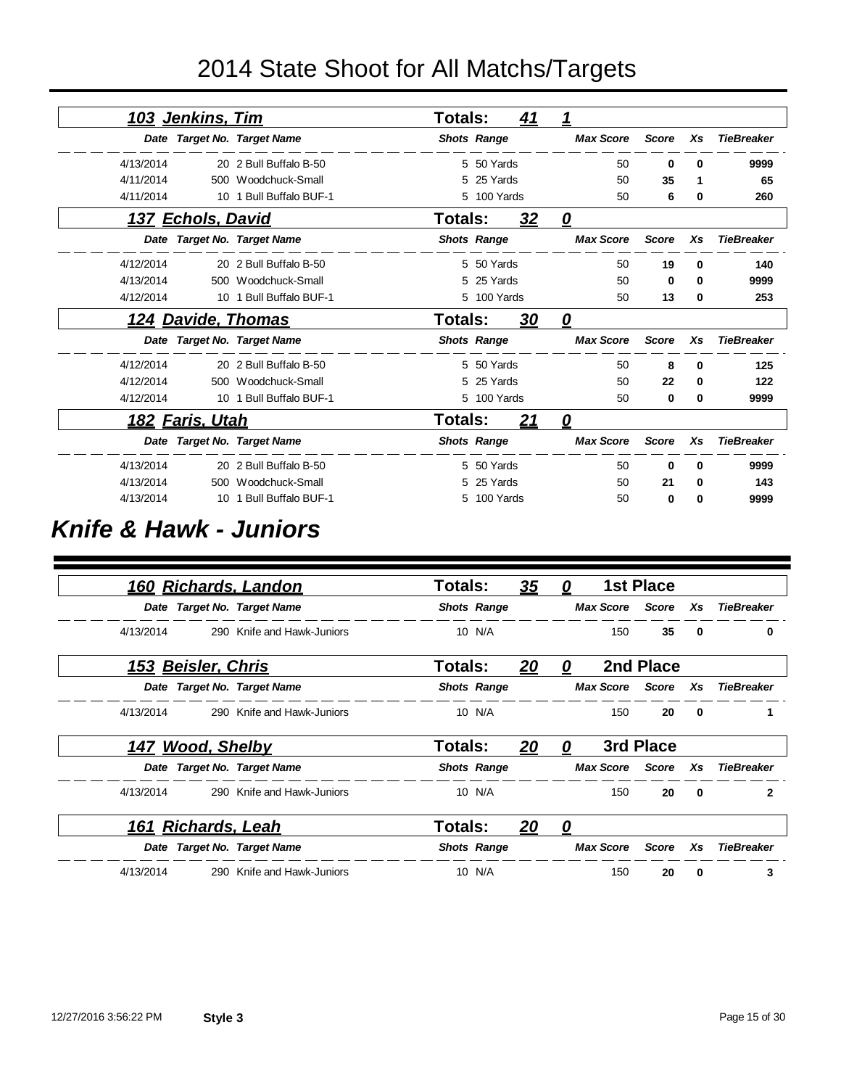|           | 103 Jenkins, Tim          |                             | <b>Totals:</b> |                    | <u>41</u> |                         |              |    |                   |
|-----------|---------------------------|-----------------------------|----------------|--------------------|-----------|-------------------------|--------------|----|-------------------|
|           |                           | Date Target No. Target Name |                | <b>Shots Range</b> |           | <b>Max Score</b>        | <b>Score</b> | Xs | <b>TieBreaker</b> |
| 4/13/2014 |                           | 20 2 Bull Buffalo B-50      |                | 5 50 Yards         |           | 50                      | 0            | 0  | 9999              |
| 4/11/2014 |                           | 500 Woodchuck-Small         |                | 5 25 Yards         |           | 50                      | 35           | 1  | 65                |
| 4/11/2014 | 10                        | 1 Bull Buffalo BUF-1        |                | 5 100 Yards        |           | 50                      | 6            | 0  | 260               |
|           | <u>137 Echols, David</u>  |                             | Totals:        |                    | 32        | $\overline{\mathbf{0}}$ |              |    |                   |
|           |                           | Date Target No. Target Name |                | <b>Shots Range</b> |           | <b>Max Score</b>        | <b>Score</b> | Xs | <b>TieBreaker</b> |
| 4/12/2014 |                           | 20 2 Bull Buffalo B-50      |                | 5 50 Yards         |           | 50                      | 19           | 0  | 140               |
| 4/13/2014 |                           | 500 Woodchuck-Small         |                | 5 25 Yards         |           | 50                      | 0            | 0  | 9999              |
| 4/12/2014 | 10                        | 1 Bull Buffalo BUF-1        |                | 5 100 Yards        |           | 50                      | 13           | 0  | 253               |
|           | <u>124 Davide, Thomas</u> |                             | Totals:        |                    | <u>30</u> | 0                       |              |    |                   |
|           |                           | Date Target No. Target Name |                | <b>Shots Range</b> |           | <b>Max Score</b>        | <b>Score</b> | Xs | <b>TieBreaker</b> |
| 4/12/2014 |                           | 20 2 Bull Buffalo B-50      |                | 5 50 Yards         |           | 50                      | 8            | 0  | 125               |
| 4/12/2014 |                           | 500 Woodchuck-Small         |                | 5 25 Yards         |           | 50                      | 22           | 0  | 122               |
| 4/12/2014 |                           | 10 1 Bull Buffalo BUF-1     |                | 5 100 Yards        |           | 50                      | 0            | 0  | 9999              |
|           | <u>182 Faris, Utah</u>    |                             | <b>Totals:</b> |                    | <u>21</u> | 0                       |              |    |                   |
|           |                           | Date Target No. Target Name |                | <b>Shots Range</b> |           | <b>Max Score</b>        | <b>Score</b> | Xs | <b>TieBreaker</b> |
| 4/13/2014 |                           | 20 2 Bull Buffalo B-50      |                | 5 50 Yards         |           | 50                      | 0            | 0  | 9999              |
| 4/13/2014 |                           | 500 Woodchuck-Small         |                | 5 25 Yards         |           | 50                      | 21           | 0  | 143               |
| 4/13/2014 |                           | 10 1 Bull Buffalo BUF-1     |                | 5 100 Yards        |           | 50                      | 0            | 0  | 9999              |

#### *Knife & Hawk - Juniors*

|                    | 160 Richards, Landon        | Totals: |                    | <u>35</u> | 0 |                        | <b>1st Place</b> |              |                   |
|--------------------|-----------------------------|---------|--------------------|-----------|---|------------------------|------------------|--------------|-------------------|
|                    | Date Target No. Target Name |         | <b>Shots Range</b> |           |   | <b>Max Score</b> Score |                  | <b>Xs</b>    | <b>TieBreaker</b> |
| 4/13/2014          | 290 Knife and Hawk-Juniors  |         | 10 N/A             |           |   | 150                    | 35               | 0            | 0                 |
| 153 Beisler, Chris |                             | Totals: |                    | 20        | 0 |                        | 2nd Place        |              |                   |
|                    | Date Target No. Target Name |         | <b>Shots Range</b> |           |   | <b>Max Score</b>       | Score            | Xs           | <b>TieBreaker</b> |
| 4/13/2014          | 290 Knife and Hawk-Juniors  |         | 10 N/A             |           |   | 150                    | 20               | $\mathbf 0$  |                   |
| 147 Wood, Shelby   |                             | Totals: |                    | 20        | 0 |                        | 3rd Place        |              |                   |
|                    | Date Target No. Target Name |         | <b>Shots Range</b> |           |   | <b>Max Score</b>       | Score            | Xs           | <b>TieBreaker</b> |
| 4/13/2014          | 290 Knife and Hawk-Juniors  |         | 10 N/A             |           |   | 150                    | 20               | $\mathbf{0}$ | $\mathbf{2}$      |
| 161 Richards, Leah |                             | Totals: |                    | 20        | 0 |                        |                  |              |                   |
|                    | Date Target No. Target Name |         | <b>Shots Range</b> |           |   | <b>Max Score</b>       | <b>Score</b>     | Xs           | <b>TieBreaker</b> |
| 4/13/2014          | 290 Knife and Hawk-Juniors  |         | 10 N/A             |           |   | 150                    | 20               | $\mathbf{0}$ | 3                 |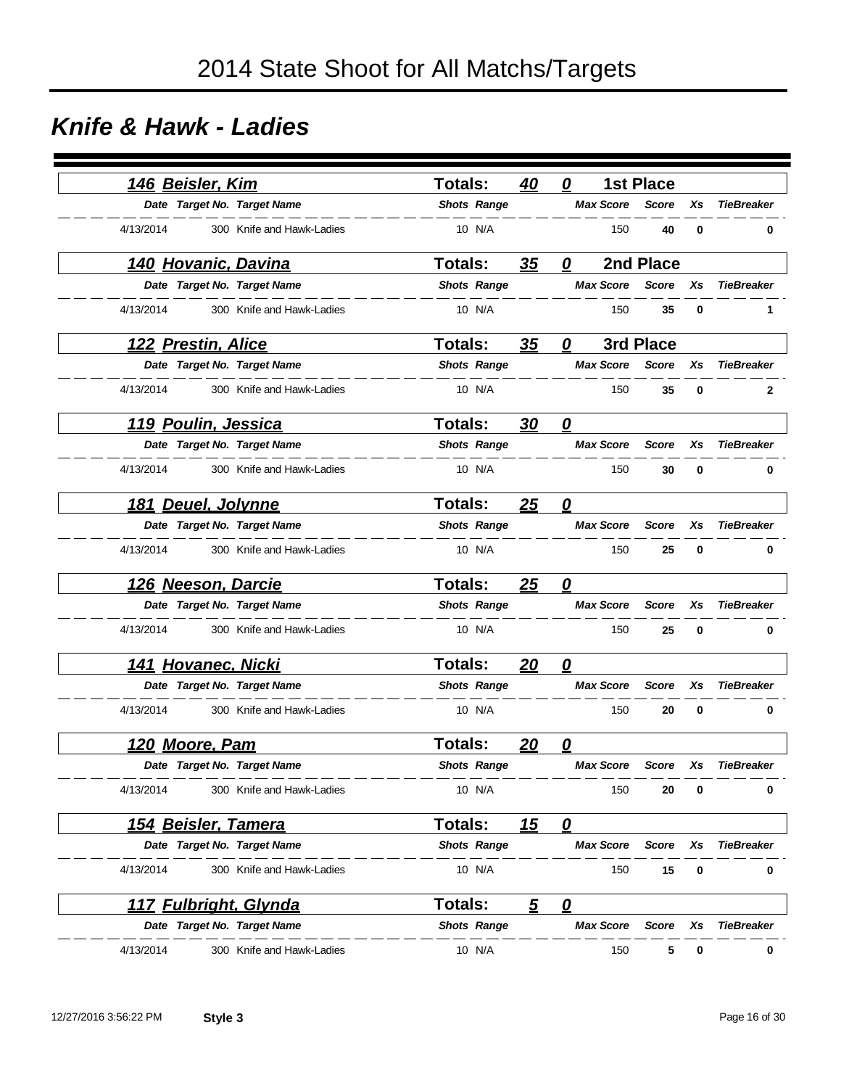#### *Knife & Hawk - Ladies*

|           | <u>146 Beisler, Kim</u>    |                             | <b>Totals:</b> |                    | 40             | 0                      |                  | <b>1st Place</b> |          |                   |
|-----------|----------------------------|-----------------------------|----------------|--------------------|----------------|------------------------|------------------|------------------|----------|-------------------|
|           |                            | Date Target No. Target Name |                | <b>Shots Range</b> |                |                        | <b>Max Score</b> | <b>Score</b>     | Xs       | <b>TieBreaker</b> |
| 4/13/2014 |                            | 300 Knife and Hawk-Ladies   |                | 10 N/A             |                |                        | 150              | 40               | $\bf{0}$ | 0                 |
|           |                            | <u>140 Hovanic, Davina</u>  | Totals:        |                    | 35             | 0                      |                  | 2nd Place        |          |                   |
|           |                            | Date Target No. Target Name |                | <b>Shots Range</b> |                |                        | <b>Max Score</b> | <b>Score</b>     | Xs       | <b>TieBreaker</b> |
| 4/13/2014 |                            | 300 Knife and Hawk-Ladies   |                | 10 N/A             |                |                        | 150              | 35               | 0        | 1                 |
|           | 122 Prestin, Alice         |                             | <b>Totals:</b> |                    | 35             | 0                      |                  | 3rd Place        |          |                   |
|           |                            | Date Target No. Target Name |                | <b>Shots Range</b> |                |                        | <b>Max Score</b> | <b>Score</b>     | Xs       | <b>TieBreaker</b> |
| 4/13/2014 |                            | 300 Knife and Hawk-Ladies   |                | 10 N/A             |                |                        | 150              | 35               | $\bf{0}$ | $\mathbf{2}$      |
|           | 119 Poulin, Jessica        |                             | <b>Totals:</b> |                    | 30             | $\boldsymbol{\varrho}$ |                  |                  |          |                   |
|           |                            | Date Target No. Target Name |                | <b>Shots Range</b> |                |                        | <b>Max Score</b> | <b>Score</b>     | Xs       | <b>TieBreaker</b> |
| 4/13/2014 |                            | 300 Knife and Hawk-Ladies   |                | 10 N/A             |                |                        | 150              | 30               | 0        | 0                 |
| 181       | Deuel, Jolynne             |                             | <b>Totals:</b> |                    | 25             | 0                      |                  |                  |          |                   |
|           |                            | Date Target No. Target Name |                | <b>Shots Range</b> |                |                        | <b>Max Score</b> | <b>Score</b>     | Xs       | <b>TieBreaker</b> |
| 4/13/2014 |                            | 300 Knife and Hawk-Ladies   |                | 10 N/A             |                |                        | 150              | 25               | 0        | 0                 |
|           | 126 Neeson, Darcie         |                             | <b>Totals:</b> |                    | 25             | 0                      |                  |                  |          |                   |
|           |                            | Date Target No. Target Name |                | <b>Shots Range</b> |                |                        | <b>Max Score</b> | <b>Score</b>     | Xs       | <b>TieBreaker</b> |
| 4/13/2014 |                            | 300 Knife and Hawk-Ladies   |                | 10 N/A             |                |                        | 150              | 25               | 0        | 0                 |
|           | <u>141 Hovanec, Nicki</u>  |                             | Totals:        |                    | 20             | 0                      |                  |                  |          |                   |
|           |                            | Date Target No. Target Name |                | <b>Shots Range</b> |                |                        | <b>Max Score</b> | <b>Score</b>     | Xs       | <b>TieBreaker</b> |
| 4/13/2014 |                            | 300 Knife and Hawk-Ladies   |                | 10 N/A             |                |                        | 150              | 20               | 0        | 0                 |
|           | 120 Moore, Pam             |                             | <b>Totals:</b> |                    | <u> 20</u>     | 0                      |                  |                  |          |                   |
|           |                            | Date Target No. Target Name |                | <b>Shots Range</b> |                |                        | <b>Max Score</b> | <b>Score</b>     | Xs       | <b>TieBreaker</b> |
| 4/13/2014 |                            | 300 Knife and Hawk-Ladies   |                | 10 N/A             |                |                        | 150              | 20               | 0        | 0                 |
|           | <u>154 Beisler, Tamera</u> |                             | Totals:        |                    | <u> 15</u>     | $\mathbf{\Omega}$      |                  |                  |          |                   |
|           |                            | Date Target No. Target Name |                | <b>Shots Range</b> |                |                        | <b>Max Score</b> | Score            | Xs       | <b>TieBreaker</b> |
| 4/13/2014 |                            | 300 Knife and Hawk-Ladies   |                | 10 N/A             |                |                        | 150              | 15               | 0        | 0                 |
|           |                            | 117 Fulbright, Glynda       | Totals:        |                    | $\overline{5}$ | $\mathbf{\Omega}$      |                  |                  |          |                   |
|           |                            | Date Target No. Target Name |                | <b>Shots Range</b> |                |                        | <b>Max Score</b> | Score            | Xs       | <b>TieBreaker</b> |
| 4/13/2014 |                            | 300 Knife and Hawk-Ladies   |                | 10 N/A             |                |                        | 150              | 5                | 0        | 0                 |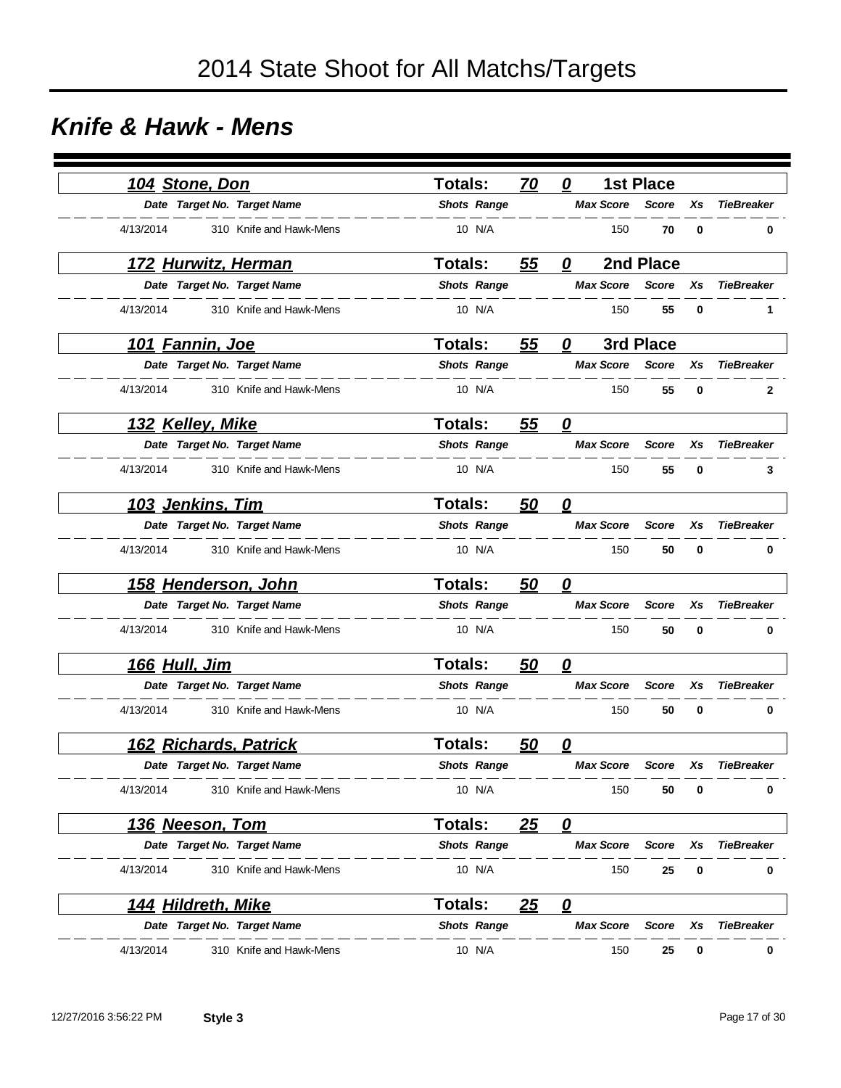#### *Knife & Hawk - Mens*

|           | 104 Stone, Don          |                             | <b>Totals:</b> |                    | 70        | 0                      |                  | <b>1st Place</b> |          |                   |
|-----------|-------------------------|-----------------------------|----------------|--------------------|-----------|------------------------|------------------|------------------|----------|-------------------|
|           |                         | Date Target No. Target Name |                | <b>Shots Range</b> |           |                        | <b>Max Score</b> | <b>Score</b>     | Xs       | <b>TieBreaker</b> |
| 4/13/2014 |                         | 310 Knife and Hawk-Mens     |                | 10 N/A             |           |                        | 150              | 70               | $\bf{0}$ | 0                 |
|           |                         | 172 Hurwitz, Herman         | Totals:        |                    | 55        | 0                      |                  | 2nd Place        |          |                   |
|           |                         | Date Target No. Target Name |                | <b>Shots Range</b> |           |                        | <b>Max Score</b> | <b>Score</b>     | Xs       | <b>TieBreaker</b> |
| 4/13/2014 |                         | 310 Knife and Hawk-Mens     |                | 10 N/A             |           |                        | 150              | 55               | 0        | 1                 |
|           | 101 Fannin, Joe         |                             | Totals:        |                    | 55        | 0                      |                  | 3rd Place        |          |                   |
|           |                         | Date Target No. Target Name |                | <b>Shots Range</b> |           |                        | <b>Max Score</b> | <b>Score</b>     | Xs       | <b>TieBreaker</b> |
| 4/13/2014 |                         | 310 Knife and Hawk-Mens     |                | 10 N/A             |           |                        | 150              | 55               | $\bf{0}$ | $\mathbf{2}$      |
|           | <u>132 Kelley, Mike</u> |                             | <b>Totals:</b> |                    | 55        | $\boldsymbol{\varrho}$ |                  |                  |          |                   |
|           |                         | Date Target No. Target Name |                | <b>Shots Range</b> |           |                        | <b>Max Score</b> | <b>Score</b>     | Xs       | <b>TieBreaker</b> |
| 4/13/2014 |                         | 310 Knife and Hawk-Mens     |                | 10 N/A             |           |                        | 150              | 55               | 0        | 3                 |
|           | 103 Jenkins, Tim        |                             | <b>Totals:</b> |                    | 50        | 0                      |                  |                  |          |                   |
|           |                         | Date Target No. Target Name |                | <b>Shots Range</b> |           |                        | <b>Max Score</b> | <b>Score</b>     | Xs       | <b>TieBreaker</b> |
| 4/13/2014 |                         | 310 Knife and Hawk-Mens     |                | 10 N/A             |           |                        | 150              | 50               | 0        | 0                 |
|           |                         | <u>158 Henderson, John</u>  | <b>Totals:</b> |                    | <u>50</u> | 0                      |                  |                  |          |                   |
|           |                         | Date Target No. Target Name |                | <b>Shots Range</b> |           |                        | <b>Max Score</b> | <b>Score</b>     | Xs       | <b>TieBreaker</b> |
| 4/13/2014 |                         | 310 Knife and Hawk-Mens     |                | 10 N/A             |           |                        | 150              | 50               | 0        | 0                 |
|           | <u>166 Hull, Jim</u>    |                             | Totals:        |                    | <u>50</u> | 0                      |                  |                  |          |                   |
|           |                         | Date Target No. Target Name |                | <b>Shots Range</b> |           |                        | <b>Max Score</b> | <b>Score</b>     | Xs       | <b>TieBreaker</b> |
| 4/13/2014 |                         | 310 Knife and Hawk-Mens     |                | 10 N/A             |           |                        | 150              | 50               | 0        | 0                 |
|           |                         | 162 Richards, Patrick       | <b>Totals:</b> |                    | 50        | 0                      |                  |                  |          |                   |
|           |                         | Date Target No. Target Name |                | <b>Shots Range</b> |           |                        | <b>Max Score</b> | <b>Score</b>     | Xs       | <b>TieBreaker</b> |
| 4/13/2014 |                         | 310 Knife and Hawk-Mens     |                | 10 N/A             |           |                        | 150              | 50               | 0        | 0                 |
|           | <u>136 Neeson, Tom</u>  |                             | Totals:        |                    | <u>25</u> | $\mathbf{\Omega}$      |                  |                  |          |                   |
|           |                         | Date Target No. Target Name |                | <b>Shots Range</b> |           |                        | <b>Max Score</b> | Score            | Xs       | <b>TieBreaker</b> |
| 4/13/2014 |                         | 310 Knife and Hawk-Mens     |                | 10 N/A             |           |                        | 150              | 25               | 0        | 0                 |
|           | 144 Hildreth, Mike      |                             | Totals:        |                    | <u>25</u> | $\mathbf{\Omega}$      |                  |                  |          |                   |
|           |                         | Date Target No. Target Name |                | <b>Shots Range</b> |           |                        | <b>Max Score</b> | Score            | Xs       | <b>TieBreaker</b> |
| 4/13/2014 |                         | 310 Knife and Hawk-Mens     |                | 10 N/A             |           |                        | 150              | 25               | 0        | 0                 |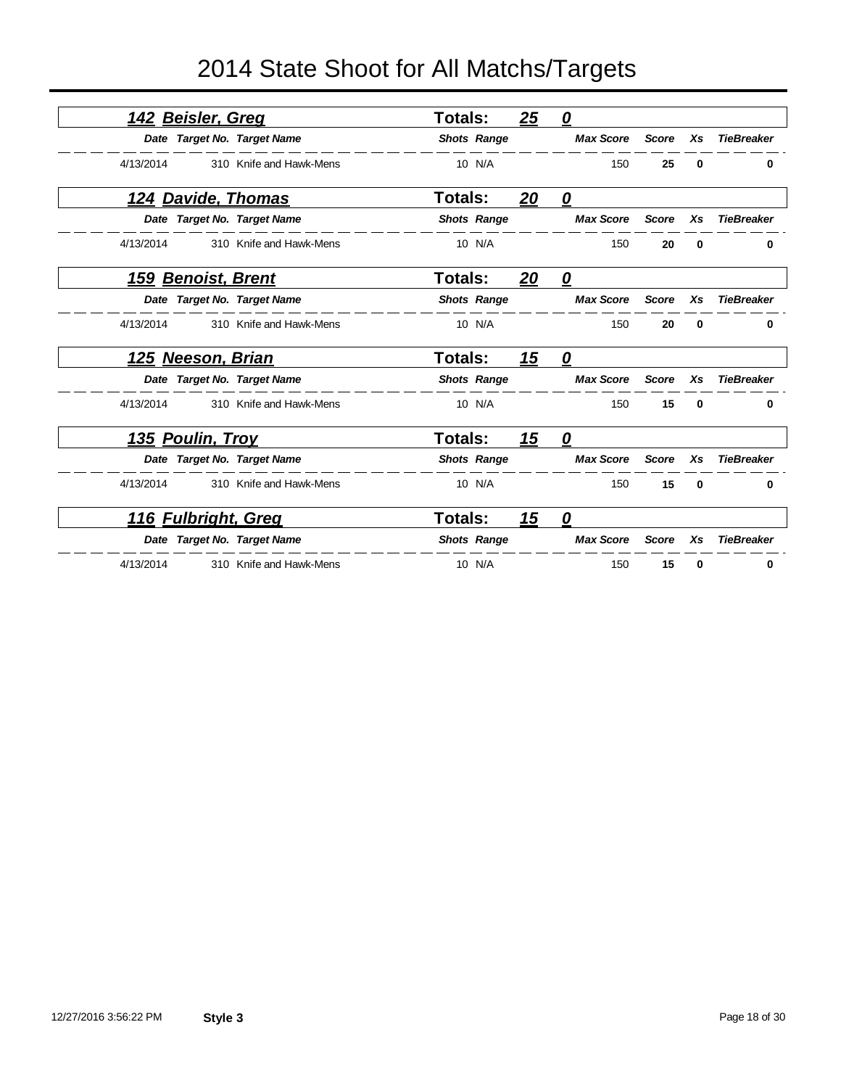|           | <u>142 Beisler, Greq</u>    | <b>Totals:</b>     | 25         | 0                       |              |          |                   |
|-----------|-----------------------------|--------------------|------------|-------------------------|--------------|----------|-------------------|
|           | Date Target No. Target Name | <b>Shots Range</b> |            | <b>Max Score</b>        | <b>Score</b> | Xs       | <b>TieBreaker</b> |
| 4/13/2014 | 310 Knife and Hawk-Mens     | 10 N/A             |            | 150                     | 25           | $\bf{0}$ | 0                 |
|           | 124 Davide, Thomas          | <b>Totals:</b>     | <u> 20</u> | $\mathbf{\Omega}$       |              |          |                   |
|           | Date Target No. Target Name | <b>Shots Range</b> |            | <b>Max Score</b>        | <b>Score</b> | Xs       | <b>TieBreaker</b> |
| 4/13/2014 | 310 Knife and Hawk-Mens     | 10 N/A             |            | 150                     | 20           | 0        | 0                 |
| 159       | <b>Benoist, Brent</b>       | <b>Totals:</b>     | <u>20</u>  | $\overline{\mathbf{0}}$ |              |          |                   |
|           | Date Target No. Target Name | <b>Shots Range</b> |            | <b>Max Score</b>        | <b>Score</b> | Xs       | <b>TieBreaker</b> |
| 4/13/2014 | 310 Knife and Hawk-Mens     | 10 N/A             |            | 150                     | 20           | 0        | 0                 |
|           | <u>125 Neeson, Brian</u>    | <b>Totals:</b>     | 15         | 0                       |              |          |                   |
|           | Date Target No. Target Name | <b>Shots Range</b> |            | <b>Max Score</b>        | <b>Score</b> | Xs       | <b>TieBreaker</b> |
| 4/13/2014 | 310 Knife and Hawk-Mens     | 10 N/A             |            | 150                     | 15           | 0        | 0                 |
|           | <u>135 Poulin, Troy</u>     | <b>Totals:</b>     | <u>15</u>  | $\mathbf{\Omega}$       |              |          |                   |
|           | Date Target No. Target Name | <b>Shots Range</b> |            | <b>Max Score</b>        | <b>Score</b> | Xs       | <b>TieBreaker</b> |
| 4/13/2014 | 310 Knife and Hawk-Mens     | 10 N/A             |            | 150                     | 15           | $\bf{0}$ | 0                 |
|           | 116 Fulbright, Greg         | <b>Totals:</b>     | 15         | $\overline{\mathbf{0}}$ |              |          |                   |
|           | Date Target No. Target Name | <b>Shots Range</b> |            | <b>Max Score</b>        | <b>Score</b> | Xs       | <b>TieBreaker</b> |
| 4/13/2014 | 310 Knife and Hawk-Mens     | 10 N/A             |            | 150                     | 15           | 0        | 0                 |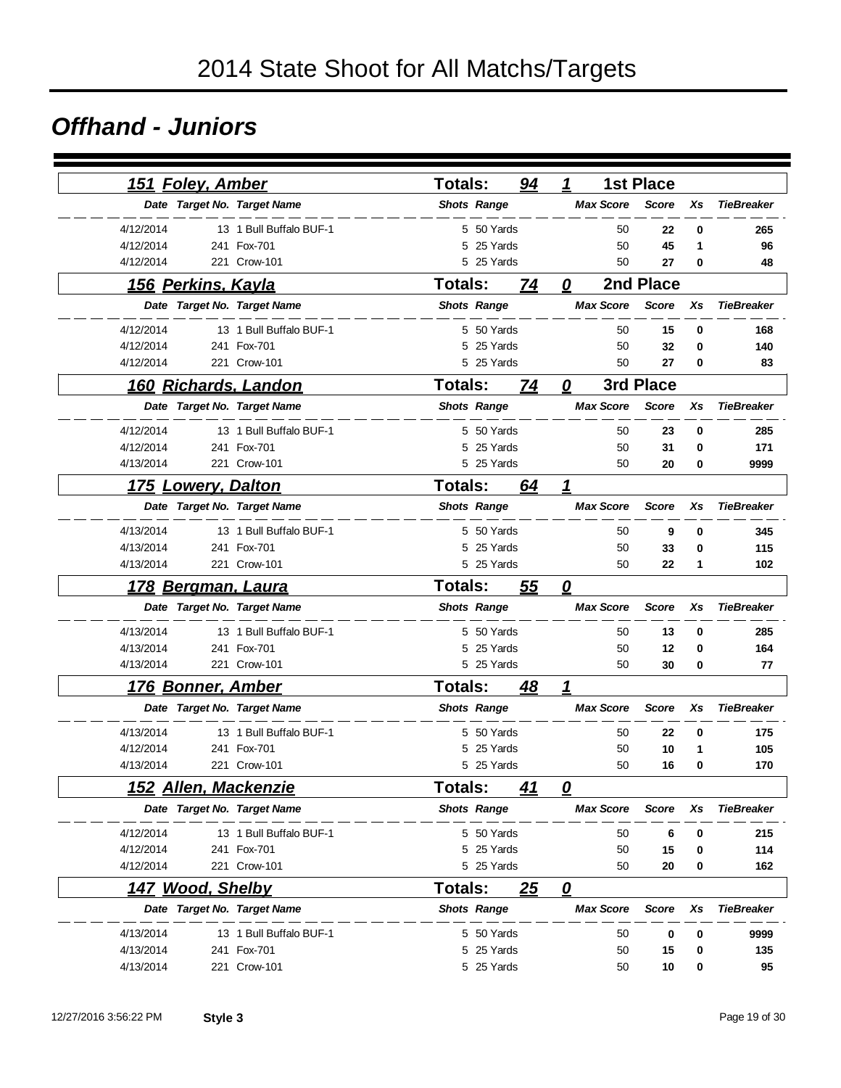#### *Offhand - Juniors*

| 151 Foley, Amber         |                             | <b>Totals:</b> |                    | 94        | 1                       |                  | <b>1st Place</b> |    |                   |
|--------------------------|-----------------------------|----------------|--------------------|-----------|-------------------------|------------------|------------------|----|-------------------|
|                          | Date Target No. Target Name |                | <b>Shots Range</b> |           |                         | <b>Max Score</b> | <b>Score</b>     | Xs | <b>TieBreaker</b> |
| 4/12/2014                | 13 1 Bull Buffalo BUF-1     |                | 5 50 Yards         |           |                         | 50               | 22               | 0  | 265               |
| 4/12/2014                | 241 Fox-701                 | 5              | 25 Yards           |           |                         | 50               | 45               | 1  | 96                |
| 4/12/2014                | 221 Crow-101                |                | 5 25 Yards         |           |                         | 50               | 27               | 0  | 48                |
| 156 Perkins, Kayla       |                             | <b>Totals:</b> |                    | 74        | 0                       |                  | 2nd Place        |    |                   |
|                          | Date Target No. Target Name |                | <b>Shots Range</b> |           |                         | <b>Max Score</b> | <b>Score</b>     | Xs | <b>TieBreaker</b> |
| 4/12/2014                | 13 1 Bull Buffalo BUF-1     |                | 5 50 Yards         |           |                         | 50               | 15               | 0  | 168               |
| 4/12/2014                | 241 Fox-701                 | 5              | 25 Yards           |           |                         | 50               | 32               | 0  | 140               |
| 4/12/2014                | 221 Crow-101                |                | 5 25 Yards         |           |                         | 50               | 27               | 0  | 83                |
|                          | 160 Richards, Landon        | <b>Totals:</b> |                    | 74        | 0                       |                  | 3rd Place        |    |                   |
|                          | Date Target No. Target Name |                | <b>Shots Range</b> |           |                         | <b>Max Score</b> | <b>Score</b>     | Xs | <b>TieBreaker</b> |
| 4/12/2014                | 13 1 Bull Buffalo BUF-1     |                | 5 50 Yards         |           |                         | 50               | 23               | 0  | 285               |
| 4/12/2014                | 241 Fox-701                 |                | 5 25 Yards         |           |                         | 50               | 31               | 0  | 171               |
| 4/13/2014                | 221 Crow-101                |                | 5 25 Yards         |           |                         | 50               | 20               | 0  | 9999              |
| <u> 175</u>              | <b>Lowery, Dalton</b>       | <b>Totals:</b> |                    | 64        | 1                       |                  |                  |    |                   |
|                          | Date Target No. Target Name |                | <b>Shots Range</b> |           |                         | <b>Max Score</b> | <b>Score</b>     | Xs | <b>TieBreaker</b> |
| 4/13/2014                | 13 1 Bull Buffalo BUF-1     |                | 5 50 Yards         |           |                         | 50               | 9                | 0  | 345               |
| 4/13/2014                | 241 Fox-701                 |                | 5 25 Yards         |           |                         | 50               | 33               | 0  | 115               |
| 4/13/2014                | 221 Crow-101                |                | 5 25 Yards         |           |                         | 50               | 22               | 1  | 102               |
| 178                      | <b>Bergman, Laura</b>       | <b>Totals:</b> |                    | <u>55</u> | $\overline{\mathbf{0}}$ |                  |                  |    |                   |
|                          | Date Target No. Target Name |                | <b>Shots Range</b> |           |                         | <b>Max Score</b> | <b>Score</b>     | Xs | <b>TieBreaker</b> |
| 4/13/2014                | 13 1 Bull Buffalo BUF-1     |                | 5 50 Yards         |           |                         | 50               | 13               | 0  | 285               |
| 4/13/2014                | 241 Fox-701                 |                | 5 25 Yards         |           |                         | 50               | 12               | 0  | 164               |
| 4/13/2014                | 221 Crow-101                |                | 5 25 Yards         |           |                         | 50               | 30               | 0  | 77                |
| <u>176 Bonner, Amber</u> |                             | <b>Totals:</b> |                    | 48        | 1                       |                  |                  |    |                   |
|                          | Date Target No. Target Name |                | <b>Shots Range</b> |           |                         | <b>Max Score</b> | <b>Score</b>     | Xs | <b>TieBreaker</b> |
| 4/13/2014                | 13 1 Bull Buffalo BUF-1     |                | 5 50 Yards         |           |                         | 50               | 22               | 0  | 175               |
| 4/12/2014                | 241 Fox-701                 | 5              | 25 Yards           |           |                         | 50               | 10               | 1  | 105               |
| 4/13/2014                | 221 Crow-101                |                | 5 25 Yards         |           |                         | 50               | 16               | 0  | 170               |
|                          | 152 Allen, Mackenzie        | Totals:        |                    | 41        | 0                       |                  |                  |    |                   |
|                          | Date Target No. Target Name |                | <b>Shots Range</b> |           |                         | <b>Max Score</b> | <b>Score</b>     | Xs | <b>TieBreaker</b> |
| 4/12/2014                | 13 1 Bull Buffalo BUF-1     |                | 5 50 Yards         |           |                         | 50               | 6                | 0  | 215               |
| 4/12/2014                | 241 Fox-701                 |                | 5 25 Yards         |           |                         | 50               | 15               | 0  | 114               |
| 4/12/2014                | 221 Crow-101                |                | 5 25 Yards         |           |                         | 50               | 20               | 0  | 162               |
| 147 Wood, Shelby         |                             | <b>Totals:</b> |                    | 25        | $\mathbf{Q}$            |                  |                  |    |                   |
|                          | Date Target No. Target Name |                | <b>Shots Range</b> |           |                         | <b>Max Score</b> | <b>Score</b>     | Xs | <b>TieBreaker</b> |
| 4/13/2014                | 13 1 Bull Buffalo BUF-1     |                | 5 50 Yards         |           |                         | 50               | 0                | 0  | 9999              |
| 4/13/2014                | 241 Fox-701                 |                | 5 25 Yards         |           |                         | 50               | 15               | 0  | 135               |
| 4/13/2014                | 221 Crow-101                |                | 5 25 Yards         |           |                         | 50               | 10               | 0  | 95                |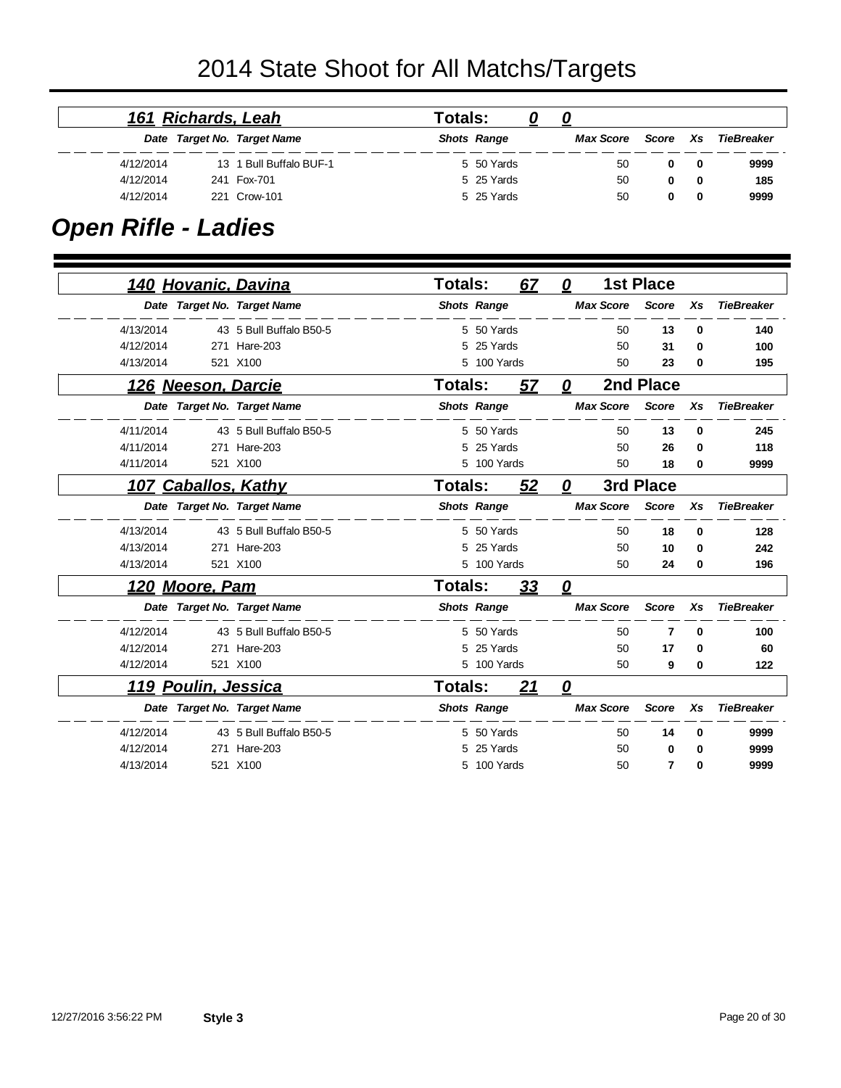|           | 161 Richards, Leah |                             | Totals: |                    |           |          |   |            |
|-----------|--------------------|-----------------------------|---------|--------------------|-----------|----------|---|------------|
|           |                    | Date Target No. Target Name |         | <b>Shots Range</b> | Max Score | Score Xs |   | TieBreaker |
| 4/12/2014 |                    | 13 1 Bull Buffalo BUF-1     |         | 5 50 Yards         | 50        | 0        | 0 | 9999       |
| 4/12/2014 |                    | 241 Fox-701                 |         | 5 25 Yards         | 50        | 0        | 0 | 185        |
| 4/12/2014 |                    | 221 Crow-101                |         | 5 25 Yards         | 50        | 0        | 0 | 9999       |

### *Open Rifle - Ladies*

|           |                        | <u>140 Hovanic, Davina</u>  | Totals:        |                    | 67        | 0            |                  | <b>1st Place</b> |          |                   |
|-----------|------------------------|-----------------------------|----------------|--------------------|-----------|--------------|------------------|------------------|----------|-------------------|
|           |                        | Date Target No. Target Name |                | <b>Shots Range</b> |           |              | <b>Max Score</b> | <b>Score</b>     | Xs       | <b>TieBreaker</b> |
| 4/13/2014 |                        | 43 5 Bull Buffalo B50-5     |                | 5 50 Yards         |           |              | 50               | 13               | 0        | 140               |
| 4/12/2014 |                        | 271 Hare-203                |                | 5 25 Yards         |           |              | 50               | 31               | $\Omega$ | 100               |
| 4/13/2014 |                        | 521 X100                    |                | 5 100 Yards        |           |              | 50               | 23               | 0        | 195               |
|           | 126 Neeson, Darcie     |                             | <b>Totals:</b> |                    | 57        | $\mathbf{Q}$ |                  | 2nd Place        |          |                   |
|           |                        | Date Target No. Target Name |                | <b>Shots Range</b> |           |              | <b>Max Score</b> | <b>Score</b>     | Xs       | <b>TieBreaker</b> |
| 4/11/2014 |                        | 43 5 Bull Buffalo B50-5     |                | 5 50 Yards         |           |              | 50               | 13               | $\bf{0}$ | 245               |
| 4/11/2014 |                        | 271 Hare-203                | 5              | 25 Yards           |           |              | 50               | 26               | 0        | 118               |
| 4/11/2014 |                        | 521 X100                    | 5              | 100 Yards          |           |              | 50               | 18               | 0        | 9999              |
| 107       | <b>Caballos, Kathy</b> |                             | Totals:        |                    | 52        | 0            |                  | 3rd Place        |          |                   |
|           |                        | Date Target No. Target Name |                | <b>Shots Range</b> |           |              | <b>Max Score</b> | <b>Score</b>     | Xs       | <b>TieBreaker</b> |
| 4/13/2014 |                        | 43 5 Bull Buffalo B50-5     |                | 5 50 Yards         |           |              | 50               | 18               | $\bf{0}$ | 128               |
| 4/13/2014 |                        | 271 Hare-203                | 5              | 25 Yards           |           |              | 50               | 10               | $\bf{0}$ | 242               |
| 4/13/2014 |                        | 521 X100                    |                | 5 100 Yards        |           |              | 50               | 24               | 0        | 196               |
|           | 120 Moore, Pam         |                             | <b>Totals:</b> |                    | <u>33</u> | 0            |                  |                  |          |                   |
|           |                        | Date Target No. Target Name |                | <b>Shots Range</b> |           |              | <b>Max Score</b> | <b>Score</b>     | Xs       | <b>TieBreaker</b> |
| 4/12/2014 |                        | 43 5 Bull Buffalo B50-5     |                | 5 50 Yards         |           |              | 50               | 7                | $\bf{0}$ | 100               |
| 4/12/2014 | 271                    | Hare-203                    | 5              | 25 Yards           |           |              | 50               | 17               | 0        | 60                |
| 4/12/2014 |                        | 521 X100                    |                | 5 100 Yards        |           |              | 50               | 9                | 0        | 122               |
|           | 119 Poulin, Jessica    |                             | Totals:        |                    | 21        | 0            |                  |                  |          |                   |
|           |                        | Date Target No. Target Name |                | <b>Shots Range</b> |           |              | <b>Max Score</b> | <b>Score</b>     | Xs       | <b>TieBreaker</b> |
| 4/12/2014 |                        | 43 5 Bull Buffalo B50-5     |                | 5 50 Yards         |           |              | 50               | 14               | $\bf{0}$ | 9999              |
| 4/12/2014 | 271                    | Hare-203                    | 5              | 25 Yards           |           |              | 50               | 0                | 0        | 9999              |
| 4/13/2014 |                        | 521 X100                    |                | 5 100 Yards        |           |              | 50               | $\overline{7}$   | $\bf{0}$ | 9999              |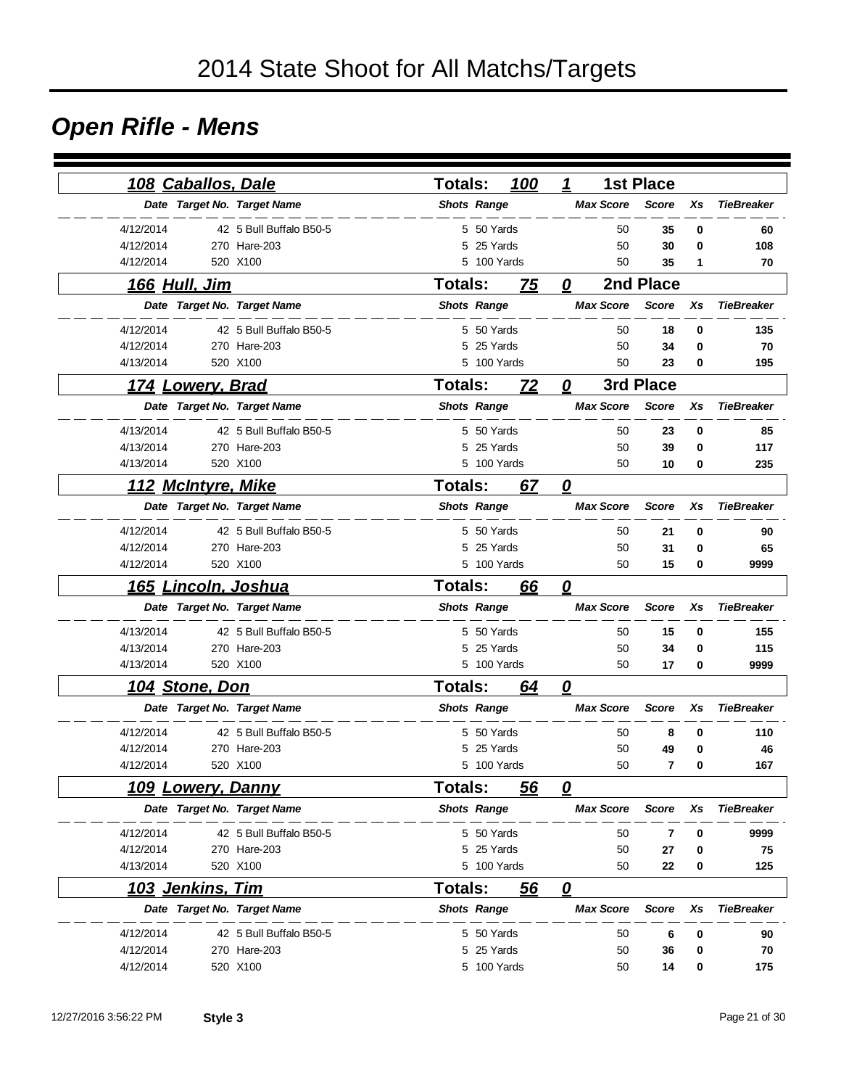### *Open Rifle - Mens*

| <u> 108 Caballos, Dale</u> |                             | <b>Totals:</b>     |             | 100 | 1                                 |                  | <b>1st Place</b> |             |                   |
|----------------------------|-----------------------------|--------------------|-------------|-----|-----------------------------------|------------------|------------------|-------------|-------------------|
|                            | Date Target No. Target Name | <b>Shots Range</b> |             |     |                                   | <b>Max Score</b> | <b>Score</b>     | Xs          | <b>TieBreaker</b> |
| 4/12/2014                  | 42 5 Bull Buffalo B50-5     |                    | 5 50 Yards  |     |                                   | 50               | 35               | 0           | 60                |
| 4/12/2014                  | 270 Hare-203                |                    | 5 25 Yards  |     |                                   | 50               | 30               | 0           | 108               |
| 4/12/2014                  | 520 X100                    |                    | 5 100 Yards |     |                                   | 50               | 35               | 1           | 70                |
| <u>166 Hull, Jim</u>       |                             | <b>Totals:</b>     |             | 75  | 0                                 |                  | 2nd Place        |             |                   |
|                            | Date Target No. Target Name | <b>Shots Range</b> |             |     |                                   | <b>Max Score</b> | <b>Score</b>     | Xs          | <b>TieBreaker</b> |
| 4/12/2014                  | 42 5 Bull Buffalo B50-5     |                    | 5 50 Yards  |     |                                   | 50               | 18               | $\mathbf 0$ | 135               |
| 4/12/2014                  | 270 Hare-203                | 5                  | 25 Yards    |     |                                   | 50               | 34               | 0           | 70                |
| 4/13/2014                  | 520 X100                    |                    | 5 100 Yards |     |                                   | 50               | 23               | $\bf{0}$    | 195               |
| <u>174 Lowery, Brad</u>    |                             | <b>Totals:</b>     |             | 72  | 0                                 |                  | 3rd Place        |             |                   |
|                            | Date Target No. Target Name | <b>Shots Range</b> |             |     |                                   | <b>Max Score</b> | <b>Score</b>     | Xs          | <b>TieBreaker</b> |
| 4/13/2014                  | 42 5 Bull Buffalo B50-5     |                    | 5 50 Yards  |     |                                   | 50               | 23               | 0           | 85                |
| 4/13/2014                  | 270 Hare-203                | 5                  | 25 Yards    |     |                                   | 50               | 39               | 0           | 117               |
| 4/13/2014                  | 520 X100                    |                    | 5 100 Yards |     |                                   | 50               | 10               | 0           | 235               |
| <u> 112 McIntyre, Mike</u> |                             | <b>Totals:</b>     |             | 67  | $\boldsymbol{\varrho}$            |                  |                  |             |                   |
|                            | Date Target No. Target Name | <b>Shots Range</b> |             |     |                                   | <b>Max Score</b> | <b>Score</b>     | Xs          | <b>TieBreaker</b> |
| 4/12/2014                  | 42 5 Bull Buffalo B50-5     |                    | 5 50 Yards  |     |                                   | 50               | 21               | 0           | 90                |
| 4/12/2014                  | 270 Hare-203                |                    | 5 25 Yards  |     |                                   | 50               | 31               | $\bf{0}$    | 65                |
| 4/12/2014                  | 520 X100                    |                    | 5 100 Yards |     |                                   | 50               | 15               | 0           | 9999              |
| 165                        | <u> Lincoln, Joshua</u>     | <b>Totals:</b>     |             | 66  | $\overline{\boldsymbol{\varrho}}$ |                  |                  |             |                   |
|                            | Date Target No. Target Name | <b>Shots Range</b> |             |     |                                   | <b>Max Score</b> | <b>Score</b>     | Xs          | <b>TieBreaker</b> |
| 4/13/2014                  | 42 5 Bull Buffalo B50-5     |                    | 5 50 Yards  |     |                                   | 50               | 15               | 0           | 155               |
| 4/13/2014                  | 270 Hare-203                |                    | 5 25 Yards  |     |                                   | 50               | 34               | 0           | 115               |
| 4/13/2014                  | 520 X100                    |                    | 5 100 Yards |     |                                   | 50               | 17               | 0           | 9999              |
| 104 Stone, Don             |                             | <b>Totals:</b>     |             | 64  | 0                                 |                  |                  |             |                   |
|                            | Date Target No. Target Name | <b>Shots Range</b> |             |     |                                   | <b>Max Score</b> | <b>Score</b>     | Xs          | <b>TieBreaker</b> |
| 4/12/2014                  | 42 5 Bull Buffalo B50-5     |                    | 5 50 Yards  |     |                                   | 50               | 8                | 0           | 110               |
| 4/12/2014                  | 270 Hare-203                | 5                  | 25 Yards    |     |                                   | 50               | 49               | 0           | 46                |
| 4/12/2014                  | 520 X100                    |                    | 5 100 Yards |     |                                   | 50               | $\overline{7}$   | 0           | 167               |
| <b>109 Lowery, Danny</b>   |                             | <b>Totals:</b>     |             | 56  | 0                                 |                  |                  |             |                   |
|                            | Date Target No. Target Name | <b>Shots Range</b> |             |     |                                   | <b>Max Score</b> | <b>Score</b>     | Xs          | <b>TieBreaker</b> |
| 4/12/2014                  | 42 5 Bull Buffalo B50-5     |                    | 5 50 Yards  |     |                                   | 50               | 7                | 0           | 9999              |
| 4/12/2014                  | 270 Hare-203                |                    | 5 25 Yards  |     |                                   | 50               | 27               | 0           | 75                |
| 4/13/2014                  | 520 X100                    |                    | 5 100 Yards |     |                                   | 50               | 22               | 0           | 125               |
| 103 Jenkins, Tim           |                             | Totals:            |             | 56  | $\overline{\mathbf{0}}$           |                  |                  |             |                   |
|                            | Date Target No. Target Name | <b>Shots Range</b> |             |     |                                   | <b>Max Score</b> | <b>Score</b>     | Xs          | <b>TieBreaker</b> |
| 4/12/2014                  | 42 5 Bull Buffalo B50-5     |                    | 5 50 Yards  |     |                                   | 50               | 6                | 0           | 90                |
| 4/12/2014                  | 270 Hare-203                |                    | 5 25 Yards  |     |                                   | 50               | 36               | 0           | 70                |
| 4/12/2014                  | 520 X100                    |                    | 5 100 Yards |     |                                   | 50               | 14               | 0           | 175               |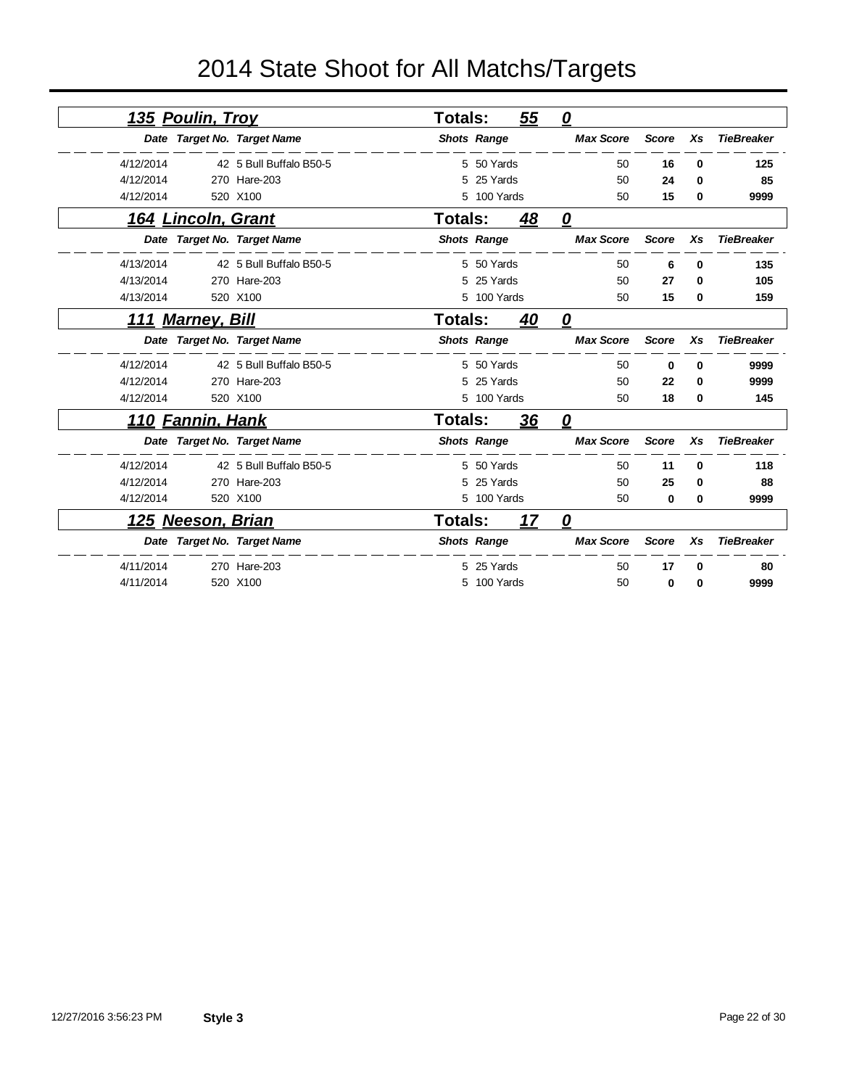|           | <u>135 Poulin, Trov</u>   |                             | <b>Totals:</b> |                    | 55        | 0                 |              |                |                   |
|-----------|---------------------------|-----------------------------|----------------|--------------------|-----------|-------------------|--------------|----------------|-------------------|
|           |                           | Date Target No. Target Name |                | <b>Shots Range</b> |           | <b>Max Score</b>  | <b>Score</b> | Xs             | <b>TieBreaker</b> |
| 4/12/2014 |                           | 42 5 Bull Buffalo B50-5     |                | 5 50 Yards         |           | 50                | 16           | 0              | 125               |
| 4/12/2014 |                           | 270 Hare-203                | 5              | 25 Yards           |           | 50                | 24           | 0              | 85                |
| 4/12/2014 |                           | 520 X100                    |                | 5 100 Yards        |           | 50                | 15           | 0              | 9999              |
|           | <u>164 Lincoln, Grant</u> |                             | Totals:        |                    | 48        | $\mathbf{\Omega}$ |              |                |                   |
|           |                           | Date Target No. Target Name |                | <b>Shots Range</b> |           | <b>Max Score</b>  | <b>Score</b> | Xs             | <b>TieBreaker</b> |
| 4/13/2014 |                           | 42 5 Bull Buffalo B50-5     |                | 5 50 Yards         |           | 50                | 6            | 0              | 135               |
| 4/13/2014 |                           | 270 Hare-203                |                | 25 Yards           |           | 50                | 27           | 0              | 105               |
| 4/13/2014 |                           | 520 X100                    | 5              | 100 Yards          |           | 50                | 15           | 0              | 159               |
| 111       | <b>Marney, Bill</b>       |                             | Totals:        |                    | <u>40</u> | $\mathbf{\Omega}$ |              |                |                   |
|           |                           | Date Target No. Target Name |                | <b>Shots Range</b> |           | <b>Max Score</b>  | <b>Score</b> | Xs             | <b>TieBreaker</b> |
| 4/12/2014 |                           | 42 5 Bull Buffalo B50-5     |                | 5 50 Yards         |           | 50                | 0            | 0              | 9999              |
| 4/12/2014 |                           | 270 Hare-203                |                | 25 Yards           |           | 50                | 22           | 0              | 9999              |
| 4/12/2014 |                           | 520 X100                    | 5              | 100 Yards          |           | 50                | 18           | 0              | 145               |
|           | <u>110 Fannin, Hank</u>   |                             | <b>Totals:</b> |                    | <u>36</u> | 0                 |              |                |                   |
|           |                           | Date Target No. Target Name |                | <b>Shots Range</b> |           | <b>Max Score</b>  | <b>Score</b> | X <sub>S</sub> | <b>TieBreaker</b> |
| 4/12/2014 |                           | 42 5 Bull Buffalo B50-5     |                | 5 50 Yards         |           | 50                | 11           | 0              | 118               |
| 4/12/2014 |                           | 270 Hare-203                | 5              | 25 Yards           |           | 50                | 25           | 0              | 88                |
| 4/12/2014 |                           | 520 X100                    |                | 5 100 Yards        |           | 50                | 0            | 0              | 9999              |
| 125       | <b>Neeson, Brian</b>      |                             | <b>Totals:</b> |                    | 17        | 0                 |              |                |                   |
|           |                           | Date Target No. Target Name |                | <b>Shots Range</b> |           | <b>Max Score</b>  | <b>Score</b> | Xs             | <b>TieBreaker</b> |
| 4/11/2014 |                           | 270 Hare-203                |                | 5 25 Yards         |           | 50                | 17           | U              | 80                |
| 4/11/2014 |                           | 520 X100                    | 5              | 100 Yards          |           | 50                | 0            | 0              | 9999              |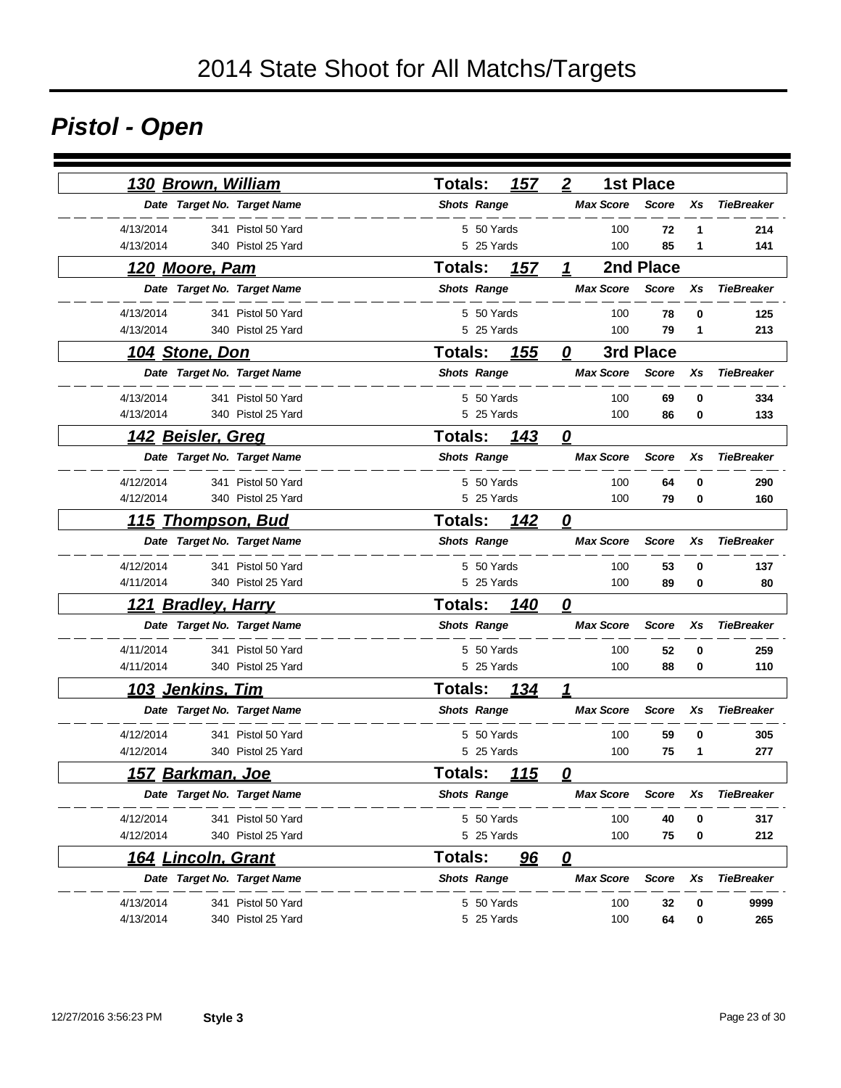# *Pistol - Open*

| <u>130 Brown, William</u>            | 157<br><b>Totals:</b>         | $\overline{2}$<br><b>1st Place</b>                          |
|--------------------------------------|-------------------------------|-------------------------------------------------------------|
| Date Target No. Target Name          | <b>Shots Range</b>            | <b>Max Score</b><br><b>TieBreaker</b><br><b>Score</b><br>Xs |
| 4/13/2014<br>341 Pistol 50 Yard      | 5 50 Yards                    | 100<br>72<br>214<br>1                                       |
| 4/13/2014<br>340 Pistol 25 Yard      | 5 25 Yards                    |                                                             |
| <u>120 Moore, Pam</u>                | Totals:<br>157                | 2nd Place<br>1                                              |
| Date Target No. Target Name          | <b>Shots Range</b>            | <b>Max Score</b><br><b>Score</b><br>Xs<br><b>TieBreaker</b> |
| 4/13/2014<br>341 Pistol 50 Yard      | 5 50 Yards                    | 100<br>78<br>0<br>125                                       |
| 4/13/2014<br>340 Pistol 25 Yard      | 5 25 Yards                    | 100<br>79<br>1<br>213                                       |
| <u> 104 Stone, Don</u>               | <b>Totals:</b><br><u> 155</u> | 3rd Place<br>$\boldsymbol{\varrho}$                         |
| Date Target No. Target Name          | <b>Shots Range</b>            | <b>Max Score</b><br><b>Score</b><br>Xs<br><b>TieBreaker</b> |
| 4/13/2014<br>341 Pistol 50 Yard      | 5 50 Yards                    | 100<br>69<br>0<br>334                                       |
| 4/13/2014<br>340 Pistol 25 Yard      | 5 25 Yards                    | 100<br>86<br>0<br>133                                       |
| <u>142 Beisler, Greg</u>             | Totals:<br>143                | $\overline{\mathbf{0}}$                                     |
| Date Target No. Target Name          | <b>Shots Range</b>            | <b>Max Score</b><br><b>Score</b><br>Xs<br><b>TieBreaker</b> |
| 4/12/2014<br>341 Pistol 50 Yard      | 5 50 Yards                    | 290<br>100<br>64<br>0                                       |
| 4/12/2014<br>340 Pistol 25 Yard      | 5 25 Yards                    | 100<br>79<br>160<br>0                                       |
| 115<br><u>Thompson, Bud</u>          | 142<br><b>Totals:</b>         | 0                                                           |
| Date Target No. Target Name          | <b>Shots Range</b>            | <b>Max Score</b><br><b>Score</b><br>Xs<br><b>TieBreaker</b> |
| 4/12/2014<br>341 Pistol 50 Yard      | 5 50 Yards                    | 100<br>53<br>0<br>137                                       |
| 4/11/2014<br>340 Pistol 25 Yard      | 5 25 Yards                    | 100<br>89<br>0<br>80                                        |
| <b>Bradley, Harry</b><br><u> 121</u> | <b>Totals:</b><br>140         | $\overline{\mathbf{0}}$                                     |
| Date Target No. Target Name          | <b>Shots Range</b>            | <b>Max Score</b><br><b>Score</b><br>Xs<br><b>TieBreaker</b> |
| 4/11/2014<br>341 Pistol 50 Yard      | 5 50 Yards                    | 100<br>52<br>259<br>0                                       |
| 4/11/2014<br>340 Pistol 25 Yard      | 5 25 Yards                    | 100<br>88<br>110<br>0                                       |
| <u>103 Jenkins, Tim</u>              | <b>Totals:</b><br>134         | 1                                                           |
| Date Target No. Target Name          | <b>Shots Range</b>            | <b>Max Score</b><br><b>Score</b><br><b>TieBreaker</b><br>Xs |
| 4/12/2014<br>341 Pistol 50 Yard      | 5 50 Yards                    | 100<br>59<br>0<br>305                                       |
| 4/12/2014<br>340 Pistol 25 Yard      | 5 25 Yards                    | 100<br>75<br>1<br>277                                       |
| <u>157 Barkman, Joe</u>              | <b>Totals:</b><br><u> 115</u> | n                                                           |
| Date Target No. Target Name          | <b>Shots Range</b>            | <b>Max Score</b><br><b>TieBreaker</b><br><b>Score</b><br>Xs |
| 4/12/2014<br>341 Pistol 50 Yard      | 5 50 Yards                    | 100<br>40<br>317<br>0                                       |
| 4/12/2014<br>340 Pistol 25 Yard      | 5 25 Yards                    | 75<br>100<br>212<br>0                                       |
| <u>164 Lincoln, Grant</u>            | 96<br>Totals:                 | $\overline{\mathbf{0}}$                                     |
| Date Target No. Target Name          | <b>Shots Range</b>            | <b>Max Score</b><br><b>TieBreaker</b><br><b>Score</b><br>Xs |
| 4/13/2014<br>341 Pistol 50 Yard      | 5 50 Yards                    | 100<br>32<br>0<br>9999                                      |
| 4/13/2014<br>340 Pistol 25 Yard      | 5 25 Yards                    | 100<br>64<br>0<br>265                                       |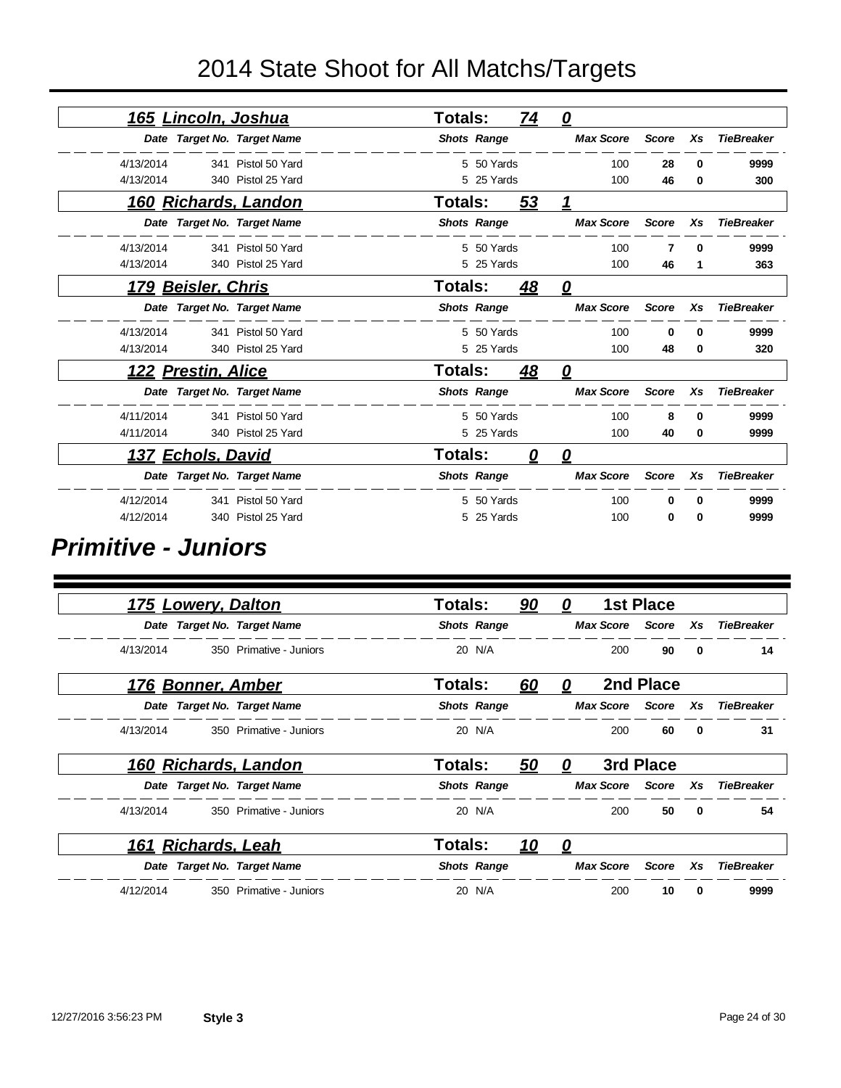| <u>165 Lincoln, Joshua</u>  |                    | <b>Totals:</b> |                    | <u>74</u> | $\mathbf{\Omega}$ |              |              |                   |
|-----------------------------|--------------------|----------------|--------------------|-----------|-------------------|--------------|--------------|-------------------|
| Date Target No. Target Name |                    |                | <b>Shots Range</b> |           | <b>Max Score</b>  | <b>Score</b> | Xs           | <b>TieBreaker</b> |
| 4/13/2014                   | 341 Pistol 50 Yard |                | 5 50 Yards         |           | 100               | 28           | 0            | 9999              |
| 4/13/2014                   | 340 Pistol 25 Yard |                | 5 25 Yards         |           | 100               | 46           | 0            | 300               |
| <u>160 Richards, Landon</u> |                    | <b>Totals:</b> |                    | 53        |                   |              |              |                   |
| Date Target No. Target Name |                    |                | <b>Shots Range</b> |           | <b>Max Score</b>  | Score        | Xs           | <b>TieBreaker</b> |
| 4/13/2014                   | 341 Pistol 50 Yard |                | 5 50 Yards         |           | 100               |              | 0            | 9999              |
| 4/13/2014                   | 340 Pistol 25 Yard |                | 5 25 Yards         |           | 100               | 46           | 1            | 363               |
| 179 Beisler, Chris          |                    | Totals:        |                    | 48        | $\mathbf{\Omega}$ |              |              |                   |
| Date Target No. Target Name |                    |                | <b>Shots Range</b> |           | <b>Max Score</b>  | <b>Score</b> | Xs           | <b>TieBreaker</b> |
| 4/13/2014                   | 341 Pistol 50 Yard |                | 5 50 Yards         |           | 100               | 0            | 0            | 9999              |
| 4/13/2014                   | 340 Pistol 25 Yard |                | 5 25 Yards         |           | 100               | 48           | 0            | 320               |
| 122 Prestin, Alice          |                    | <b>Totals:</b> |                    | 48        | 0                 |              |              |                   |
| Date Target No. Target Name |                    |                | <b>Shots Range</b> |           | <b>Max Score</b>  | Score        | Xs           | <b>TieBreaker</b> |
| 4/11/2014                   | 341 Pistol 50 Yard |                | 5 50 Yards         |           | 100               | 8            | <sup>0</sup> | 9999              |
| 4/11/2014                   | 340 Pistol 25 Yard |                | 5 25 Yards         |           | 100               | 40           | 0            | 9999              |
| 137 Echols, David           |                    | Totals:        |                    | 0         | <u>0</u>          |              |              |                   |
| Date Target No. Target Name |                    |                | <b>Shots Range</b> |           | <b>Max Score</b>  | <b>Score</b> | Xs           | <b>TieBreaker</b> |
| 4/12/2014                   | 341 Pistol 50 Yard |                | 5 50 Yards         |           | 100               | 0            | 0            | 9999              |
| 4/12/2014                   | 340 Pistol 25 Yard |                | 25 Yards           |           | 100               | 0            | 0            | 9999              |

#### *Primitive - Juniors*

|           | 175 Lowery, Dalton |                             | <b>Totals:</b> |                    | <u>90</u> | 0 |                        | <b>1st Place</b> |              |                   |
|-----------|--------------------|-----------------------------|----------------|--------------------|-----------|---|------------------------|------------------|--------------|-------------------|
|           |                    | Date Target No. Target Name |                | <b>Shots Range</b> |           |   | Max Score Score Xs     |                  |              | <b>TieBreaker</b> |
| 4/13/2014 |                    | 350 Primative - Juniors     |                | 20 N/A             |           |   | 200                    | 90               | $\mathbf{0}$ | 14                |
|           | 176 Bonner, Amber  |                             | <b>Totals:</b> |                    | 60        | 0 |                        | 2nd Place        |              |                   |
|           |                    | Date Target No. Target Name |                | <b>Shots Range</b> |           |   | <b>Max Score</b> Score |                  | Xs           | <b>TieBreaker</b> |
| 4/13/2014 |                    | 350 Primative - Juniors     |                | 20 N/A             |           |   | 200                    | 60               | $\mathbf{0}$ | 31                |
|           |                    | 160 Richards, Landon        | <b>Totals:</b> |                    | 50        | 0 |                        | 3rd Place        |              |                   |
|           |                    | Date Target No. Target Name |                | <b>Shots Range</b> |           |   | <b>Max Score</b>       | Score            | Xs           | <b>TieBreaker</b> |
| 4/13/2014 |                    | 350 Primative - Juniors     |                | 20 N/A             |           |   | 200                    | 50               | $\mathbf{0}$ | 54                |
|           | 161 Richards, Leah |                             | <b>Totals:</b> |                    | <u>10</u> | 0 |                        |                  |              |                   |
|           |                    | Date Target No. Target Name |                | <b>Shots Range</b> |           |   | <b>Max Score</b>       | Score            | Xs           | <b>TieBreaker</b> |
| 4/12/2014 |                    | 350 Primative - Juniors     |                | 20 N/A             |           |   | 200                    | 10               | 0            | 9999              |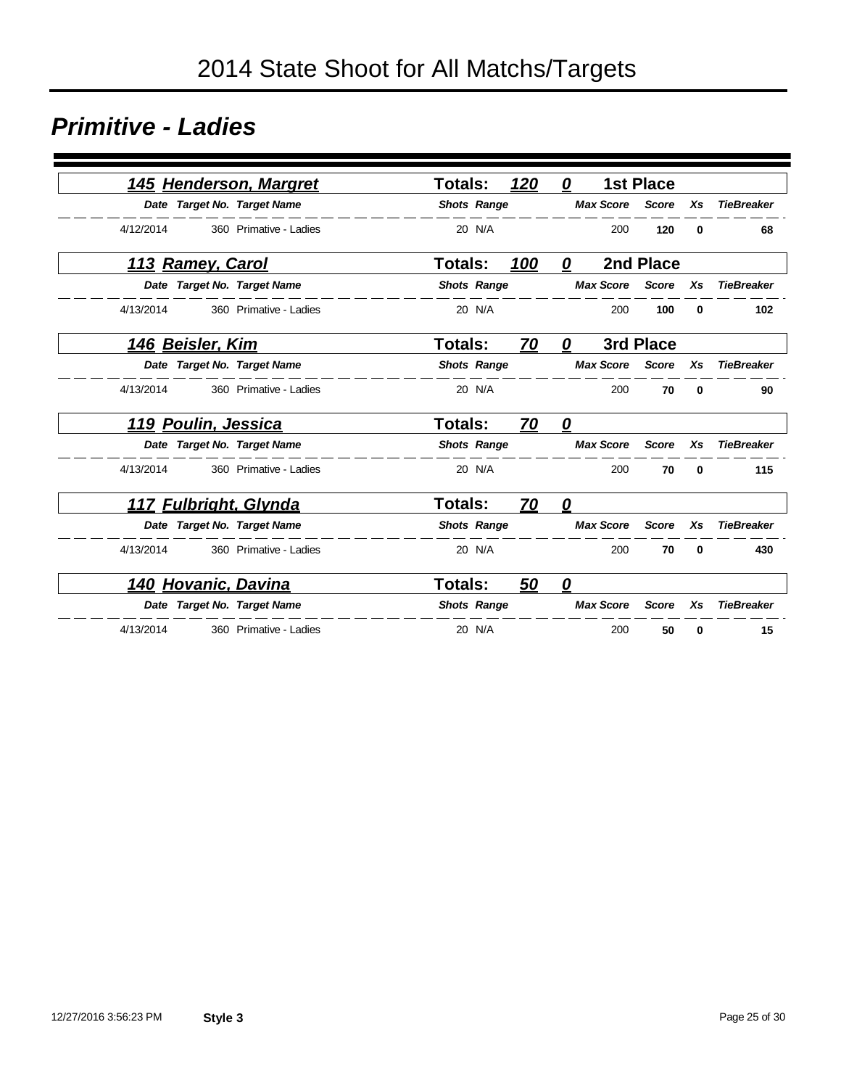#### *Primitive - Ladies*

| 145 Henderson, Margret      |                        | <b>Totals:</b>     | 120       | 0                       | <b>1st Place</b> |    |                   |
|-----------------------------|------------------------|--------------------|-----------|-------------------------|------------------|----|-------------------|
| Date Target No. Target Name |                        | <b>Shots Range</b> |           | <b>Max Score</b>        | <b>Score</b>     | Xs | <b>TieBreaker</b> |
| 4/12/2014                   | 360 Primative - Ladies | 20 N/A             |           | 200                     | 120              | 0  | 68                |
| <u> 113 Ramey, Carol</u>    |                        | <b>Totals:</b>     | 100       | 0                       | 2nd Place        |    |                   |
| Date Target No. Target Name |                        | <b>Shots Range</b> |           | <b>Max Score</b>        | <b>Score</b>     | Xs | <b>TieBreaker</b> |
| 4/13/2014                   | 360 Primative - Ladies | 20 N/A             |           | 200                     | 100              | 0  | 102               |
| 146 Beisler, Kim            |                        | Totals:            | 70        | 0                       | 3rd Place        |    |                   |
| Date Target No. Target Name |                        | <b>Shots Range</b> |           | <b>Max Score</b>        | <b>Score</b>     | Xs | <b>TieBreaker</b> |
| 4/13/2014                   | 360 Primative - Ladies | 20 N/A             |           | 200                     | 70               | 0  | 90                |
| <u> 119 Poulin, Jessica</u> |                        | Totals:            | <u>70</u> | 0                       |                  |    |                   |
| Date Target No. Target Name |                        | <b>Shots Range</b> |           | <b>Max Score</b>        | <b>Score</b>     | Xs | <b>TieBreaker</b> |
| 4/13/2014                   | 360 Primative - Ladies | 20 N/A             |           | 200                     | 70               | 0  | 115               |
| 117 Fulbright, Glynda       |                        | <b>Totals:</b>     | 70        | 0                       |                  |    |                   |
| Date Target No. Target Name |                        | <b>Shots Range</b> |           | <b>Max Score</b>        | <b>Score</b>     | Xs | <b>TieBreaker</b> |
| 4/13/2014                   | 360 Primative - Ladies | 20 N/A             |           | 200                     | 70               | 0  | 430               |
| 140 Hovanic, Davina         |                        | <b>Totals:</b>     | 50        | $\overline{\mathbf{0}}$ |                  |    |                   |
| Date Target No. Target Name |                        | <b>Shots Range</b> |           | <b>Max Score</b>        | <b>Score</b>     | Xs | <b>TieBreaker</b> |
| 4/13/2014                   | 360 Primative - Ladies | 20 N/A             |           | 200                     | 50               | 0  | 15                |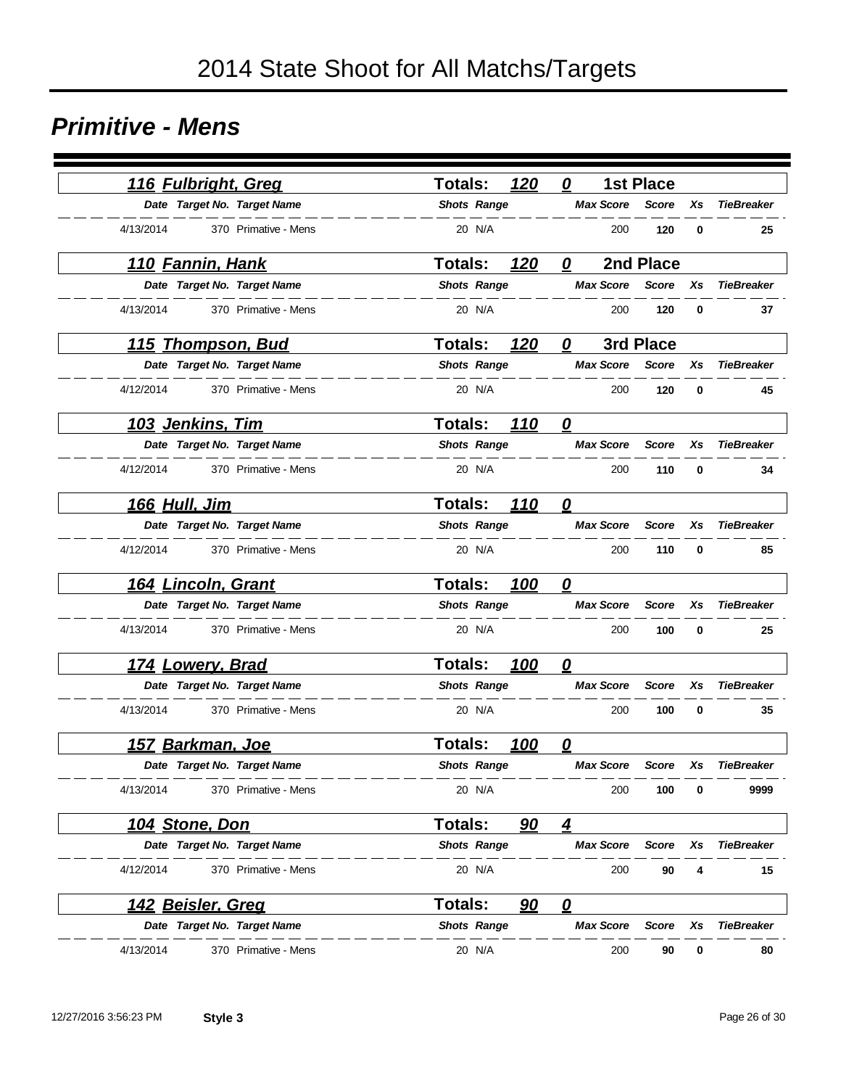#### *Primitive - Mens*

| 116 Fulbright, Greg               | 120<br><b>Totals:</b>        | 0<br><b>1st Place</b>                  |                   |
|-----------------------------------|------------------------------|----------------------------------------|-------------------|
| Date Target No. Target Name       | <b>Shots Range</b>           | <b>Max Score</b><br><b>Score</b><br>Xs | <b>TieBreaker</b> |
| 4/13/2014<br>370 Primative - Mens | 20 N/A                       | 200<br>120<br>0                        | 25                |
| <u>110 Fannin, Hank</u>           | <b>Totals:</b><br>120        | 2nd Place<br>0                         |                   |
| Date Target No. Target Name       | <b>Shots Range</b>           | <b>Max Score</b><br><b>Score</b><br>Xs | <b>TieBreaker</b> |
| 4/13/2014<br>370 Primative - Mens | 20 N/A                       | 120<br>200<br>0                        | 37                |
| <u>115 Thompson, Bud</u>          | <b>Totals:</b><br>120        | 3rd Place<br>$\boldsymbol{\varrho}$    |                   |
| Date Target No. Target Name       | <b>Shots Range</b>           | <b>Max Score</b><br>Xs<br><b>Score</b> | <b>TieBreaker</b> |
| 4/12/2014<br>370 Primative - Mens | 20 N/A                       | 120<br>200<br>0                        | 45                |
| <u>103 Jenkins, Tim</u>           | <b>Totals:</b><br><u>110</u> | $\overline{\mathbf{0}}$                |                   |
| Date Target No. Target Name       | <b>Shots Range</b>           | <b>Max Score</b><br><b>Score</b><br>Xs | <b>TieBreaker</b> |
| 4/12/2014<br>370 Primative - Mens | 20 N/A                       | 200<br>110<br>0                        | 34                |
| 166 Hull, Jim                     | 110<br><b>Totals:</b>        | 0                                      |                   |
| Date Target No. Target Name       | <b>Shots Range</b>           | <b>Max Score</b><br><b>Score</b><br>Xs | <b>TieBreaker</b> |
| 4/12/2014<br>370 Primative - Mens | 20 N/A                       | 200<br>110<br>0                        | 85                |
| <u>164 Lincoln, Grant</u>         | <b>Totals:</b><br>100        | 0                                      |                   |
| Date Target No. Target Name       | <b>Shots Range</b>           | <b>Max Score</b><br><b>Score</b><br>Xs | <b>TieBreaker</b> |
| 4/13/2014<br>370 Primative - Mens | 20 N/A                       | 200<br>100<br>0                        | 25                |
| <u>174 Lowery, Brad</u>           | <b>Totals:</b><br>100        | 0                                      |                   |
| Date Target No. Target Name       | <b>Shots Range</b>           | <b>Max Score</b><br><b>Score</b><br>Xs | <b>TieBreaker</b> |
| 4/13/2014<br>370 Primative - Mens | 20 N/A                       | 200<br>100<br>0                        | 35                |
| 157 Barkman, Joe                  | Totals:<br>100               | 0                                      |                   |
| Date Target No. Target Name       | <b>Shots Range</b>           | <b>Max Score</b><br>Score<br>Xs        | <b>TieBreaker</b> |
| 4/13/2014<br>370 Primative - Mens | 20 N/A                       | 200<br>100<br>0                        | 9999              |
| <u> 104 Stone, Don</u>            | Totals:<br>90                | $\overline{4}$                         |                   |
| Date Target No. Target Name       | <b>Shots Range</b>           | <b>Max Score</b><br>Score<br>Xs        | <b>TieBreaker</b> |
| 4/12/2014<br>370 Primative - Mens | 20 N/A                       | 200<br>90<br>4                         | 15                |
| <u> 142 Beisler, Greg</u>         | 90<br>Totals:                | $\overline{\mathbf{0}}$                |                   |
| Date Target No. Target Name       | <b>Shots Range</b>           | <b>Max Score</b><br><b>Score</b><br>Xs | <b>TieBreaker</b> |
| 4/13/2014<br>370 Primative - Mens | 20 N/A                       | 200<br>90<br>0                         | 80                |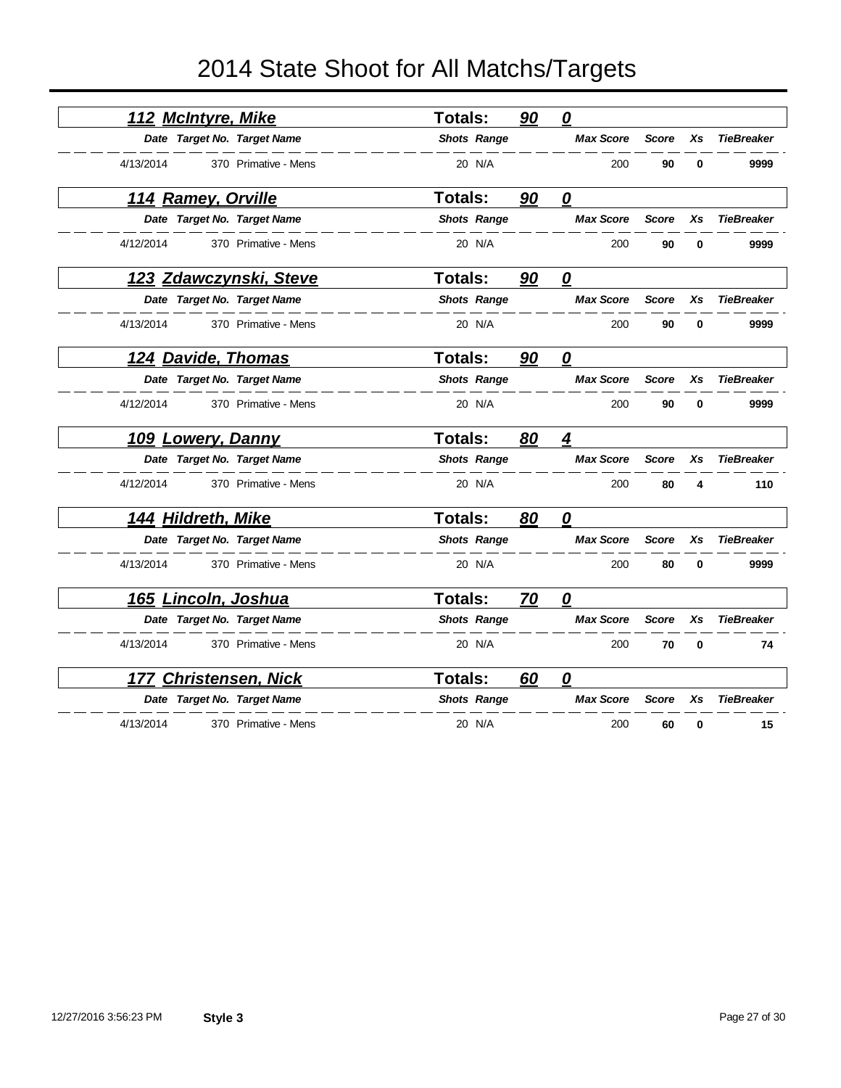| <b>Totals:</b>                                                                                                                                                                                                                                                                                                                                                                                                                                                                                                                                                                                                                                               | 90 | $\boldsymbol{\varrho}$                                                                                                                                                       |              |             |                   |
|--------------------------------------------------------------------------------------------------------------------------------------------------------------------------------------------------------------------------------------------------------------------------------------------------------------------------------------------------------------------------------------------------------------------------------------------------------------------------------------------------------------------------------------------------------------------------------------------------------------------------------------------------------------|----|------------------------------------------------------------------------------------------------------------------------------------------------------------------------------|--------------|-------------|-------------------|
|                                                                                                                                                                                                                                                                                                                                                                                                                                                                                                                                                                                                                                                              |    | <b>Max Score</b>                                                                                                                                                             | <b>Score</b> | Xs          | <b>TieBreaker</b> |
| 20 N/A                                                                                                                                                                                                                                                                                                                                                                                                                                                                                                                                                                                                                                                       |    | 200                                                                                                                                                                          | 90           | 0           | 9999              |
| <b>Totals:</b>                                                                                                                                                                                                                                                                                                                                                                                                                                                                                                                                                                                                                                               | 90 | $\overline{\boldsymbol{\varrho}}$                                                                                                                                            |              |             |                   |
|                                                                                                                                                                                                                                                                                                                                                                                                                                                                                                                                                                                                                                                              |    | <b>Max Score</b>                                                                                                                                                             | <b>Score</b> | Xs          | <b>TieBreaker</b> |
| 20 N/A                                                                                                                                                                                                                                                                                                                                                                                                                                                                                                                                                                                                                                                       |    | 200                                                                                                                                                                          | 90           | 0           | 9999              |
| <b>Totals:</b>                                                                                                                                                                                                                                                                                                                                                                                                                                                                                                                                                                                                                                               | 90 | $\overline{\mathbf{0}}$                                                                                                                                                      |              |             |                   |
|                                                                                                                                                                                                                                                                                                                                                                                                                                                                                                                                                                                                                                                              |    | <b>Max Score</b>                                                                                                                                                             | <b>Score</b> | Xs          | <b>TieBreaker</b> |
| 20 N/A                                                                                                                                                                                                                                                                                                                                                                                                                                                                                                                                                                                                                                                       |    | 200                                                                                                                                                                          | 90           | $\mathbf 0$ | 9999              |
| <b>Totals:</b>                                                                                                                                                                                                                                                                                                                                                                                                                                                                                                                                                                                                                                               | 90 | 0                                                                                                                                                                            |              |             |                   |
|                                                                                                                                                                                                                                                                                                                                                                                                                                                                                                                                                                                                                                                              |    | <b>Max Score</b>                                                                                                                                                             | <b>Score</b> | Xs          | <b>TieBreaker</b> |
| 20 N/A                                                                                                                                                                                                                                                                                                                                                                                                                                                                                                                                                                                                                                                       |    | 200                                                                                                                                                                          | 90           | $\bf{0}$    | 9999              |
| <b>Totals:</b>                                                                                                                                                                                                                                                                                                                                                                                                                                                                                                                                                                                                                                               | 80 | <u>4</u>                                                                                                                                                                     |              |             |                   |
|                                                                                                                                                                                                                                                                                                                                                                                                                                                                                                                                                                                                                                                              |    | <b>Max Score</b>                                                                                                                                                             | <b>Score</b> | Xs          | <b>TieBreaker</b> |
| 20 N/A                                                                                                                                                                                                                                                                                                                                                                                                                                                                                                                                                                                                                                                       |    | 200                                                                                                                                                                          | 80           | 4           | 110               |
| Totals:                                                                                                                                                                                                                                                                                                                                                                                                                                                                                                                                                                                                                                                      | 80 | 0                                                                                                                                                                            |              |             |                   |
|                                                                                                                                                                                                                                                                                                                                                                                                                                                                                                                                                                                                                                                              |    | <b>Max Score</b>                                                                                                                                                             | <b>Score</b> | Xs          | <b>TieBreaker</b> |
| 20 N/A                                                                                                                                                                                                                                                                                                                                                                                                                                                                                                                                                                                                                                                       |    | 200                                                                                                                                                                          | 80           | $\mathbf 0$ | 9999              |
| <b>Totals:</b>                                                                                                                                                                                                                                                                                                                                                                                                                                                                                                                                                                                                                                               | 70 | $\overline{\mathbf{0}}$                                                                                                                                                      |              |             |                   |
|                                                                                                                                                                                                                                                                                                                                                                                                                                                                                                                                                                                                                                                              |    | <b>Max Score</b>                                                                                                                                                             | <b>Score</b> | Xs          | <b>TieBreaker</b> |
| 20 N/A                                                                                                                                                                                                                                                                                                                                                                                                                                                                                                                                                                                                                                                       |    | 200                                                                                                                                                                          | 70           | $\bf{0}$    | 74                |
| <b>Totals:</b>                                                                                                                                                                                                                                                                                                                                                                                                                                                                                                                                                                                                                                               | 60 | $\overline{\boldsymbol{\mathsf{0}}}$                                                                                                                                         |              |             |                   |
|                                                                                                                                                                                                                                                                                                                                                                                                                                                                                                                                                                                                                                                              |    | <b>Max Score</b>                                                                                                                                                             | <b>Score</b> | Xs          | <b>TieBreaker</b> |
| 20 N/A                                                                                                                                                                                                                                                                                                                                                                                                                                                                                                                                                                                                                                                       |    | 200                                                                                                                                                                          | 60           | 0           | 15                |
| 112 McIntyre, Mike<br>Date Target No. Target Name<br>370 Primative - Mens<br>114 Ramey, Orville<br>Date Target No. Target Name<br>370 Primative - Mens<br><u>123 Zdawczynski, Steve</u><br>Date Target No. Target Name<br>370 Primative - Mens<br>124 Davide, Thomas<br>Date Target No. Target Name<br>370 Primative - Mens<br><b>109 Lowery, Danny</b><br>Date Target No. Target Name<br>370 Primative - Mens<br>144 Hildreth, Mike<br>Date Target No. Target Name<br>370 Primative - Mens<br>165 Lincoln, Joshua<br>Date Target No. Target Name<br>370 Primative - Mens<br><b>Christensen, Nick</b><br>Date Target No. Target Name<br>370 Primative - Mens |    | <b>Shots Range</b><br><b>Shots Range</b><br><b>Shots Range</b><br><b>Shots Range</b><br><b>Shots Range</b><br><b>Shots Range</b><br><b>Shots Range</b><br><b>Shots Range</b> |              |             |                   |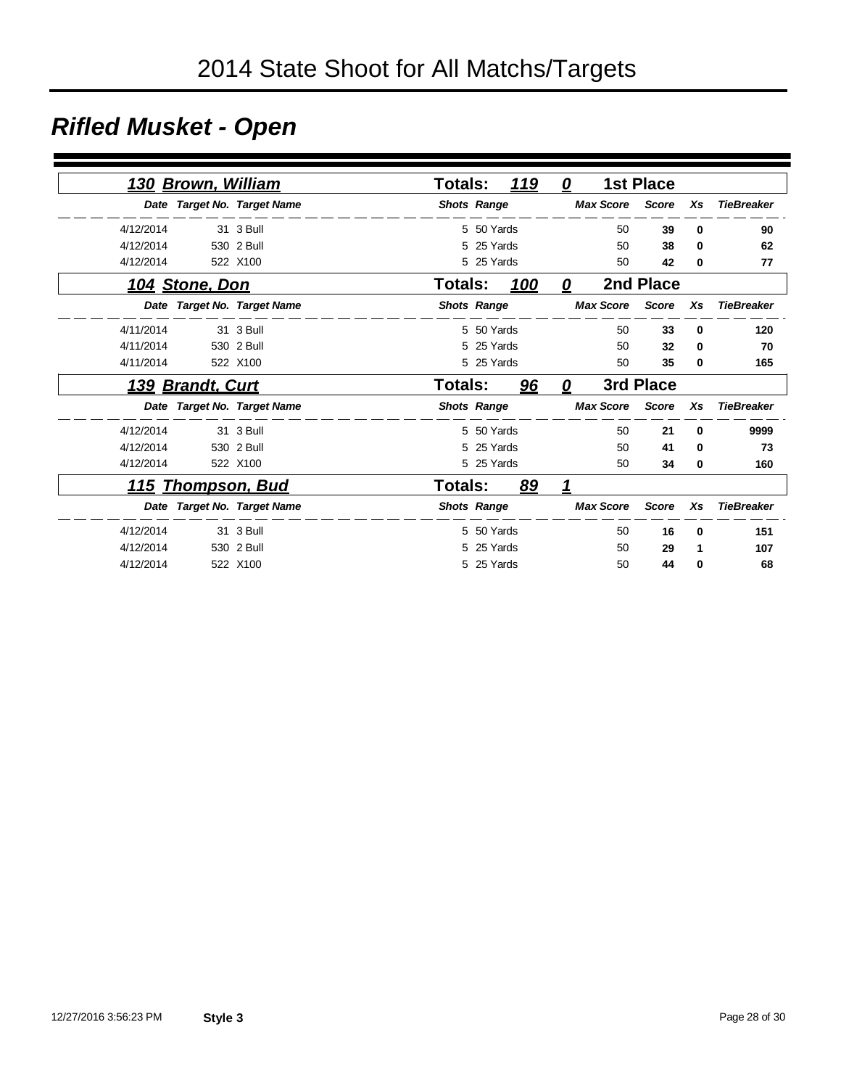# *Rifled Musket - Open*

|           | 130 Brown, William |                             | Totals:            |            | 119        | 0                   |                  | <b>1st Place</b> |          |                   |
|-----------|--------------------|-----------------------------|--------------------|------------|------------|---------------------|------------------|------------------|----------|-------------------|
|           |                    | Date Target No. Target Name | <b>Shots Range</b> |            |            |                     | <b>Max Score</b> | <b>Score</b>     | Xs       | <b>TieBreaker</b> |
| 4/12/2014 |                    | 31 3 Bull                   |                    | 5 50 Yards |            |                     | 50               | 39               | $\bf{0}$ | 90                |
| 4/12/2014 |                    | 530 2 Bull                  | 5                  | 25 Yards   |            |                     | 50               | 38               | 0        | 62                |
| 4/12/2014 |                    | 522 X100                    |                    | 5 25 Yards |            |                     | 50               | 42               | 0        | 77                |
|           | 104 Stone, Don     |                             | <b>Totals:</b>     |            | <u>100</u> | 0                   |                  | 2nd Place        |          |                   |
|           |                    | Date Target No. Target Name | <b>Shots Range</b> |            |            |                     | <b>Max Score</b> | Score            | Xs       | <b>TieBreaker</b> |
| 4/11/2014 |                    | 31 3 Bull                   |                    | 5 50 Yards |            |                     | 50               | 33               | 0        | 120               |
| 4/11/2014 |                    | 530 2 Bull                  |                    | 5 25 Yards |            |                     | 50               | 32               | 0        | 70                |
| 4/11/2014 |                    | 522 X100                    |                    | 5 25 Yards |            |                     | 50               | 35               | 0        | 165               |
|           | 139 Brandt, Curt   |                             | <b>Totals:</b>     |            | 96         | $\overline{\bm{0}}$ |                  | 3rd Place        |          |                   |
|           |                    | Date Target No. Target Name | <b>Shots Range</b> |            |            |                     | <b>Max Score</b> | <b>Score</b>     | Xs       | <b>TieBreaker</b> |
| 4/12/2014 |                    | 31 3 Bull                   |                    | 5 50 Yards |            |                     | 50               | 21               | 0        | 9999              |
| 4/12/2014 |                    | 530 2 Bull                  |                    | 5 25 Yards |            |                     | 50               | 41               | 0        | 73                |
| 4/12/2014 |                    | 522 X100                    |                    | 5 25 Yards |            |                     | 50               | 34               | 0        | 160               |
|           |                    | <u>115 Thompson, Bud</u>    | <b>Totals:</b>     |            | 89         | 1                   |                  |                  |          |                   |
|           |                    | Date Target No. Target Name | <b>Shots Range</b> |            |            |                     | <b>Max Score</b> | <b>Score</b>     | Xs       | <b>TieBreaker</b> |
| 4/12/2014 |                    | 31 3 Bull                   |                    | 5 50 Yards |            |                     | 50               | 16               | 0        | 151               |
| 4/12/2014 |                    | 530 2 Bull                  | 5                  | 25 Yards   |            |                     | 50               | 29               | 1        | 107               |
| 4/12/2014 |                    | 522 X100                    |                    | 5 25 Yards |            |                     | 50               | 44               | 0        | 68                |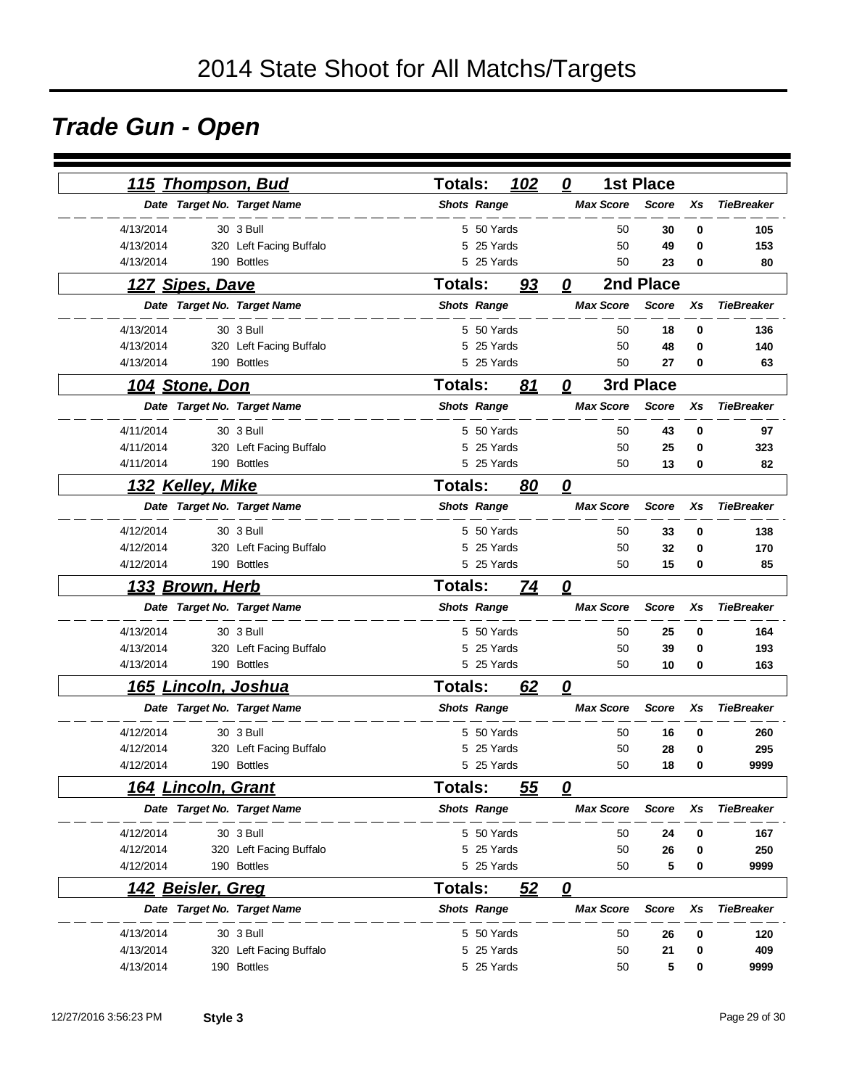# *Trade Gun - Open*

|           | <u>115 Thompson, Bud</u>   |                             | <b>Totals:</b> |                    | 102 | 0                                 | <b>1st Place</b> |          |                   |
|-----------|----------------------------|-----------------------------|----------------|--------------------|-----|-----------------------------------|------------------|----------|-------------------|
|           |                            | Date Target No. Target Name |                | <b>Shots Range</b> |     | <b>Max Score</b>                  | <b>Score</b>     | Xs       | <b>TieBreaker</b> |
| 4/13/2014 |                            | 30 3 Bull                   |                | 5 50 Yards         |     | 50                                | 30               | 0        | 105               |
| 4/13/2014 |                            | 320 Left Facing Buffalo     | 5              | 25 Yards           |     | 50                                | 49               | 0        | 153               |
| 4/13/2014 |                            | 190 Bottles                 |                | 5 25 Yards         |     | 50                                | 23               | 0        | 80                |
|           | 127 Sipes, Dave            |                             | <b>Totals:</b> |                    | 93  | 0                                 | 2nd Place        |          |                   |
|           |                            | Date Target No. Target Name |                | <b>Shots Range</b> |     | <b>Max Score</b>                  | <b>Score</b>     | Xs       | <b>TieBreaker</b> |
| 4/13/2014 |                            | 30 3 Bull                   |                | 5 50 Yards         |     | 50                                | 18               | 0        | 136               |
| 4/13/2014 |                            | 320 Left Facing Buffalo     | 5              | 25 Yards           |     | 50                                | 48               | 0        | 140               |
| 4/13/2014 |                            | 190 Bottles                 |                | 5 25 Yards         |     | 50                                | 27               | $\bf{0}$ | 63                |
|           | <u>104 Stone, Don</u>      |                             | <b>Totals:</b> |                    | 81  | 0                                 | 3rd Place        |          |                   |
|           |                            | Date Target No. Target Name |                | <b>Shots Range</b> |     | <b>Max Score</b>                  | <b>Score</b>     | Xs       | <b>TieBreaker</b> |
| 4/11/2014 |                            | 30 3 Bull                   |                | 5 50 Yards         |     | 50                                | 43               | 0        | 97                |
| 4/11/2014 |                            | 320 Left Facing Buffalo     |                | 5 25 Yards         |     | 50                                | 25               | 0        | 323               |
| 4/11/2014 |                            | 190 Bottles                 |                | 5 25 Yards         |     | 50                                | 13               | 0        | 82                |
|           | 132 Kelley, Mike           |                             | <b>Totals:</b> |                    | 80  | $\overline{\mathbf{0}}$           |                  |          |                   |
|           |                            | Date Target No. Target Name |                | <b>Shots Range</b> |     | <b>Max Score</b>                  | <b>Score</b>     | Xs       | <b>TieBreaker</b> |
| 4/12/2014 |                            | 30 3 Bull                   |                | 5 50 Yards         |     | 50                                | 33               | 0        | 138               |
| 4/12/2014 |                            | 320 Left Facing Buffalo     |                | 5 25 Yards         |     | 50                                | 32               | 0        | 170               |
| 4/12/2014 |                            | 190 Bottles                 |                | 5 25 Yards         |     | 50                                | 15               | 0        | 85                |
|           | <u>133 Brown, Herb</u>     |                             | <b>Totals:</b> |                    | 74  | $\overline{\boldsymbol{\varrho}}$ |                  |          |                   |
|           |                            | Date Target No. Target Name |                | <b>Shots Range</b> |     | <b>Max Score</b>                  | <b>Score</b>     | Xs       | <b>TieBreaker</b> |
| 4/13/2014 |                            | 30 3 Bull                   |                | 5 50 Yards         |     | 50                                | 25               | 0        | 164               |
| 4/13/2014 |                            | 320 Left Facing Buffalo     |                | 5 25 Yards         |     | 50                                | 39               | 0        | 193               |
| 4/13/2014 |                            | 190 Bottles                 |                | 5 25 Yards         |     | 50                                | 10               | 0        | 163               |
|           | <u>165 Lincoln, Joshua</u> |                             | <b>Totals:</b> |                    | 62  | 0                                 |                  |          |                   |
|           |                            | Date Target No. Target Name |                | <b>Shots Range</b> |     | <b>Max Score</b>                  | <b>Score</b>     | Xs       | <b>TieBreaker</b> |
| 4/12/2014 |                            | 30 3 Bull                   |                | 5 50 Yards         |     | 50                                | 16               | 0        | 260               |
| 4/12/2014 |                            | 320 Left Facing Buffalo     | 5              | 25 Yards           |     | 50                                | 28               | 0        | 295               |
| 4/12/2014 |                            | 190 Bottles                 |                | 5 25 Yards         |     | 50                                | 18               | 0        | 9999              |
|           | 164 Lincoln, Grant         |                             | Totals:        |                    | 55  | $\overline{\mathbf{0}}$           |                  |          |                   |
|           |                            | Date Target No. Target Name |                | <b>Shots Range</b> |     | <b>Max Score</b>                  | <b>Score</b>     | Xs       | <b>TieBreaker</b> |
| 4/12/2014 |                            | 30 3 Bull                   |                | 5 50 Yards         |     | 50                                | 24               | 0        | 167               |
| 4/12/2014 |                            | 320 Left Facing Buffalo     |                | 5 25 Yards         |     | 50                                | 26               | 0        | 250               |
| 4/12/2014 |                            | 190 Bottles                 |                | 5 25 Yards         |     | 50                                | 5                | 0        | 9999              |
|           | 142 Beisler, Greg          |                             | <b>Totals:</b> |                    | 52  | 0                                 |                  |          |                   |
|           |                            | Date Target No. Target Name |                | <b>Shots Range</b> |     | <b>Max Score</b>                  | <b>Score</b>     | Xs       | <b>TieBreaker</b> |
| 4/13/2014 |                            | 30 3 Bull                   |                | 5 50 Yards         |     | 50                                | 26               | 0        | 120               |
| 4/13/2014 |                            | 320 Left Facing Buffalo     |                | 5 25 Yards         |     | 50                                | 21               | 0        | 409               |
| 4/13/2014 |                            | 190 Bottles                 |                | 5 25 Yards         |     | 50                                | 5                | 0        | 9999              |